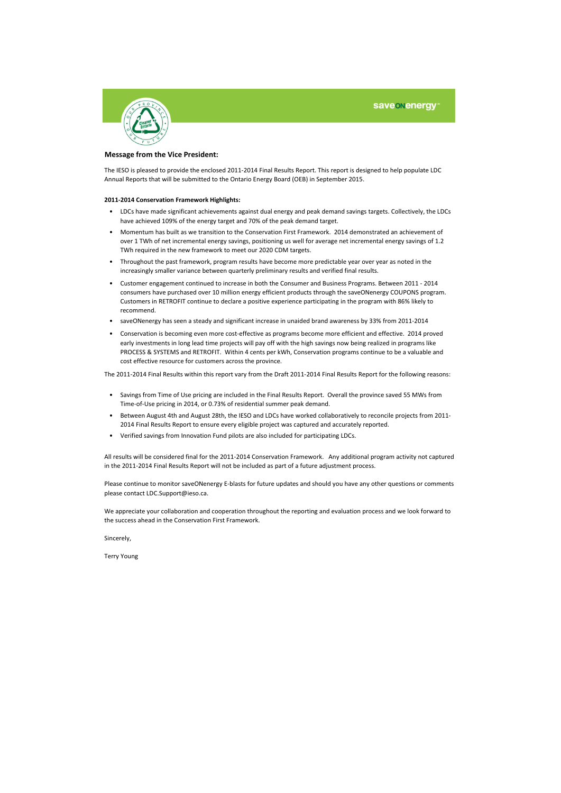

#### **Message from the Vice President:**

The IESO is pleased to provide the enclosed 2011-2014 Final Results Report. This report is designed to help populate LDC Annual Reports that will be submitted to the Ontario Energy Board (OEB) in September 2015.

#### **2011-2014 Conservation Framework Highlights:**

- LDCs have made significant achievements against dual energy and peak demand savings targets. Collectively, the LDCs have achieved 109% of the energy target and 70% of the peak demand target.
- Momentum has built as we transition to the Conservation First Framework. 2014 demonstrated an achievement of over 1 TWh of net incremental energy savings, positioning us well for average net incremental energy savings of 1.2 TWh required in the new framework to meet our 2020 CDM targets.
- Throughout the past framework, program results have become more predictable year over year as noted in the increasingly smaller variance between quarterly preliminary results and verified final results.
- Customer engagement continued to increase in both the Consumer and Business Programs. Between 2011 - 2014 consumers have purchased over 10 million energy efficient products through the saveONenergy COUPONS program. Customers in RETROFIT continue to declare a positive experience participating in the program with 86% likely to recommend.
- saveONenergy has seen a steady and significant increase in unaided brand awareness by 33% from 2011-2014
- Conservation is becoming even more cost-effective as programs become more efficient and effective. 2014 proved early investments in long lead time projects will pay off with the high savings now being realized in programs like PROCESS & SYSTEMS and RETROFIT. Within 4 cents per kWh, Conservation programs continue to be a valuable and cost effective resource for customers across the province.

The 2011-2014 Final Results within this report vary from the Draft 2011-2014 Final Results Report for the following reasons:

- Savings from Time of Use pricing are included in the Final Results Report. Overall the province saved 55 MWs from Time-of-Use pricing in 2014, or 0.73% of residential summer peak demand.
- Between August 4th and August 28th, the IESO and LDCs have worked collaboratively to reconcile projects from 2011- 2014 Final Results Report to ensure every eligible project was captured and accurately reported.
- Verified savings from Innovation Fund pilots are also included for participating LDCs.

All results will be considered final for the 2011-2014 Conservation Framework. Any additional program activity not captured in the 2011-2014 Final Results Report will not be included as part of a future adjustment process.

Please continue to monitor saveONenergy E-blasts for future updates and should you have any other questions or comments please contact LDC.Support@ieso.ca.

We appreciate your collaboration and cooperation throughout the reporting and evaluation process and we look forward to the success ahead in the Conservation First Framework.

Sincerely,

Terry Young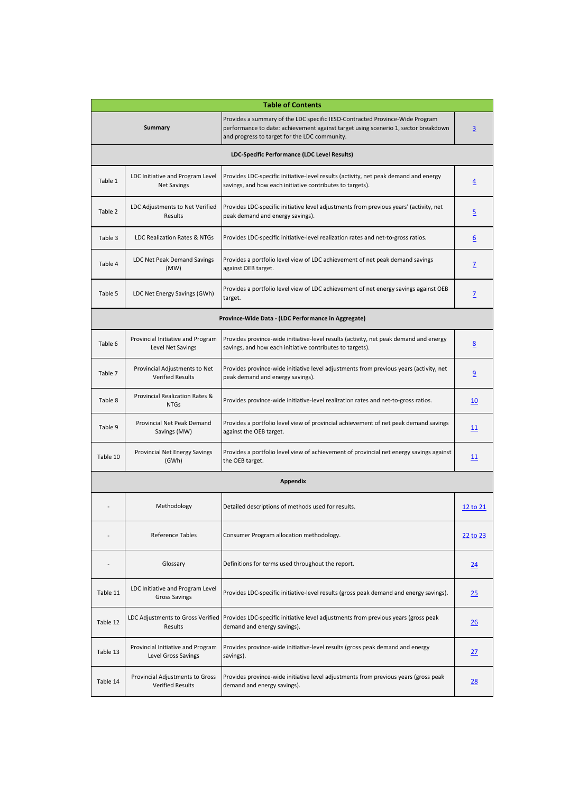|          |                                                            | <b>Table of Contents</b>                                                                                                                                                                                            |                  |
|----------|------------------------------------------------------------|---------------------------------------------------------------------------------------------------------------------------------------------------------------------------------------------------------------------|------------------|
|          | <b>Summary</b>                                             | Provides a summary of the LDC specific IESO-Contracted Province-Wide Program<br>performance to date: achievement against target using scenerio 1, sector breakdown<br>and progress to target for the LDC community. | $\overline{3}$   |
|          |                                                            | LDC-Specific Performance (LDC Level Results)                                                                                                                                                                        |                  |
| Table 1  | LDC Initiative and Program Level<br><b>Net Savings</b>     | Provides LDC-specific initiative-level results (activity, net peak demand and energy<br>savings, and how each initiative contributes to targets).                                                                   | $\overline{4}$   |
| Table 2  | LDC Adjustments to Net Verified<br>Results                 | Provides LDC-specific initiative level adjustments from previous years' (activity, net<br>peak demand and energy savings).                                                                                          | <u>5</u>         |
| Table 3  | LDC Realization Rates & NTGs                               | Provides LDC-specific initiative-level realization rates and net-to-gross ratios.                                                                                                                                   | $6 \overline{6}$ |
| Table 4  | LDC Net Peak Demand Savings<br>(MW)                        | Provides a portfolio level view of LDC achievement of net peak demand savings<br>against OEB target.                                                                                                                | Z                |
| Table 5  | LDC Net Energy Savings (GWh)                               | Provides a portfolio level view of LDC achievement of net energy savings against OEB<br>target.                                                                                                                     | Z                |
|          |                                                            | Province-Wide Data - (LDC Performance in Aggregate)                                                                                                                                                                 |                  |
| Table 6  | Provincial Initiative and Program<br>Level Net Savings     | Provides province-wide initiative-level results (activity, net peak demand and energy<br>savings, and how each initiative contributes to targets).                                                                  | 8                |
| Table 7  | Provincial Adjustments to Net<br><b>Verified Results</b>   | Provides province-wide initiative level adjustments from previous years (activity, net<br>peak demand and energy savings).                                                                                          | $\overline{9}$   |
| Table 8  | Provincial Realization Rates &<br><b>NTGs</b>              | Provides province-wide initiative-level realization rates and net-to-gross ratios.                                                                                                                                  | <u>10</u>        |
| Table 9  | Provincial Net Peak Demand<br>Savings (MW)                 | Provides a portfolio level view of provincial achievement of net peak demand savings<br>against the OEB target.                                                                                                     | <u> 11</u>       |
| Table 10 | Provincial Net Energy Savings<br>(GWh)                     | Provides a portfolio level view of achievement of provincial net energy savings against<br>the OEB target.                                                                                                          | 11               |
|          |                                                            | <b>Appendix</b>                                                                                                                                                                                                     |                  |
|          | Methodology                                                | Detailed descriptions of methods used for results.                                                                                                                                                                  | 12 to 21         |
|          | <b>Reference Tables</b>                                    | Consumer Program allocation methodology.                                                                                                                                                                            | 22 to 23         |
|          | Glossary                                                   | Definitions for terms used throughout the report.                                                                                                                                                                   | 24               |
| Table 11 | LDC Initiative and Program Level<br><b>Gross Savings</b>   | Provides LDC-specific initiative-level results (gross peak demand and energy savings).                                                                                                                              | 25               |
| Table 12 | Results                                                    | LDC Adjustments to Gross Verified   Provides LDC-specific initiative level adjustments from previous years (gross peak<br>demand and energy savings).                                                               | 26               |
| Table 13 | Provincial Initiative and Program<br>Level Gross Savings   | Provides province-wide initiative-level results (gross peak demand and energy<br>savings).                                                                                                                          | <u>27</u>        |
| Table 14 | Provincial Adjustments to Gross<br><b>Verified Results</b> | Provides province-wide initiative level adjustments from previous years (gross peak<br>demand and energy savings).                                                                                                  | <u>28</u>        |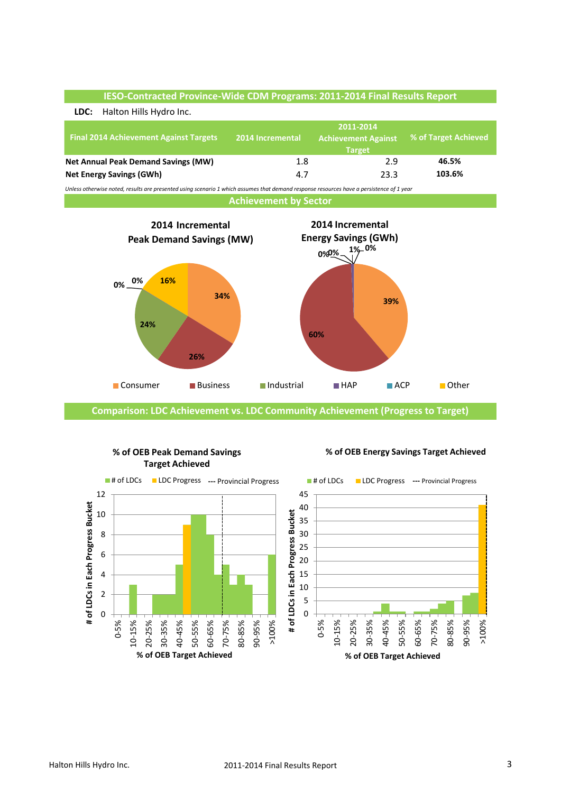

**Comparison: LDC Achievement vs. LDC Community Achievement (Progress to Target)**



### **% of OEB Peak Demand Savings Target Achieved**

### **% of OEB Energy Savings Target Achieved**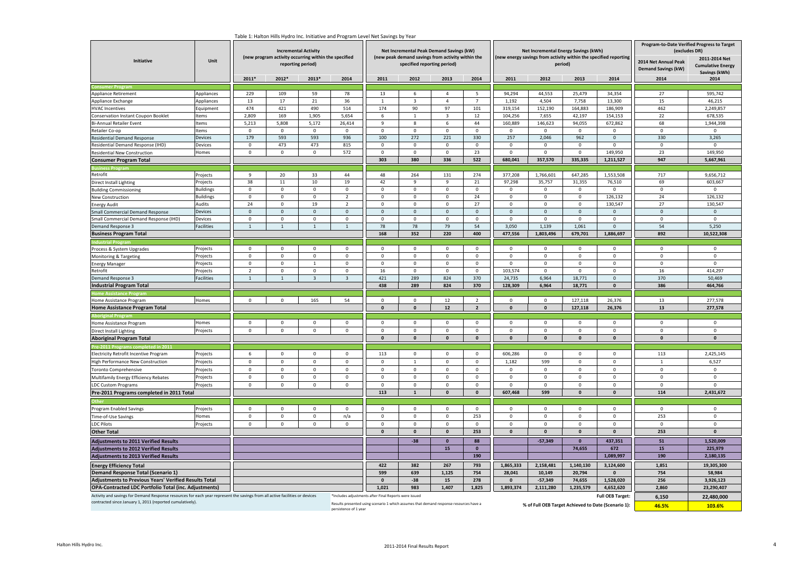| Initiative                                                                                                                                                                            | Unit             | rable I: Haiton Hills Hydro inc. initiative and Program Level Net Savings by Yea<br><b>Incremental Activity</b><br>(new program activity occurring within the specified<br>reporting period) |                |                         |                                                                                        |                             | specified reporting period) | Net Incremental Peak Demand Savings (kW)<br>(new peak demand savings from activity within the |                     |                                                     | Net Incremental Energy Savings (kWh)<br>(new energy savings from activity within the specified reporting | period)      |                     | Program-to-Date Verified Progress to Target<br>(excludes DR)<br>2014 Net Annual Peak<br><b>Demand Savings (kW)</b> | 2011-2014 Net<br><b>Cumulative Energy</b> |
|---------------------------------------------------------------------------------------------------------------------------------------------------------------------------------------|------------------|----------------------------------------------------------------------------------------------------------------------------------------------------------------------------------------------|----------------|-------------------------|----------------------------------------------------------------------------------------|-----------------------------|-----------------------------|-----------------------------------------------------------------------------------------------|---------------------|-----------------------------------------------------|----------------------------------------------------------------------------------------------------------|--------------|---------------------|--------------------------------------------------------------------------------------------------------------------|-------------------------------------------|
|                                                                                                                                                                                       |                  | 2011*                                                                                                                                                                                        | 2012*          | 2013*                   | 2014                                                                                   | 2011                        | 2012                        | 2013                                                                                          | 2014                | 2011                                                | 2012                                                                                                     | 2013         | 2014                | 2014                                                                                                               | Savings (kWh)<br>2014                     |
|                                                                                                                                                                                       |                  |                                                                                                                                                                                              |                |                         |                                                                                        |                             |                             |                                                                                               |                     |                                                     |                                                                                                          |              |                     |                                                                                                                    |                                           |
| Appliance Retirement                                                                                                                                                                  | Appliances       | 229                                                                                                                                                                                          | 109            | 59                      | 78                                                                                     | 13                          | 6                           | $\overline{4}$                                                                                | 5                   | 94,294                                              | 44,553                                                                                                   | 25,479       | 34,354              | 27                                                                                                                 | 595,742                                   |
| Appliance Exchange                                                                                                                                                                    | Appliances       | 13                                                                                                                                                                                           | 17             | 21                      | 36                                                                                     | 1                           | $\overline{\mathbf{3}}$     | $\overline{4}$                                                                                | $\overline{7}$      | 1,192                                               | 4,504                                                                                                    | 7,758        | 13,300              | 15                                                                                                                 | 46,215                                    |
| <b>HVAC Incentives</b>                                                                                                                                                                | Equipment        | 474                                                                                                                                                                                          | 421            | 490                     | 514                                                                                    | 174                         | 90                          | 97                                                                                            | 101                 | 319,154                                             | 152,190                                                                                                  | 164,883      | 186,909             | 462                                                                                                                | 2,249,857                                 |
| Conservation Instant Coupon Booklet                                                                                                                                                   | Items            | 2,809                                                                                                                                                                                        | 169            | 1,905                   | 5,654                                                                                  | 6                           | 1                           | $\overline{\mathbf{3}}$                                                                       | $12\,$              | 104,256                                             | 7,655                                                                                                    | 42,197       | 154,153             | 22                                                                                                                 | 678,535                                   |
| Bi-Annual Retailer Event                                                                                                                                                              | Items            | 5,213                                                                                                                                                                                        | 5,808          | 5,172                   | 26,414                                                                                 | 9                           | 8                           | 6                                                                                             | 44                  | 160,889                                             | 146,623                                                                                                  | 94,055       | 672,862             | 68                                                                                                                 | 1,944,398                                 |
| Retailer Co-op                                                                                                                                                                        | Items            | $\mathbb O$                                                                                                                                                                                  | $\mathbf 0$    | $\,0\,$                 | 0                                                                                      | $\,$ 0                      | $\,0\,$                     | $\mathbf 0$                                                                                   | $\mathbf 0$         | 0                                                   | $\,0\,$                                                                                                  | 0            | 0                   | $\,0\,$                                                                                                            | $\mathbf 0$                               |
| Residential Demand Response                                                                                                                                                           | Devices          | 179                                                                                                                                                                                          | 593            | 593                     | 936                                                                                    | 100                         | 272                         | 221                                                                                           | 330                 | 257                                                 | 2,046                                                                                                    | 962          | $\Omega$            | 330                                                                                                                | 3,265                                     |
| Residential Demand Response (IHD)                                                                                                                                                     | Devices          | $\mathbf 0$                                                                                                                                                                                  | 473            | 473                     | 815                                                                                    | $\overline{\mathbf{0}}$     | $\mathbf 0$                 | $\mathsf 0$                                                                                   | $\mathbf 0$         | $\mathbf 0$                                         | $\mathbf 0$                                                                                              | $\mathsf 0$  | $\mathbf 0$         | $\mathbf 0$                                                                                                        | $\Omega$                                  |
| Residential New Construction                                                                                                                                                          | Homes            | $\mathbf 0$                                                                                                                                                                                  | $\mathbf 0$    | $\mathbf 0$             | 572                                                                                    | $\overline{\mathbf{0}}$     | $\mathbf 0$                 | $\mathsf 0$                                                                                   | 23                  | $\mathbf 0$                                         | $\mathbf 0$                                                                                              | $\mathsf 0$  | 149,950             | 23                                                                                                                 | 149,950                                   |
| <b>Consumer Program Total</b>                                                                                                                                                         |                  |                                                                                                                                                                                              |                |                         |                                                                                        | 303                         | 380                         | 336                                                                                           | 522                 | 680,041                                             | 357,570                                                                                                  | 335,335      | 1,211,527           | 947                                                                                                                | 5,667,961                                 |
|                                                                                                                                                                                       |                  |                                                                                                                                                                                              |                |                         |                                                                                        |                             |                             |                                                                                               |                     |                                                     |                                                                                                          |              |                     |                                                                                                                    |                                           |
| Retrofit                                                                                                                                                                              | Projects         | 9                                                                                                                                                                                            | 20             | 33                      | 44                                                                                     | 48                          | 264                         | 131                                                                                           | 274                 | 377,208                                             | 1,766,601                                                                                                | 647,285      | 1,553,508           | 717                                                                                                                | 9,656,712                                 |
| Direct Install Lighting                                                                                                                                                               | Projects         | 38                                                                                                                                                                                           | 11             | 10                      | 19                                                                                     | 42                          | 9                           | 9                                                                                             | 21                  | 97,298                                              | 35,757                                                                                                   | 31,355       | 76,510              | 69                                                                                                                 | 603,667                                   |
| <b>Building Commissioning</b>                                                                                                                                                         | <b>Buildings</b> | $\mathbf 0$                                                                                                                                                                                  | $\mathbf 0$    | $\mathbf 0$             | $\mathsf 0$                                                                            | $\overline{\mathbf{0}}$     | $\mathbf 0$                 | $\mathsf 0$                                                                                   | $\mathbf 0$         | $\mathbf 0$                                         | $\mathbf 0$                                                                                              | $\mathsf 0$  | $\mathbf 0$         | $\mathbf{0}$                                                                                                       | $\mathbf 0$                               |
| New Construction                                                                                                                                                                      | <b>Buildings</b> | $\mathsf 0$                                                                                                                                                                                  | $\mathbf 0$    | $\mathbf 0$             | $\overline{2}$                                                                         | $\mathbf 0$                 | $\mathbf 0$                 | $\mathsf 0$                                                                                   | 24                  | 0                                                   | $\mathsf{O}\xspace$                                                                                      | $\mathsf 0$  | 126,132             | 24                                                                                                                 | 126,132                                   |
| Energy Audit                                                                                                                                                                          | Audits           | 24                                                                                                                                                                                           | $\mathbf 0$    | 19                      | $\overline{2}$                                                                         | $\mathbf 0$                 | $\mathbf 0$                 | $\mathbf 0$                                                                                   | 27                  | $\mathbf 0$                                         | $\mathbf 0$                                                                                              | $\mathbf 0$  | 130,547             | 27                                                                                                                 | 130,547                                   |
| Small Commercial Demand Response                                                                                                                                                      | Devices          | $\mathbf 0$                                                                                                                                                                                  | $\mathsf 0$    | $\mathbf 0$             | $\mathbf 0$                                                                            | $\mathbf 0$                 | $\mathbf 0$                 | $\mathsf 0$                                                                                   | $\mathbf 0$         | $\mathbf{0}$                                        | $\mathbf 0$                                                                                              | $\mathsf 0$  | $\mathsf{O}\xspace$ | $\mathbf 0$                                                                                                        | $\mathbf 0$                               |
| Small Commercial Demand Response (IHD)                                                                                                                                                | Devices          | $\mathbf 0$                                                                                                                                                                                  | $\mathbf 0$    | $\,0\,$                 | $\mathbf 0$                                                                            | $\mathbf 0$                 | $\mathbf 0$                 | $\mathbf 0$                                                                                   | 0                   | $\mathbf 0$                                         | $\mathbf 0$                                                                                              | $\mathsf 0$  | $\mathbf 0$         | $\mathbf 0$                                                                                                        | $\mathbf 0$                               |
| Demand Response 3                                                                                                                                                                     | Facilities       | $\mathbf{1}$                                                                                                                                                                                 | $\,$ 1         | $\mathbf{1}$            | $\mathbf{1}$                                                                           | 78                          | 78                          | 79                                                                                            | 54                  | 3,050                                               | 1,139                                                                                                    | 1,061        | $\Omega$            | 54                                                                                                                 | 5,250                                     |
| <b>Business Program Total</b>                                                                                                                                                         |                  |                                                                                                                                                                                              |                |                         |                                                                                        | 168                         | 352                         | 220                                                                                           | 400                 | 477,556                                             | 1,803,496                                                                                                | 679,701      | 1,886,697           | 892                                                                                                                | 10,522,308                                |
| ndustrial Pr                                                                                                                                                                          |                  |                                                                                                                                                                                              |                |                         |                                                                                        |                             |                             |                                                                                               |                     |                                                     |                                                                                                          |              |                     |                                                                                                                    |                                           |
| Process & System Upgrades                                                                                                                                                             | Projects         | $\pmb{0}$                                                                                                                                                                                    | $\mathbf 0$    | $\mathbf 0$             | $\mathbf 0$                                                                            | $\mathbf 0$                 | $\mathbf 0$                 | $\mathbf 0$                                                                                   | $\mathsf 0$         | $\mathbf 0$                                         | $\mathbf 0$                                                                                              | $\mathbf 0$  | $\mathsf 0$         | $\mathbf 0$                                                                                                        | $\mathbf 0$                               |
| Monitoring & Targeting                                                                                                                                                                | Projects         | $\,0\,$                                                                                                                                                                                      | $\mathbf 0$    | $\mathbf 0$             | $\mathbf 0$                                                                            | $\,$ 0                      | $\mathbf 0$                 | $\mathbf 0$                                                                                   | $\mathbf 0$         | $\mathsf 0$                                         | $\mathbf 0$                                                                                              | $\mathsf 0$  | $\mathsf 0$         | $\mathsf 0$                                                                                                        | $\mathbf 0$                               |
| <b>Energy Manager</b>                                                                                                                                                                 | Projects         | $\mathbf 0$                                                                                                                                                                                  | $\mathbf 0$    | $\mathbf{1}$            | $\mathbf 0$                                                                            | $\mathbf 0$                 | $\mathbf 0$                 | $\mathsf 0$                                                                                   | $\mathbf 0$         | 0                                                   | $\mathbf 0$                                                                                              | $\mathsf 0$  | $\mathbf 0$         | $\mathsf 0$                                                                                                        | $\mathsf{O}\xspace$                       |
| Retrofit                                                                                                                                                                              | Projects         | $\overline{2}$                                                                                                                                                                               | $\mathbf 0$    | $\mathbf 0$             | $\mathbf 0$                                                                            | 16                          | $\mathbf 0$                 | $\mathbf 0$                                                                                   | $\mathbf 0$         | 103,574                                             | $\mathbf 0$                                                                                              | $\mathsf 0$  | $\mathbf 0$         | 16                                                                                                                 | 414,297                                   |
| <b>Demand Response 3</b>                                                                                                                                                              | Facilities       | $\mathbf{1}$                                                                                                                                                                                 | $\overline{1}$ | $\overline{\mathbf{3}}$ | $\overline{\mathbf{z}}$                                                                | 421                         | 289                         | 824                                                                                           | 370                 | 24,735                                              | 6,964                                                                                                    | 18,771       | $\Omega$            | 370                                                                                                                | 50,469                                    |
| <b>Industrial Program Total</b>                                                                                                                                                       |                  |                                                                                                                                                                                              |                |                         |                                                                                        | 438                         | 289                         | 824                                                                                           | 370                 | 128,309                                             | 6,964                                                                                                    | 18,771       | $\mathbf{0}$        | 386                                                                                                                | 464,766                                   |
| ime Assi                                                                                                                                                                              |                  |                                                                                                                                                                                              |                |                         |                                                                                        |                             |                             |                                                                                               |                     |                                                     |                                                                                                          |              |                     |                                                                                                                    |                                           |
| Home Assistance Program                                                                                                                                                               | Homes            | $\mathbf 0$                                                                                                                                                                                  | $\mathbf 0$    | 165                     | 54                                                                                     | $\mathbf 0$                 | $\overline{0}$              | 12                                                                                            | $\overline{2}$      | $\Omega$                                            | $\mathbf 0$                                                                                              | 127,118      | 26,376              | 13                                                                                                                 | 277,578                                   |
| <b>Home Assistance Program Total</b>                                                                                                                                                  |                  |                                                                                                                                                                                              |                |                         |                                                                                        | $\mathbf{0}$                | $\Omega$                    | $12$                                                                                          | $\overline{2}$      | $\mathbf{0}$                                        | $\mathbf{0}$                                                                                             | 127,118      | 26,376              | 13                                                                                                                 | 277,578                                   |
|                                                                                                                                                                                       |                  |                                                                                                                                                                                              |                |                         |                                                                                        |                             |                             |                                                                                               |                     |                                                     |                                                                                                          |              |                     |                                                                                                                    |                                           |
| Home Assistance Program                                                                                                                                                               | Homes            | $\mathbf 0$                                                                                                                                                                                  | $\mathbf 0$    | $\mathbf 0$             | $\mathbf 0$                                                                            | $\mathbf 0$                 | $\mathbf 0$                 | $\mathbf 0$                                                                                   | $\mathbf 0$         | $\mathsf 0$                                         | $\mathbf 0$                                                                                              | $\mathsf 0$  | $\mathbf 0$         | $\mathbf 0$                                                                                                        | $\mathbf 0$                               |
| Direct Install Lighting                                                                                                                                                               | Projects         | $\pmb{0}$                                                                                                                                                                                    | $\mathbf 0$    | $\pmb{0}$               | $\mathbf 0$                                                                            | $\,0\,$                     | $\pmb{0}$                   | $\mathbf 0$                                                                                   | $\mathbf 0$         | $\mathbf 0$                                         | $\mathbf 0$                                                                                              | $\mathbf 0$  | $\mathsf 0$         | $\mathsf 0$                                                                                                        | $\pmb{0}$                                 |
| <b>Aboriginal Program Total</b>                                                                                                                                                       |                  |                                                                                                                                                                                              |                |                         |                                                                                        | $\mathbf{0}$                | $\mathbf{0}$                | $\pmb{0}$                                                                                     | $\pmb{\mathsf{o}}$  | $\mathbf 0$                                         | $\mathbf 0$                                                                                              | $\pmb{0}$    | $\pmb{\mathsf{0}}$  | $\pmb{0}$                                                                                                          | $\pmb{\mathsf{o}}$                        |
|                                                                                                                                                                                       |                  |                                                                                                                                                                                              |                |                         |                                                                                        |                             |                             |                                                                                               |                     |                                                     |                                                                                                          |              |                     |                                                                                                                    |                                           |
| Electricity Retrofit Incentive Program                                                                                                                                                | Projects         | 6                                                                                                                                                                                            | $\mathbf 0$    | $\Omega$                | $\Omega$                                                                               | 113                         | $\mathbf{0}$                | $\mathbf 0$                                                                                   | $\Omega$            | 606,286                                             | $\mathbf{0}$                                                                                             | $\Omega$     | $\Omega$            | 113                                                                                                                | 2,425,145                                 |
| High Performance New Construction                                                                                                                                                     | Projects         | $\mathbf 0$                                                                                                                                                                                  | $\mathbf 0$    | $\mathbf 0$             | $\mathsf 0$                                                                            | $\mathsf 0$                 | 1                           | $\mathsf 0$                                                                                   | $\mathbf 0$         | 1,182                                               | 599                                                                                                      | $\mathsf 0$  | $\mathsf 0$         | $\mathbf{1}$                                                                                                       | 6,527                                     |
| Toronto Comprehensive                                                                                                                                                                 | Projects         | $\mathbf 0$                                                                                                                                                                                  | $\mathbf 0$    | $\mathbf 0$             | $\Omega$                                                                               | $\overline{\mathbf{0}}$     | $\mathbf 0$                 | $\mathsf 0$                                                                                   | $\mathbf 0$         | $\mathbf 0$                                         | $\mathbf 0$                                                                                              | $\mathbf 0$  | $\mathbf 0$         | $\mathsf 0$                                                                                                        | $\mathbf 0$                               |
| Multifamily Energy Efficiency Rebates                                                                                                                                                 | Projects         | $\mathsf 0$                                                                                                                                                                                  | $\mathbf 0$    | $\mathbf{0}$            | $\Omega$                                                                               | $\Omega$                    | $\Omega$                    | $\mathbf 0$                                                                                   | $\mathbf 0$         | $\mathsf 0$                                         | $\mathbf 0$                                                                                              | $\mathbf 0$  | $\mathbf 0$         | $\mathbf 0$                                                                                                        | $\mathbf 0$                               |
| <b>LDC Custom Programs</b>                                                                                                                                                            | Projects         | $\mathbf 0$                                                                                                                                                                                  | $\mathbf 0$    | $\mathbf 0$             | $\Omega$                                                                               | $\overline{\mathbf{0}}$     | $\mathbf 0$                 | $\mathsf 0$                                                                                   | $\mathbf 0$         | $\mathsf 0$                                         | $\mathbf 0$                                                                                              | $\mathsf 0$  | $\mathsf 0$         | $\mathbf 0$                                                                                                        | $\mathsf 0$                               |
| Pre-2011 Programs completed in 2011 Total                                                                                                                                             |                  |                                                                                                                                                                                              |                |                         |                                                                                        | 113                         | $\mathbf{1}$                | $\pmb{\mathsf{o}}$                                                                            | $\pmb{\mathsf{o}}$  | 607,468                                             | 599                                                                                                      | $\mathbf{0}$ | $\mathbf 0$         | 114                                                                                                                | 2,431,672                                 |
|                                                                                                                                                                                       |                  |                                                                                                                                                                                              |                |                         |                                                                                        |                             |                             |                                                                                               |                     |                                                     |                                                                                                          |              |                     |                                                                                                                    |                                           |
| Program Enabled Savings                                                                                                                                                               | Projects         | $\mathbf 0$                                                                                                                                                                                  | $\Omega$       | $\mathbf 0$             | $\Omega$                                                                               | $\Omega$                    | $\mathbf 0$                 | $\mathsf 0$                                                                                   | $\mathsf{O}\xspace$ | $\mathsf 0$                                         | $\mathbf 0$                                                                                              | $\mathsf 0$  | $\mathsf 0$         | $\mathsf 0$                                                                                                        | $\mathsf 0$                               |
|                                                                                                                                                                                       |                  | $\mathbf 0$                                                                                                                                                                                  | $\mathbf 0$    | $\mathbf 0$             |                                                                                        | $\overline{\mathbf{0}}$     | $\mathbf 0$                 | $\mathbf 0$                                                                                   | 253                 | $\mathbf 0$                                         | $\mathbf 0$                                                                                              | $\mathsf 0$  | $\mathbf 0$         | 253                                                                                                                | $\mathbf 0$                               |
| Time-of-Use Savings                                                                                                                                                                   | Homes            |                                                                                                                                                                                              |                |                         | n/a                                                                                    |                             |                             |                                                                                               |                     |                                                     |                                                                                                          |              |                     |                                                                                                                    |                                           |
| <b>LDC Pilots</b>                                                                                                                                                                     | Projects         | $\mathbf 0$                                                                                                                                                                                  | $\mathbf 0$    | $\mathbf 0$             | $\mathbf 0$                                                                            | $\mathbf 0$<br>$\mathbf{0}$ | $\mathbf 0$                 | $\mathsf 0$                                                                                   | $\mathbf 0$         | $\mathbf 0$                                         | $\mathbf 0$                                                                                              | $\mathsf 0$  | $\mathsf 0$         | $\mathsf 0$                                                                                                        | $\mathsf 0$                               |
| <b>Other Total</b>                                                                                                                                                                    |                  |                                                                                                                                                                                              |                |                         |                                                                                        |                             | $\pmb{\mathsf{0}}$          | $\pmb{\mathsf{o}}$                                                                            | 253                 | $\mathbf{0}$                                        | $\mathbf{0}$                                                                                             | $\pmb{0}$    | $\mathbf{0}$        | 253                                                                                                                | $\Omega$                                  |
| <b>Adjustments to 2011 Verified Results</b>                                                                                                                                           |                  |                                                                                                                                                                                              | $-38$          | $\mathbf 0$             | 88                                                                                     |                             | $-57,349$                   | $\Omega$                                                                                      | 437,351             | 51                                                  | 1,520,009                                                                                                |              |                     |                                                                                                                    |                                           |
| <b>Adjustments to 2012 Verified Results</b>                                                                                                                                           |                  |                                                                                                                                                                                              |                |                         |                                                                                        |                             |                             | 15 <sub>1</sub>                                                                               | $\mathbf 0$         |                                                     |                                                                                                          | 74,655       | 672                 | 15                                                                                                                 | 225,979                                   |
| <b>Adjustments to 2013 Verified Results</b>                                                                                                                                           |                  |                                                                                                                                                                                              |                |                         |                                                                                        |                             |                             |                                                                                               | 190                 |                                                     |                                                                                                          |              | 1,089,997           | 190                                                                                                                | 2,180,135                                 |
| <b>Energy Efficiency Total</b>                                                                                                                                                        |                  |                                                                                                                                                                                              |                |                         |                                                                                        | 422                         | 382                         | 267                                                                                           | 793                 | 1,865,333                                           | 2,158,481                                                                                                | 1,140,130    | 3,124,600           | 1,851                                                                                                              | 19,305,300                                |
| <b>Demand Response Total (Scenario 1)</b>                                                                                                                                             |                  | 599                                                                                                                                                                                          | 639            | 1,125                   | 754                                                                                    | 28,041                      | 10,149                      | 20,794                                                                                        | $\mathbf{0}$        | 754                                                 | 58,984                                                                                                   |              |                     |                                                                                                                    |                                           |
| <b>Adjustments to Previous Years' Verified Results Total</b>                                                                                                                          |                  |                                                                                                                                                                                              |                | $\mathbf 0$             | $-38$                                                                                  | 15                          | 278                         | $\mathbf{0}$                                                                                  | $-57,349$           | 74,655                                              | 1,528,020                                                                                                | 256          | 3,926,123           |                                                                                                                    |                                           |
| <b>OPA-Contracted LDC Portfolio Total (inc. Adjustments)</b>                                                                                                                          |                  |                                                                                                                                                                                              | 1,021          | 983                     | 1,407                                                                                  | 1,825                       | 1,893,374                   | 2,111,280                                                                                     | 1,235,579           | 4,652,620                                           | 2,860                                                                                                    | 23,290,407   |                     |                                                                                                                    |                                           |
| *Includes adjustments after Final Reports were issued<br>Activity and savings for Demand Response resources for each year represent the savings from all active facilities or devices |                  |                                                                                                                                                                                              |                |                         |                                                                                        |                             |                             |                                                                                               |                     |                                                     | <b>Full OEB Target:</b>                                                                                  | 6,150        | 22.480.000          |                                                                                                                    |                                           |
| contracted since January 1, 2011 (reported cumulatively).                                                                                                                             |                  |                                                                                                                                                                                              |                |                         | Results presented using scenario 1 which assumes that demand response resources have a |                             |                             |                                                                                               |                     | % of Full OEB Target Achieved to Date (Scenario 1): |                                                                                                          |              | 46.5%               | 103.6%                                                                                                             |                                           |
|                                                                                                                                                                                       |                  |                                                                                                                                                                                              |                |                         |                                                                                        |                             |                             |                                                                                               |                     |                                                     |                                                                                                          |              |                     |                                                                                                                    |                                           |

#### Table 1: Halton Hills Hydro Inc. Initiative and Program Level Net Savings by Year

Results presented using scenario 1 which assumes that demand response resources have a persistence of 1 year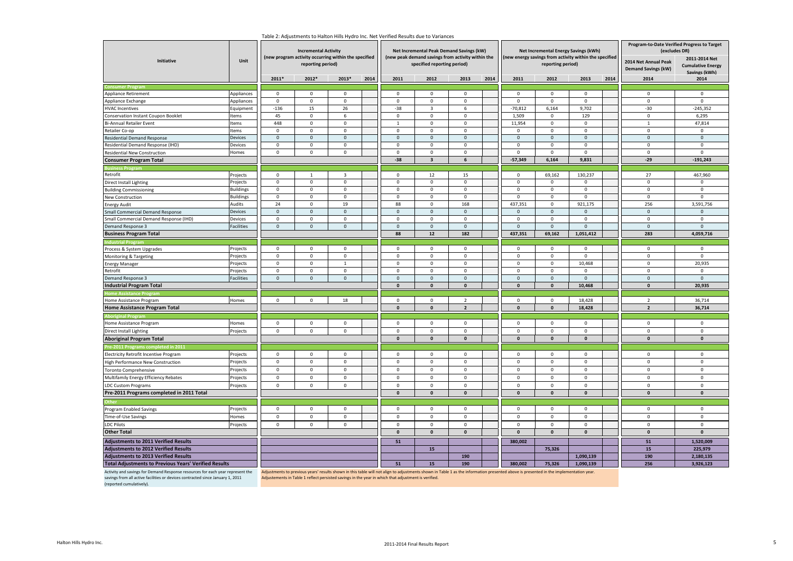| Initiative                                                                                                                                                                                   | Unit             |                     | <b>Incremental Activity</b><br>(new program activity occurring within the specified<br>reporting period) |                     |                    |                                                                                                    | Net Incremental Peak Demand Savings (kW)<br>(new peak demand savings from activity within the<br>specified reporting period) |                                |                    | Net Incremental Energy Savings (kWh)<br>(new energy savings from activity within the specified<br>reporting period)                                                                   |                             |                             | Program-to-Date Verified Progress to Target<br>2014 Net Annual Peak | (excludes DR)<br>2011-2014 Net<br><b>Cumulative Energy</b> |                             |
|----------------------------------------------------------------------------------------------------------------------------------------------------------------------------------------------|------------------|---------------------|----------------------------------------------------------------------------------------------------------|---------------------|--------------------|----------------------------------------------------------------------------------------------------|------------------------------------------------------------------------------------------------------------------------------|--------------------------------|--------------------|---------------------------------------------------------------------------------------------------------------------------------------------------------------------------------------|-----------------------------|-----------------------------|---------------------------------------------------------------------|------------------------------------------------------------|-----------------------------|
|                                                                                                                                                                                              |                  |                     |                                                                                                          |                     |                    |                                                                                                    |                                                                                                                              |                                |                    |                                                                                                                                                                                       |                             |                             |                                                                     | <b>Demand Savings (kW)</b>                                 | Savings (kWh)               |
|                                                                                                                                                                                              |                  | $2011*$             | 2012*                                                                                                    | 2013*               | 2014               | 2011                                                                                               | 2012                                                                                                                         | 2013                           | 2014               | 2011                                                                                                                                                                                  | 2012                        | 2013                        | 2014                                                                | 2014                                                       | 2014                        |
|                                                                                                                                                                                              |                  |                     |                                                                                                          | $\mathbf 0$         |                    | $\mathbf 0$                                                                                        | $\mathbf 0$                                                                                                                  | $\mathbf 0$                    |                    | $\Omega$                                                                                                                                                                              |                             | $\mathbf 0$                 |                                                                     | $\mathbf{0}$                                               |                             |
| Appliance Retirement                                                                                                                                                                         | Appliances       | $\mathsf 0$         | $\mathsf 0$                                                                                              | $\mathbf 0$         |                    | $\mathbf 0$                                                                                        |                                                                                                                              |                                |                    | $\mathbf{0}$                                                                                                                                                                          | $\mathbf 0$<br>$\mathbf 0$  | $\mathbf 0$                 |                                                                     | $\mathbf{0}$                                               | $\mathsf 0$<br>$\mathbf{0}$ |
| Appliance Exchange                                                                                                                                                                           | Appliances       | $\mathsf 0$         | $\mathbf 0$<br>15                                                                                        | 26                  |                    |                                                                                                    | $\mathsf 0$<br>$\overline{\mathbf{3}}$                                                                                       | $\mathsf{O}\xspace$<br>6       |                    | $-70,812$                                                                                                                                                                             | 6,164                       |                             |                                                                     | $-30$                                                      | $-245,352$                  |
| <b>HVAC Incentives</b>                                                                                                                                                                       | Equipment        | $-136$              |                                                                                                          |                     |                    | $-38$                                                                                              |                                                                                                                              |                                |                    |                                                                                                                                                                                       |                             | 9,702                       |                                                                     |                                                            |                             |
| Conservation Instant Coupon Booklet                                                                                                                                                          | ltems            | 45                  | $\mathbf 0$                                                                                              | 6                   |                    | $\mathbf 0$                                                                                        | $\mathbf 0$                                                                                                                  | $\mathbf 0$                    |                    | 1,509                                                                                                                                                                                 | $\mathsf 0$                 | 129                         |                                                                     | $\mathbf 0$                                                | 6,295                       |
| <b>Bi-Annual Retailer Event</b>                                                                                                                                                              | Items            | 448<br>$\mathbf 0$  | $\mathsf 0$<br>$\mathbf{0}$                                                                              | $\mathsf 0$         |                    | $\mathbf{1}$<br>$\mathbf 0$                                                                        | $\mathbf 0$                                                                                                                  | $\mathbf 0$<br>$\mathbf 0$     |                    | 11,954<br>$\mathbf 0$                                                                                                                                                                 | $\mathsf 0$                 | $\mathbf 0$                 |                                                                     | $\mathbf{1}$<br>$\mathbf 0$                                | 47,814<br>$\mathbf 0$       |
| Retailer Co-op                                                                                                                                                                               | Items            |                     |                                                                                                          | 0                   |                    | $\mathbf{0}$                                                                                       | $\mathbf 0$                                                                                                                  |                                |                    | $\mathbf 0$                                                                                                                                                                           | $\mathsf 0$                 | $\mathbf 0$<br>$\mathbf{0}$ |                                                                     |                                                            |                             |
| <b>Residential Demand Response</b>                                                                                                                                                           | Devices          | $\mathbf 0$         | $\mathbf 0$<br>0                                                                                         | $\mathsf{O}\xspace$ |                    |                                                                                                    | $\mathbf 0$                                                                                                                  | $\mathsf 0$                    |                    |                                                                                                                                                                                       | $\mathbf 0$                 |                             |                                                                     | $\mathsf{O}\xspace$                                        | $\mathbf 0$                 |
| Residential Demand Response (IHD)                                                                                                                                                            | Devices          | $\mathbf 0$         |                                                                                                          | 0                   |                    | $\mathbf 0$                                                                                        | $\mathbf 0$                                                                                                                  | $\mathsf 0$                    |                    | $\mathbf 0$                                                                                                                                                                           | 0                           | 0                           |                                                                     | 0                                                          | $\mathbf 0$                 |
| Residential New Construction                                                                                                                                                                 | Homes            | $\mathbf 0$         | $\mathbf 0$                                                                                              | 0                   |                    | $\Omega$                                                                                           | 0<br>$\overline{\mathbf{3}}$                                                                                                 | $\mathbf 0$<br>$6\phantom{1}6$ |                    | $\Omega$                                                                                                                                                                              | $\mathbf 0$                 | $\Omega$                    |                                                                     | $\Omega$                                                   | $\Omega$                    |
| <b>Consumer Program Total</b>                                                                                                                                                                |                  |                     |                                                                                                          |                     |                    | $-38$                                                                                              |                                                                                                                              |                                |                    | $-57,349$                                                                                                                                                                             | 6,164                       | 9,831                       |                                                                     | $-29$                                                      | $-191,243$                  |
|                                                                                                                                                                                              |                  | $\Omega$            | $\mathbf{1}$                                                                                             | $\overline{3}$      |                    | $\Omega$                                                                                           | 12                                                                                                                           |                                |                    | $\mathbf 0$                                                                                                                                                                           |                             | 130,237                     |                                                                     | 27                                                         | 467,960                     |
| Retrofit                                                                                                                                                                                     | Projects         |                     |                                                                                                          |                     |                    |                                                                                                    |                                                                                                                              | 15                             |                    |                                                                                                                                                                                       | 69,162                      |                             |                                                                     |                                                            |                             |
| Direct Install Lighting                                                                                                                                                                      | Projects         | $\mathbf 0$         | $\mathsf 0$                                                                                              | $\mathsf 0$         |                    | $\mathbf{0}$<br>$\Omega$                                                                           | $\Omega$                                                                                                                     | $\mathbf 0$                    |                    | 0                                                                                                                                                                                     | $\mathbf 0$                 | $\Omega$                    |                                                                     | $\mathbf{0}$                                               | $\Omega$                    |
| <b>Building Commissioning</b>                                                                                                                                                                | <b>Buildings</b> | $\mathbf 0$         | $\mathsf{O}\xspace$                                                                                      | $\mathsf 0$         |                    |                                                                                                    | $\mathsf 0$                                                                                                                  | $\mathbf 0$                    |                    | $\mathsf 0$                                                                                                                                                                           | $\mathsf 0$                 | $\mathsf 0$                 |                                                                     | $\mathsf 0$                                                | $\mathsf 0$                 |
| New Construction                                                                                                                                                                             | <b>Buildings</b> | $\mathsf 0$         | $\mathbf 0$                                                                                              | $\mathsf 0$         |                    | $\Omega$                                                                                           | $\mathsf 0$                                                                                                                  | $\mathsf 0$                    |                    | $\mathbf{0}$                                                                                                                                                                          | $\mathsf 0$                 | $\mathbf 0$                 |                                                                     | $\mathbf{0}$                                               | $\Omega$                    |
| <b>Energy Audit</b>                                                                                                                                                                          | Audits           | 24                  | $\mathsf 0$                                                                                              | 19                  |                    | 88                                                                                                 | $\mathbf 0$                                                                                                                  | 168                            |                    | 437,351                                                                                                                                                                               | $\mathsf 0$                 | 921,175                     |                                                                     | 256                                                        | 3,591,756                   |
| Small Commercial Demand Response                                                                                                                                                             | Devices          | $\mathsf{O}\xspace$ | $\mathsf{O}\xspace$                                                                                      | $\mathsf{O}\xspace$ |                    | $\mathsf 0$                                                                                        | $\mathsf{O}\xspace$                                                                                                          | $\mathsf 0$                    |                    | $\mathsf 0$                                                                                                                                                                           | $\mathsf{O}\xspace$         | $\mathsf{O}\xspace$         |                                                                     | $\mathsf 0$                                                | $\mathbf{0}$                |
| Small Commercial Demand Response (IHD)                                                                                                                                                       | Devices          | $\mathbf 0$         | $\mathbf 0$                                                                                              | 0                   |                    | $\mathbf 0$                                                                                        | $\mathbf 0$                                                                                                                  | $\mathbf 0$                    |                    | $\mathbf 0$                                                                                                                                                                           | $\mathsf 0$                 | $\mathbf 0$                 |                                                                     | $\mathbf 0$                                                | $\mathbf{0}$                |
| Demand Response 3                                                                                                                                                                            | Facilities       | $\mathbf{0}$        | $\mathbf{0}$                                                                                             | $\mathbf 0$         |                    | $\Omega$                                                                                           | $\mathbf{0}$                                                                                                                 | $\mathbf{0}$                   |                    | $\Omega$                                                                                                                                                                              | $\mathbf 0$                 | $\mathbf{0}$                |                                                                     | $\mathbf 0$                                                | $\Omega$                    |
| <b>Business Program Total</b>                                                                                                                                                                |                  |                     |                                                                                                          |                     |                    | 88                                                                                                 | 12                                                                                                                           | 182                            |                    | 437,351                                                                                                                                                                               | 69,162                      | 1,051,412                   |                                                                     | 283                                                        | 4,059,716                   |
| ndustrial Progran                                                                                                                                                                            |                  |                     |                                                                                                          |                     |                    |                                                                                                    |                                                                                                                              |                                |                    |                                                                                                                                                                                       |                             |                             |                                                                     |                                                            |                             |
| Process & System Upgrades                                                                                                                                                                    | Projects         | $\mathbf 0$         | $\mathsf 0$                                                                                              | 0                   |                    | $\mathsf 0$                                                                                        | $\mathbf 0$                                                                                                                  | $\mathbf 0$                    |                    | $\mathbf 0$                                                                                                                                                                           | $\mathsf 0$                 | $\mathbf 0$                 |                                                                     | $\mathbf 0$                                                | $\mathbf 0$                 |
| Monitoring & Targeting                                                                                                                                                                       | Projects         | $\overline{0}$      | $\overline{0}$                                                                                           | $\mathsf 0$         |                    | $\mathbf 0$                                                                                        | $\mathbf 0$                                                                                                                  | $\mathbf 0$                    |                    | $\mathbf 0$                                                                                                                                                                           | $\mathsf 0$                 | $\mathbf 0$                 |                                                                     | $\mathsf 0$                                                | $\mathbf 0$                 |
| <b>Energy Manager</b>                                                                                                                                                                        | Projects         | $\mathbf 0$         | $\mathbf 0$                                                                                              | $\mathbf{1}$        |                    | 0                                                                                                  | 0                                                                                                                            | $\mathsf 0$                    |                    | 0                                                                                                                                                                                     | $\mathbf 0$                 | 10,468                      |                                                                     | 0                                                          | 20,935                      |
| Retrofit                                                                                                                                                                                     | Projects         | $\mathsf 0$         | $\mathsf{O}\xspace$                                                                                      | 0                   |                    | $\mathbf 0$                                                                                        | $\mathbf 0$                                                                                                                  | $\mathsf 0$                    |                    | $\pmb{0}$                                                                                                                                                                             | $\mathbf 0$                 | $\mathbf 0$                 |                                                                     | 0                                                          | $\mathsf 0$                 |
| Demand Response 3                                                                                                                                                                            | Facilities       | $\mathsf{O}\xspace$ | $\mathsf{O}\xspace$                                                                                      | $\mathbf 0$         |                    | $\Omega$<br>$\mathbf{0}$                                                                           | $\mathbf 0$<br>$\mathbf{0}$                                                                                                  | $\mathsf 0$<br>$\Omega$        |                    | $\mathbf 0$<br>$\mathbf{0}$                                                                                                                                                           | $\mathbf 0$<br>$\mathbf{0}$ | $\Omega$                    |                                                                     | $\mathsf{O}\xspace$<br>$\mathbf{0}$                        | $\Omega$                    |
| <b>Industrial Program Total</b>                                                                                                                                                              |                  |                     |                                                                                                          |                     |                    |                                                                                                    |                                                                                                                              |                                |                    |                                                                                                                                                                                       |                             | 10,468                      |                                                                     |                                                            | 20,935                      |
|                                                                                                                                                                                              | Homes            | $\mathbf{0}$        | $\mathbf{0}$                                                                                             | 18                  |                    | $\mathbf{0}$                                                                                       | $\mathbf{0}$                                                                                                                 | 2                              |                    | $\mathbf{0}$                                                                                                                                                                          | $\mathbf 0$                 | 18.428                      |                                                                     | 2                                                          | 36,714                      |
| Home Assistance Program<br><b>Home Assistance Program Total</b>                                                                                                                              |                  |                     |                                                                                                          |                     |                    | $\pmb{0}$                                                                                          | $\pmb{0}$                                                                                                                    | $\overline{\mathbf{2}}$        |                    | $\mathbf{0}$                                                                                                                                                                          | $\pmb{\mathsf{o}}$          | 18,428                      |                                                                     | $\overline{2}$                                             | 36,714                      |
|                                                                                                                                                                                              |                  |                     |                                                                                                          |                     |                    |                                                                                                    |                                                                                                                              |                                |                    |                                                                                                                                                                                       |                             |                             |                                                                     |                                                            |                             |
|                                                                                                                                                                                              |                  |                     |                                                                                                          |                     |                    |                                                                                                    |                                                                                                                              |                                |                    |                                                                                                                                                                                       |                             |                             |                                                                     |                                                            |                             |
| Home Assistance Program                                                                                                                                                                      | Homes            | $\mathbf 0$         | $\mathsf{O}\xspace$                                                                                      | $\mathsf 0$         |                    | 0                                                                                                  | 0                                                                                                                            | $\mathsf 0$                    |                    | 0                                                                                                                                                                                     | 0                           | 0                           |                                                                     | $\mathsf 0$                                                | $\mathbf 0$                 |
| <b>Direct Install Lighting</b>                                                                                                                                                               | Projects         | $\mathbf 0$         | $\mathsf 0$                                                                                              | 0                   |                    | $\mathbf 0$                                                                                        | $\mathbf 0$                                                                                                                  | $\mathsf 0$                    |                    | $\mathbf 0$                                                                                                                                                                           | $\mathsf 0$                 | $\Omega$                    |                                                                     | 0                                                          | 0                           |
| <b>Aboriginal Program Total</b>                                                                                                                                                              |                  |                     |                                                                                                          |                     |                    | $\mathbf{0}$                                                                                       | $\pmb{0}$                                                                                                                    | $\mathbf{0}$                   |                    | $\mathbf 0$                                                                                                                                                                           | $\mathbf{0}$                | $\pmb{0}$                   |                                                                     | $\mathbf{0}$                                               | $\mathbf{0}$                |
| re-2011 Programs completed in 201                                                                                                                                                            |                  |                     |                                                                                                          |                     |                    |                                                                                                    |                                                                                                                              |                                |                    |                                                                                                                                                                                       |                             |                             |                                                                     |                                                            |                             |
| Electricity Retrofit Incentive Program                                                                                                                                                       | Projects         | $\mathbf 0$         | $\mathbf 0$                                                                                              | 0                   |                    | $\mathbf{0}$                                                                                       | $\mathbf 0$                                                                                                                  | $\mathbf 0$                    |                    | $\mathbf 0$                                                                                                                                                                           | $\mathbf 0$                 | $\mathbf 0$                 |                                                                     | $\mathbf{0}$                                               | $\mathbf{0}$                |
| High Performance New Construction                                                                                                                                                            | Projects         | $\mathbf 0$         | $\mathbf{0}$                                                                                             | $\mathbf 0$         |                    | $\mathbf{0}$                                                                                       | $\mathbf 0$                                                                                                                  | $\mathbf{0}$                   |                    | $\mathbf 0$                                                                                                                                                                           | $\mathbf 0$                 | $\mathbf 0$                 |                                                                     | $\mathbf 0$                                                | $\mathbf{0}$                |
| Toronto Comprehensive                                                                                                                                                                        | Projects         | $\mathsf 0$         | 0                                                                                                        | $\mathsf 0$         |                    | $\mathbf 0$                                                                                        | $\mathsf 0$                                                                                                                  | $\mathbf 0$                    |                    | $\mathbf 0$                                                                                                                                                                           | $\mathsf 0$                 | $\mathsf 0$                 |                                                                     | $\mathbf 0$                                                | $\mathsf 0$                 |
| Multifamily Energy Efficiency Rebates                                                                                                                                                        | Projects         | $\mathsf 0$         | $\mathbf 0$                                                                                              | $\mathsf 0$         |                    | $\mathbf 0$                                                                                        | $\mathbf 0$                                                                                                                  | $\mathsf 0$                    |                    | 0                                                                                                                                                                                     | $\mathsf 0$                 | $\mathbf 0$                 |                                                                     | $\mathbf 0$                                                | $\mathbf 0$                 |
| LDC Custom Programs                                                                                                                                                                          | Projects         | $\mathbf 0$         | 0                                                                                                        | 0                   |                    | $\Omega$                                                                                           | $\mathbf 0$                                                                                                                  | $\mathbf 0$                    |                    | $\mathbf 0$                                                                                                                                                                           | $\mathsf 0$                 | $\Omega$                    |                                                                     | $\Omega$                                                   | $\mathbf 0$                 |
| Pre-2011 Programs completed in 2011 Total                                                                                                                                                    |                  |                     |                                                                                                          |                     |                    | $\pmb{\mathsf{0}}$                                                                                 | $\pmb{0}$                                                                                                                    | $\Omega$                       |                    | $\mathbf{0}$                                                                                                                                                                          | $\Omega$                    | $\pmb{\mathsf{o}}$          |                                                                     | $\pmb{\mathsf{o}}$                                         | $\pmb{\mathsf{o}}$          |
|                                                                                                                                                                                              |                  |                     |                                                                                                          |                     |                    |                                                                                                    |                                                                                                                              |                                |                    |                                                                                                                                                                                       |                             |                             |                                                                     |                                                            |                             |
| Program Enabled Savings                                                                                                                                                                      | Projects         | $\mathbf 0$         | $\mathbf 0$                                                                                              | 0                   |                    | $\mathsf 0$                                                                                        | $\mathbf 0$                                                                                                                  | $\mathsf 0$                    |                    | $\mathbf 0$                                                                                                                                                                           | $\mathsf 0$                 | $\mathbf 0$                 |                                                                     | $\mathbf 0$                                                | $\mathbf 0$                 |
| Time-of-Use Savings                                                                                                                                                                          | Homes            | $\mathbf 0$         | $\mathsf 0$                                                                                              | $\mathsf 0$         |                    | $\mathbf 0$                                                                                        | $\mathbf 0$                                                                                                                  | $\mathbf 0$                    |                    | $\mathbf 0$                                                                                                                                                                           | $\mathsf 0$                 | $\mathbf 0$                 |                                                                     | $\mathbf 0$                                                | $\mathbf{0}$                |
| <b>LDC Pilots</b>                                                                                                                                                                            | Projects         |                     |                                                                                                          |                     |                    | $\mathbf 0$                                                                                        | $\mathbf 0$                                                                                                                  | $\mathsf 0$                    |                    | $\mathbf 0$                                                                                                                                                                           | $\mathsf 0$                 | $\mathbf 0$                 |                                                                     | $\mathsf 0$                                                | $\mathbf 0$                 |
| <b>Other Total</b>                                                                                                                                                                           |                  |                     |                                                                                                          |                     | $\pmb{\mathsf{o}}$ | $\pmb{\mathsf{o}}$                                                                                 | $\pmb{\mathsf{o}}$                                                                                                           |                                | $\pmb{\mathsf{o}}$ | $\pmb{\mathsf{o}}$                                                                                                                                                                    | $\pmb{\mathsf{o}}$          |                             | $\pmb{\mathsf{o}}$                                                  | $\mathbf{0}$                                               |                             |
| <b>Adjustments to 2011 Verified Results</b>                                                                                                                                                  |                  |                     |                                                                                                          |                     | 51                 |                                                                                                    |                                                                                                                              |                                | 380,002            |                                                                                                                                                                                       |                             |                             | 51                                                                  | 1,520,009                                                  |                             |
| <b>Adjustments to 2012 Verified Results</b>                                                                                                                                                  |                  |                     |                                                                                                          |                     |                    | 15                                                                                                 |                                                                                                                              |                                |                    | 75,326                                                                                                                                                                                |                             |                             | 15                                                                  | 225,979                                                    |                             |
| <b>Adjustments to 2013 Verified Results</b>                                                                                                                                                  |                  |                     |                                                                                                          |                     |                    |                                                                                                    | 190                                                                                                                          |                                |                    |                                                                                                                                                                                       | 1,090,139                   |                             | 190                                                                 | 2,180,135                                                  |                             |
| <b>Total Adjustments to Previous Years' Verified Results</b>                                                                                                                                 |                  |                     |                                                                                                          |                     | 51                 | 15                                                                                                 | 190                                                                                                                          |                                | 380,002            | 75,326                                                                                                                                                                                | 1,090,139                   |                             | 256                                                                 | 3,926,123                                                  |                             |
| Activity and savings for Demand Response resources for each year represent the<br>savings from all active facilities or devices contracted since January 1, 2011<br>(reported cumulatively). |                  |                     |                                                                                                          |                     |                    | Adjustements in Table 1 reflect persisted savings in the year in which that adjustment is verified |                                                                                                                              |                                |                    | Adjustments to previous years' results shown in this table will not align to adjustments shown in Table 1 as the information presented above is presented in the implementation year. |                             |                             |                                                                     |                                                            |                             |

#### Table 2: Adjustments to Halton Hills Hydro Inc. Net Verified Results due to Variances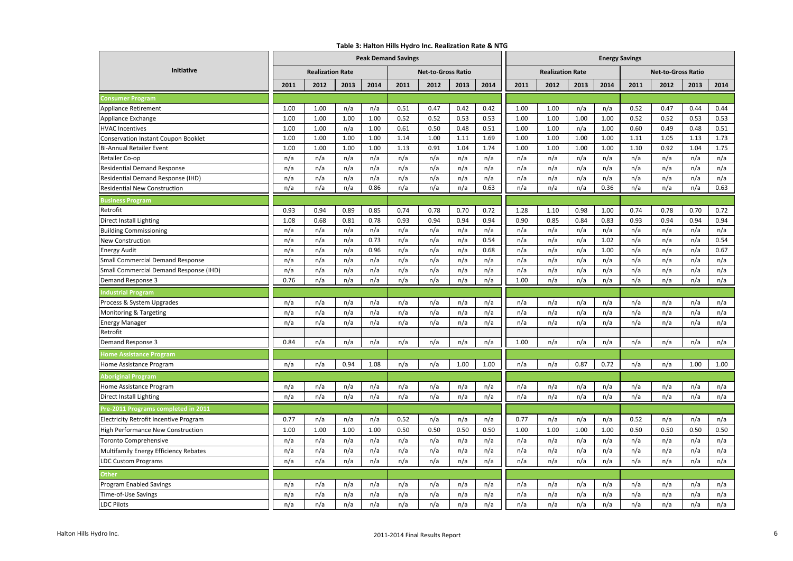#### **Table 3: Halton Hills Hydro Inc. Realization Rate & NTG**

|                                                        | rable 5. Halton Hills Hydro Inc. Realization Rate & NTG<br><b>Peak Demand Savings</b> |                         |      |      |      |                           |      | <b>Energy Savings</b> |      |                         |      |      |      |                           |      |      |
|--------------------------------------------------------|---------------------------------------------------------------------------------------|-------------------------|------|------|------|---------------------------|------|-----------------------|------|-------------------------|------|------|------|---------------------------|------|------|
| <b>Initiative</b>                                      |                                                                                       | <b>Realization Rate</b> |      |      |      | <b>Net-to-Gross Ratio</b> |      |                       |      | <b>Realization Rate</b> |      |      |      | <b>Net-to-Gross Ratio</b> |      |      |
|                                                        | 2011                                                                                  | 2012                    | 2013 | 2014 | 2011 | 2012                      | 2013 | 2014                  | 2011 | 2012                    | 2013 | 2014 | 2011 | 2012                      | 2013 | 2014 |
|                                                        |                                                                                       |                         |      |      |      |                           |      |                       |      |                         |      |      |      |                           |      |      |
| <b>Consumer Program</b><br><b>Appliance Retirement</b> | 1.00                                                                                  | 1.00                    | n/a  | n/a  | 0.51 | 0.47                      | 0.42 | 0.42                  | 1.00 | 1.00                    | n/a  | n/a  | 0.52 | 0.47                      | 0.44 | 0.44 |
| Appliance Exchange                                     | 1.00                                                                                  | 1.00                    | 1.00 | 1.00 | 0.52 | 0.52                      | 0.53 | 0.53                  | 1.00 | 1.00                    | 1.00 | 1.00 | 0.52 | 0.52                      | 0.53 | 0.53 |
| <b>HVAC Incentives</b>                                 | 1.00                                                                                  | 1.00                    | n/a  | 1.00 | 0.61 | 0.50                      | 0.48 | 0.51                  | 1.00 | 1.00                    | n/a  | 1.00 | 0.60 | 0.49                      | 0.48 | 0.51 |
| Conservation Instant Coupon Booklet                    | 1.00                                                                                  | 1.00                    | 1.00 | 1.00 | 1.14 | 1.00                      | 1.11 | 1.69                  | 1.00 | 1.00                    | 1.00 | 1.00 | 1.11 | 1.05                      | 1.13 | 1.73 |
| <b>Bi-Annual Retailer Event</b>                        | 1.00                                                                                  | 1.00                    | 1.00 | 1.00 | 1.13 | 0.91                      | 1.04 | 1.74                  | 1.00 | 1.00                    | 1.00 | 1.00 | 1.10 | 0.92                      | 1.04 | 1.75 |
| Retailer Co-op                                         | n/a                                                                                   | n/a                     | n/a  | n/a  | n/a  | n/a                       | n/a  | n/a                   | n/a  | n/a                     | n/a  | n/a  | n/a  | n/a                       | n/a  | n/a  |
| <b>Residential Demand Response</b>                     | n/a                                                                                   | n/a                     | n/a  | n/a  | n/a  | n/a                       | n/a  | n/a                   | n/a  | n/a                     | n/a  | n/a  | n/a  | n/a                       | n/a  | n/a  |
| Residential Demand Response (IHD)                      | n/a                                                                                   | n/a                     | n/a  | n/a  | n/a  | n/a                       | n/a  | n/a                   | n/a  | n/a                     | n/a  | n/a  | n/a  | n/a                       | n/a  | n/a  |
| Residential New Construction                           | n/a                                                                                   | n/a                     | n/a  | 0.86 | n/a  | n/a                       | n/a  | 0.63                  | n/a  | n/a                     | n/a  | 0.36 | n/a  | n/a                       | n/a  | 0.63 |
| usiness Program                                        |                                                                                       |                         |      |      |      |                           |      |                       |      |                         |      |      |      |                           |      |      |
| Retrofit                                               | 0.93                                                                                  | 0.94                    | 0.89 | 0.85 | 0.74 | 0.78                      | 0.70 | 0.72                  | 1.28 | 1.10                    | 0.98 | 1.00 | 0.74 | 0.78                      | 0.70 | 0.72 |
| Direct Install Lighting                                | 1.08                                                                                  | 0.68                    | 0.81 | 0.78 | 0.93 | 0.94                      | 0.94 | 0.94                  | 0.90 | 0.85                    | 0.84 | 0.83 | 0.93 | 0.94                      | 0.94 | 0.94 |
| <b>Building Commissioning</b>                          | n/a                                                                                   | n/a                     | n/a  | n/a  | n/a  | n/a                       | n/a  | n/a                   | n/a  | n/a                     | n/a  | n/a  | n/a  | n/a                       | n/a  | n/a  |
| <b>New Construction</b>                                | n/a                                                                                   | n/a                     | n/a  | 0.73 | n/a  | n/a                       | n/a  | 0.54                  | n/a  | n/a                     | n/a  | 1.02 | n/a  | n/a                       | n/a  | 0.54 |
| <b>Energy Audit</b>                                    | n/a                                                                                   | n/a                     | n/a  | 0.96 | n/a  | n/a                       | n/a  | 0.68                  | n/a  | n/a                     | n/a  | 1.00 | n/a  | n/a                       | n/a  | 0.67 |
| <b>Small Commercial Demand Response</b>                | n/a                                                                                   | n/a                     | n/a  | n/a  | n/a  | n/a                       | n/a  | n/a                   | n/a  | n/a                     | n/a  | n/a  | n/a  | n/a                       | n/a  | n/a  |
| Small Commercial Demand Response (IHD)                 | n/a                                                                                   | n/a                     | n/a  | n/a  | n/a  | n/a                       | n/a  | n/a                   | n/a  | n/a                     | n/a  | n/a  | n/a  | n/a                       | n/a  | n/a  |
| Demand Response 3                                      | 0.76                                                                                  | n/a                     | n/a  | n/a  | n/a  | n/a                       | n/a  | n/a                   | 1.00 | n/a                     | n/a  | n/a  | n/a  | n/a                       | n/a  | n/a  |
| ndustrial Program                                      |                                                                                       |                         |      |      |      |                           |      |                       |      |                         |      |      |      |                           |      |      |
| Process & System Upgrades                              | n/a                                                                                   | n/a                     | n/a  | n/a  | n/a  | n/a                       | n/a  | n/a                   | n/a  | n/a                     | n/a  | n/a  | n/a  | n/a                       | n/a  | n/a  |
| Monitoring & Targeting                                 | n/a                                                                                   | n/a                     | n/a  | n/a  | n/a  | n/a                       | n/a  | n/a                   | n/a  | n/a                     | n/a  | n/a  | n/a  | n/a                       | n/a  | n/a  |
| <b>Energy Manager</b>                                  | n/a                                                                                   | n/a                     | n/a  | n/a  | n/a  | n/a                       | n/a  | n/a                   | n/a  | n/a                     | n/a  | n/a  | n/a  | n/a                       | n/a  | n/a  |
| Retrofit                                               |                                                                                       |                         |      |      |      |                           |      |                       |      |                         |      |      |      |                           |      |      |
| Demand Response 3                                      | 0.84                                                                                  | n/a                     | n/a  | n/a  | n/a  | n/a                       | n/a  | n/a                   | 1.00 | n/a                     | n/a  | n/a  | n/a  | n/a                       | n/a  | n/a  |
| Iome Assistance Program                                |                                                                                       |                         |      |      |      |                           |      |                       |      |                         |      |      |      |                           |      |      |
| Home Assistance Program                                | n/a                                                                                   | n/a                     | 0.94 | 1.08 | n/a  | n/a                       | 1.00 | 1.00                  | n/a  | n/a                     | 0.87 | 0.72 | n/a  | n/a                       | 1.00 | 1.00 |
| <b>Aboriginal Program</b>                              |                                                                                       |                         |      |      |      |                           |      |                       |      |                         |      |      |      |                           |      |      |
| Home Assistance Program                                | n/a                                                                                   | n/a                     | n/a  | n/a  | n/a  | n/a                       | n/a  | n/a                   | n/a  | n/a                     | n/a  | n/a  | n/a  | n/a                       | n/a  | n/a  |
| Direct Install Lighting                                | n/a                                                                                   | n/a                     | n/a  | n/a  | n/a  | n/a                       | n/a  | n/a                   | n/a  | n/a                     | n/a  | n/a  | n/a  | n/a                       | n/a  | n/a  |
| Pre-2011 Programs completed in 2011                    |                                                                                       |                         |      |      |      |                           |      |                       |      |                         |      |      |      |                           |      |      |
| Electricity Retrofit Incentive Program                 | 0.77                                                                                  | n/a                     | n/a  | n/a  | 0.52 | n/a                       | n/a  | n/a                   | 0.77 | n/a                     | n/a  | n/a  | 0.52 | n/a                       | n/a  | n/a  |
| High Performance New Construction                      | 1.00                                                                                  | 1.00                    | 1.00 | 1.00 | 0.50 | 0.50                      | 0.50 | 0.50                  | 1.00 | 1.00                    | 1.00 | 1.00 | 0.50 | 0.50                      | 0.50 | 0.50 |
| Toronto Comprehensive                                  | n/a                                                                                   | n/a                     | n/a  | n/a  | n/a  | n/a                       | n/a  | n/a                   | n/a  | n/a                     | n/a  | n/a  | n/a  | n/a                       | n/a  | n/a  |
| Multifamily Energy Efficiency Rebates                  | n/a                                                                                   | n/a                     | n/a  | n/a  | n/a  | n/a                       | n/a  | n/a                   | n/a  | n/a                     | n/a  | n/a  | n/a  | n/a                       | n/a  | n/a  |
| <b>LDC Custom Programs</b>                             | n/a                                                                                   | n/a                     | n/a  | n/a  | n/a  | n/a                       | n/a  | n/a                   | n/a  | n/a                     | n/a  | n/a  | n/a  | n/a                       | n/a  | n/a  |
| Other                                                  |                                                                                       |                         |      |      |      |                           |      |                       |      |                         |      |      |      |                           |      |      |
| Program Enabled Savings                                | n/a                                                                                   | n/a                     | n/a  | n/a  | n/a  | n/a                       | n/a  | n/a                   | n/a  | n/a                     | n/a  | n/a  | n/a  | n/a                       | n/a  | n/a  |
| Time-of-Use Savings                                    | n/a                                                                                   | n/a                     | n/a  | n/a  | n/a  | n/a                       | n/a  | n/a                   | n/a  | n/a                     | n/a  | n/a  | n/a  | n/a                       | n/a  | n/a  |
| <b>LDC Pilots</b>                                      | n/a                                                                                   | n/a                     | n/a  | n/a  | n/a  | n/a                       | n/a  | n/a                   | n/a  | n/a                     | n/a  | n/a  | n/a  | n/a                       | n/a  | n/a  |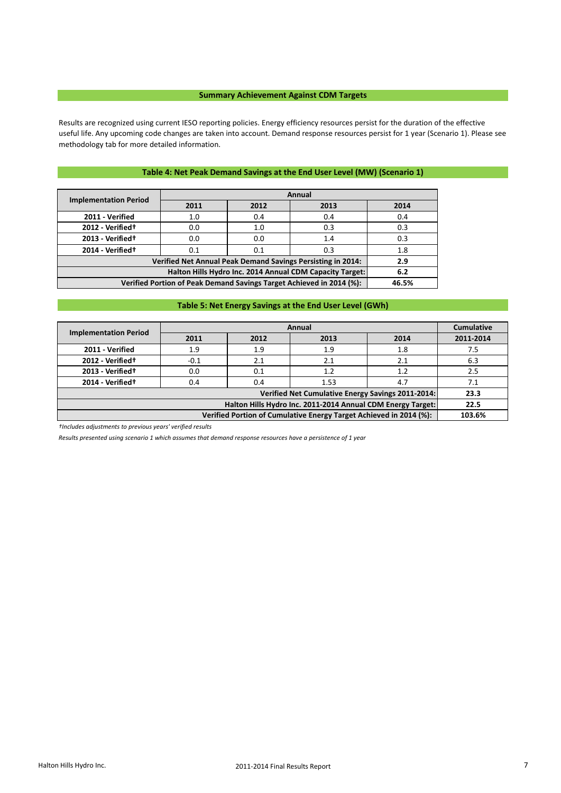### **Summary Achievement Against CDM Targets**

Results are recognized using current IESO reporting policies. Energy efficiency resources persist for the duration of the effective useful life. Any upcoming code changes are taken into account. Demand response resources persist for 1 year (Scenario 1). Please see methodology tab for more detailed information.

## **Table 4: Net Peak Demand Savings at the End User Level (MW) (Scenario 1)**

| <b>Implementation Period</b>                                         |       | Annual |                                                             |      |  |  |  |  |  |  |  |
|----------------------------------------------------------------------|-------|--------|-------------------------------------------------------------|------|--|--|--|--|--|--|--|
|                                                                      | 2011  | 2012   | 2013                                                        | 2014 |  |  |  |  |  |  |  |
| 2011 - Verified                                                      | 1.0   | 0.4    | 0.4                                                         | 0.4  |  |  |  |  |  |  |  |
| 2012 - Verified <sup>+</sup>                                         | 0.0   | 1.0    | 0.3                                                         | 0.3  |  |  |  |  |  |  |  |
| 2013 - Verified <sup>+</sup>                                         | 0.0   | 0.0    | 1.4                                                         | 0.3  |  |  |  |  |  |  |  |
| 2014 - Verified <sup>+</sup>                                         | 0.1   | 0.1    | 0.3                                                         | 1.8  |  |  |  |  |  |  |  |
|                                                                      |       |        | Verified Net Annual Peak Demand Savings Persisting in 2014: | 2.9  |  |  |  |  |  |  |  |
| Halton Hills Hydro Inc. 2014 Annual CDM Capacity Target:<br>6.2      |       |        |                                                             |      |  |  |  |  |  |  |  |
| Verified Portion of Peak Demand Savings Target Achieved in 2014 (%): | 46.5% |        |                                                             |      |  |  |  |  |  |  |  |

## **Table 5: Net Energy Savings at the End User Level (GWh)**

| <b>Implementation Period</b>                                       |        | Annual |                                                             |      |           |  |  |  |  |  |  |  |
|--------------------------------------------------------------------|--------|--------|-------------------------------------------------------------|------|-----------|--|--|--|--|--|--|--|
|                                                                    | 2011   | 2012   | 2013                                                        | 2014 | 2011-2014 |  |  |  |  |  |  |  |
| 2011 - Verified                                                    | 1.9    | 1.9    | 1.9                                                         | 1.8  | 7.5       |  |  |  |  |  |  |  |
| 2012 - Verified <sup>+</sup>                                       | $-0.1$ | 2.1    | 2.1                                                         | 2.1  | 6.3       |  |  |  |  |  |  |  |
| 2013 - Verified <sup>+</sup>                                       | 0.0    | 0.1    | 1.2                                                         | 1.2  | 2.5       |  |  |  |  |  |  |  |
| 2014 - Verified <sup>+</sup>                                       | 0.4    | 0.4    | 1.53                                                        | 4.7  | 7.1       |  |  |  |  |  |  |  |
|                                                                    |        |        | Verified Net Cumulative Energy Savings 2011-2014:           |      | 23.3      |  |  |  |  |  |  |  |
|                                                                    |        |        | Halton Hills Hydro Inc. 2011-2014 Annual CDM Energy Target: |      | 22.5      |  |  |  |  |  |  |  |
| Verified Portion of Cumulative Energy Target Achieved in 2014 (%): |        |        |                                                             |      |           |  |  |  |  |  |  |  |

*†Includes adjustments to previous years' verified results*

*Results presented using scenario 1 which assumes that demand response resources have a persistence of 1 year*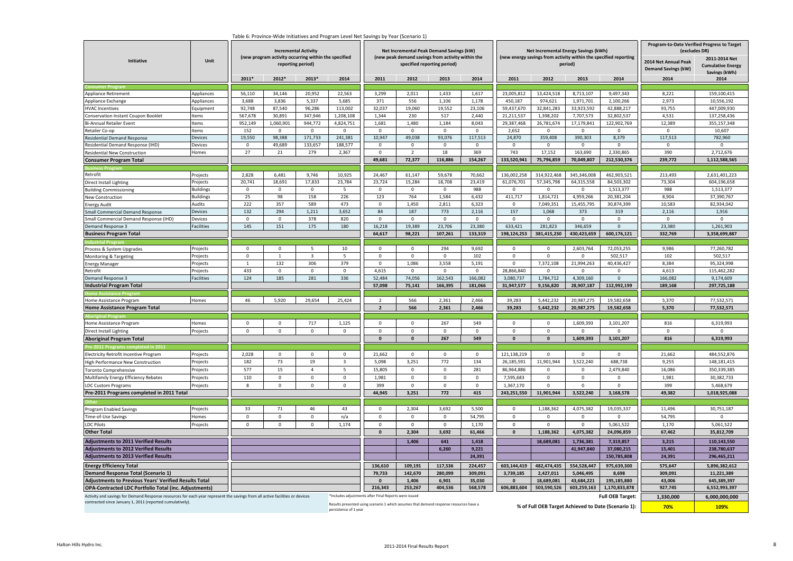| iable 6: Province-Wide initiatives and Program Level Net Savings by Year (Scenario 1)<br><b>Incremental Activity</b><br>(new program activity occurring within the specified |                                                                                                                              |                |                |                          |             |                                                       | Net Incremental Peak Demand Savings (kW)<br>(new peak demand savings from activity within the |                             | Net Incremental Energy Savings (kWh)<br>(new energy savings from activity within the specified reporting |              |               |              | Program-to-Date Verified Progress to Target<br>(excludes DR) |                                                    |                                                            |
|------------------------------------------------------------------------------------------------------------------------------------------------------------------------------|------------------------------------------------------------------------------------------------------------------------------|----------------|----------------|--------------------------|-------------|-------------------------------------------------------|-----------------------------------------------------------------------------------------------|-----------------------------|----------------------------------------------------------------------------------------------------------|--------------|---------------|--------------|--------------------------------------------------------------|----------------------------------------------------|------------------------------------------------------------|
| Initiative                                                                                                                                                                   | Unit                                                                                                                         |                |                | reporting period)        |             |                                                       |                                                                                               | specified reporting period) |                                                                                                          |              |               | period)      |                                                              | 2014 Net Annual Peak<br><b>Demand Savings (kW)</b> | 2011-2014 Net<br><b>Cumulative Energy</b><br>Savings (kWh) |
|                                                                                                                                                                              |                                                                                                                              | 2011*          | 2012*          | 2013*                    | 2014        | 2011                                                  | 2012                                                                                          | 2013                        | 2014                                                                                                     | 2011         | 2012          | 2013         | 2014                                                         | 2014                                               | 2014                                                       |
|                                                                                                                                                                              |                                                                                                                              |                |                |                          |             |                                                       |                                                                                               |                             |                                                                                                          |              |               |              |                                                              |                                                    |                                                            |
| Appliance Retirement                                                                                                                                                         | Appliances                                                                                                                   | 56,110         | 34,146         | 20,952                   | 22,563      | 3,299                                                 | 2,011                                                                                         | 1,433                       | 1,617                                                                                                    | 23,005,812   | 13,424,518    | 8,713,107    | 9,497,343                                                    | 8,221                                              | 159,100,415                                                |
| Appliance Exchange                                                                                                                                                           | Appliances                                                                                                                   | 3,688          | 3,836          | 5,337                    | 5,685       | 371                                                   | 556                                                                                           | 1,106                       | 1,178                                                                                                    | 450,187      | 974,621       | 1,971,701    | 2,100,266                                                    | 2,973                                              | 10,556,192                                                 |
| <b>HVAC Incentives</b>                                                                                                                                                       | Equipment                                                                                                                    | 92,748         | 87,540         | 96,286                   | 113,002     | 32,037                                                | 19,060                                                                                        | 19,552                      | 23,106                                                                                                   | 59,437,670   | 32,841,283    | 33,923,592   | 42,888,217                                                   | 93,755                                             | 447,009,930                                                |
| Conservation Instant Coupon Booklet                                                                                                                                          | tems                                                                                                                         | 567,678        | 30,891         | 347,946                  | 1,208,108   | 1,344                                                 | 230                                                                                           | 517                         | 2,440                                                                                                    | 21,211,537   | 1,398,202     | 7,707,573    | 32,802,537                                                   | 4,531                                              | 137,258,436                                                |
| Bi-Annual Retailer Event                                                                                                                                                     | Items                                                                                                                        | 952,149        | 1,060,901      | 944,772                  | 4,824,751   | 1,681                                                 | 1,480                                                                                         | 1,184                       | 8,043                                                                                                    | 29,387,468   | 26,781,674    | 17,179,841   | 122,902,769                                                  | 12,389                                             | 355,157,348                                                |
| Retailer Co-op                                                                                                                                                               | Items                                                                                                                        | 152            | $\mathbf 0$    | $\Omega$                 | $\Omega$    | $\Omega$                                              | $\mathsf 0$                                                                                   | $\mathbf 0$                 | $\Omega$                                                                                                 | 2,652        | $\mathbf 0$   | $\mathbf 0$  | $\mathbf 0$                                                  | $\Omega$                                           | 10,607                                                     |
| Residential Demand Response                                                                                                                                                  | Devices                                                                                                                      | 19,550         | 98,388         | 171,733                  | 241,381     | 10,947                                                | 49,038                                                                                        | 93,076                      | 117,513                                                                                                  | 24,870       | 359,408       | 390,303      | 8,379                                                        | 117,513                                            | 782,960                                                    |
| Residential Demand Response (IHD)                                                                                                                                            | Devices                                                                                                                      | $\mathsf 0$    | 49,689         | 133,657                  | 188,577     | $\mathbf 0$                                           | $\mathbf 0$                                                                                   | $\Omega$                    | $\mathbf{0}$                                                                                             | $\mathbf 0$  | $\mathbf{0}$  | $\mathbf{0}$ | $\Omega$                                                     | $\Omega$                                           | $\Omega$                                                   |
| <b>Residential New Construction</b>                                                                                                                                          | Homes                                                                                                                        | 27             | 21             | 279                      | 2,367       | $\mathbf{0}$                                          | $\overline{2}$                                                                                | 18                          | 369                                                                                                      | 743          | 17,152        | 163,690      | 2,330,865                                                    | 390                                                | 2,712,676                                                  |
| <b>Consumer Program Total</b>                                                                                                                                                |                                                                                                                              |                |                |                          |             | 49,681                                                | 72,377                                                                                        | 116,886                     | 154,267                                                                                                  | 133,520,941  | 75,796,859    | 70,049,807   | 212,530,376                                                  | 239,772                                            | 1,112,588,565                                              |
|                                                                                                                                                                              |                                                                                                                              |                |                |                          |             |                                                       |                                                                                               |                             |                                                                                                          |              |               |              |                                                              |                                                    |                                                            |
| Retrofit                                                                                                                                                                     | Projects                                                                                                                     | 2,828          | 6,481          | 9,746                    | 10,925      | 24,467                                                | 61,147                                                                                        | 59,678                      | 70,662                                                                                                   | 136,002,258  | 314,922,468   | 345,346,008  | 462,903,521                                                  | 213,493                                            | 2,631,401,223                                              |
| Direct Install Lighting                                                                                                                                                      | <sup>9</sup> rojects                                                                                                         | 20,741         | 18,691         | 17,833                   | 23,784      | 23,724                                                | 15,284                                                                                        | 18,708                      | 23,419                                                                                                   | 61,076,701   | 57,345,798    | 64,315,558   | 84,503,302                                                   | 73,304                                             | 604,196,658                                                |
| <b>Building Commissioning</b>                                                                                                                                                | <b>Buildings</b>                                                                                                             | $\mathbf 0$    | $\mathbf 0$    | $\mathbf 0$              | $5^{\circ}$ | $\mathbf{0}$                                          | $\mathsf 0$                                                                                   | $\mathbf{0}$                | 988                                                                                                      | $\mathbf 0$  | $\Omega$      | $\mathbf 0$  | 1,513,377                                                    | 988                                                | 1,513,377                                                  |
| New Construction                                                                                                                                                             | Buildings                                                                                                                    | 25             | 98             | 158                      | 226         | 123                                                   | 764                                                                                           | 1,584                       | 6,432                                                                                                    | 411,717      | 1,814,721     | 4,959,266    | 20,381,204                                                   | 8,904                                              | 37,390,767                                                 |
| <b>Energy Audit</b>                                                                                                                                                          | Audits                                                                                                                       | 222            | 357            | 589                      | 473         | $\mathbf 0$                                           | 1,450                                                                                         | 2,811                       | 6,323                                                                                                    | $\mathbf 0$  | 7,049,351     | 15,455,795   | 30,874,399                                                   | 10,583                                             | 82,934,042                                                 |
| Small Commercial Demand Response                                                                                                                                             | Devices                                                                                                                      | 132            | 294            | 1,211                    | 3,652       | 84                                                    | 187                                                                                           | 773                         | 2,116                                                                                                    | 157          | 1,068         | 373          | 319                                                          | 2,116                                              | 1,916                                                      |
| Small Commercial Demand Response (IHD)                                                                                                                                       | Devices                                                                                                                      | $\mathbf 0$    | $\mathbf{0}$   | 378                      | 820         | $\mathbf{0}$                                          | $\mathbf{0}$                                                                                  | $\mathbf{0}$                | $\mathbf{0}$                                                                                             | $\mathbf 0$  | $\mathbf{0}$  | $\Omega$     | $\Omega$                                                     | $\Omega$                                           | $\Omega$                                                   |
| Demand Response 3                                                                                                                                                            | <b>Facilities</b>                                                                                                            | 145            | 151            | 175                      | 180         | 16,218                                                | 19,389                                                                                        | 23,706                      | 23,380                                                                                                   | 633,421      | 281,823       | 346,659      | $\Omega$                                                     | 23,380                                             | 1,261,903                                                  |
| <b>Business Program Total</b>                                                                                                                                                |                                                                                                                              |                |                |                          |             | 64,617                                                | 98,221                                                                                        | 107,261                     | 133,319                                                                                                  | 198,124,253  | 381,415,230   | 430,423,659  | 600,176,121                                                  | 332,769                                            | 3,358,699,887                                              |
|                                                                                                                                                                              |                                                                                                                              |                |                |                          |             |                                                       |                                                                                               |                             |                                                                                                          |              |               |              |                                                              |                                                    |                                                            |
| Process & System Upgrades                                                                                                                                                    | Projects                                                                                                                     | $\overline{0}$ | $\Omega$       | $\overline{\phantom{a}}$ | 10          | $\Omega$                                              | $\mathbf 0$                                                                                   | 294                         | 9,692                                                                                                    | $\Omega$     | $\Omega$      | 2,603,764    | 72,053,255                                                   | 9,986                                              | 77,260,782                                                 |
| Monitoring & Targeting                                                                                                                                                       | rojects                                                                                                                      | $\,0\,$        | $\overline{1}$ | $\overline{\mathbf{3}}$  | 5           | $\mathsf 0$                                           | $\mathsf 0$                                                                                   | $\mathbf 0$                 | 102                                                                                                      | $\mathsf 0$  | $\mathsf 0$   | $\Omega$     | 502,517                                                      | 102                                                | 502,517                                                    |
| Energy Manager                                                                                                                                                               | rojects                                                                                                                      | $\mathbf{1}$   | 132            | 306                      | 379         | $\mathbf{0}$                                          | 1,086                                                                                         | 3,558                       | 5,191                                                                                                    | $\Omega$     | 7,372,108     | 21,994,263   | 40,436,427                                                   | 8,384                                              | 95,324,998                                                 |
| Retrofit                                                                                                                                                                     | rojects                                                                                                                      | 433            | $\mathsf 0$    | $\mathbf 0$              | $\mathbf 0$ | 4,615                                                 | $\mathbf 0$                                                                                   | $\mathbf 0$                 | $\mathbf 0$                                                                                              | 28,866,840   | $\mathbf 0$   | $\mathbf 0$  | $\mathbf 0$                                                  | 4,613                                              | 115,462,282                                                |
| Jemand Response 3                                                                                                                                                            | Facilities                                                                                                                   | 124            | 185            | 281                      | 336         | 52,484                                                | 74,056                                                                                        | 162,543                     | 166,082                                                                                                  | 3,080,737    | 1,784,712     | 4,309,160    | $\Omega$                                                     | 166,082                                            | 9,174,609                                                  |
| <b>Industrial Program Total</b>                                                                                                                                              |                                                                                                                              |                |                |                          |             | 57,098                                                | 75,141                                                                                        | 166,395                     | 181,066                                                                                                  | 31,947,577   | 9,156,820     | 28,907,187   | 112,992,199                                                  | 189,168                                            | 297,725,188                                                |
|                                                                                                                                                                              |                                                                                                                              |                |                |                          |             |                                                       |                                                                                               |                             |                                                                                                          |              |               |              |                                                              |                                                    |                                                            |
| Home Assistance Program                                                                                                                                                      | Homes                                                                                                                        | 46             | 5,920          | 29,654                   | 25,424      | $\overline{2}$                                        | 566                                                                                           | 2,361                       | 2,466                                                                                                    | 39,283       | 5,442,232     | 20,987,275   | 19,582,658                                                   | 5,370                                              | 77,532,571                                                 |
| <b>Home Assistance Program Total</b>                                                                                                                                         |                                                                                                                              |                |                |                          |             | $\overline{2}$                                        | 566                                                                                           | 2,361                       | 2,466                                                                                                    | 39,283       | 5,442,232     | 20,987,275   | 19,582,658                                                   | 5,370                                              | 77,532,571                                                 |
|                                                                                                                                                                              |                                                                                                                              |                |                |                          |             |                                                       |                                                                                               |                             |                                                                                                          |              |               |              |                                                              |                                                    |                                                            |
| Home Assistance Program                                                                                                                                                      | Homes                                                                                                                        | $\overline{0}$ | $\mathbf 0$    | 717                      | 1,125       | $\Omega$                                              | $\mathbf 0$                                                                                   | 267                         | 549                                                                                                      | $\Omega$     | $\Omega$      | 1,609,393    | 3,101,207                                                    | 816                                                | 6,319,993                                                  |
| Direct Install Lighting                                                                                                                                                      | Projects                                                                                                                     | $\mathbf 0$    | $\mathbf 0$    | $\mathbf 0$              | $\mathbf 0$ | $\mathbf 0$                                           | $\mathsf 0$                                                                                   | $\mathbf 0$                 | $\mathbf 0$                                                                                              | $\mathbf 0$  | $\mathbf 0$   | $\Omega$     | $\Omega$                                                     | $\Omega$                                           | $\Omega$                                                   |
| <b>Aboriginal Program Total</b>                                                                                                                                              |                                                                                                                              |                |                |                          |             | $\mathbf{0}$                                          | $\pmb{\mathsf{o}}$                                                                            | 267                         | 549                                                                                                      | $\mathbf{0}$ | $\mathbf 0$   | 1,609,393    | 3,101,207                                                    | 816                                                | 6,319,993                                                  |
|                                                                                                                                                                              |                                                                                                                              |                |                |                          |             |                                                       |                                                                                               |                             |                                                                                                          |              |               |              |                                                              |                                                    |                                                            |
| Electricity Retrofit Incentive Program                                                                                                                                       | Projects                                                                                                                     | 2,028          | $\pmb{0}$      | $\mathbf 0$              | $^{\circ}$  | 21,662                                                | $\mathbf 0$                                                                                   | $\overline{0}$              | $\mathbf 0$                                                                                              | 121,138,219  | $\mathbf 0$   | $\mathbf 0$  | $\mathbf 0$                                                  | 21,662                                             | 484,552,876                                                |
| High Performance New Construction                                                                                                                                            | Projects                                                                                                                     | 182            | 73             | 19                       | 3           | 5,098                                                 | 3,251                                                                                         | 772                         | 134                                                                                                      | 26,185,591   | 11,901,944    | 3,522,240    | 688,738                                                      | 9,255                                              | 148, 181, 415                                              |
| Toronto Comprehensive                                                                                                                                                        | rojects                                                                                                                      | 577            | 15             | $\overline{4}$           | 5           | 15,805                                                | $\mathbf 0$                                                                                   | $\mathbf 0$                 | 281                                                                                                      | 86,964,886   | $\mathbf 0$   | $\mathbf 0$  | 2,479,840                                                    | 16,086                                             | 350,339,385                                                |
| Multifamily Energy Efficiency Rebates                                                                                                                                        | Projects                                                                                                                     | 110            | $\mathsf 0$    | $\mathbf 0$              | $\mathbf 0$ | 1,981                                                 | $\mathsf 0$                                                                                   | $\mathbf 0$                 | $\mathbf 0$                                                                                              | 7,595,683    | $\mathbf{0}$  | 0            | 0                                                            | 1,981                                              | 30,382,733                                                 |
| <b>LDC Custom Programs</b>                                                                                                                                                   | Projects                                                                                                                     | 8              | $\mathbf 0$    | $\mathbf 0$              | $\Omega$    | 399                                                   | $\mathbf 0$                                                                                   | 0                           | $\mathbf 0$                                                                                              | 1,367,170    | $\mathsf 0$   | $\Omega$     | 0                                                            | 399                                                | 5,468,679                                                  |
|                                                                                                                                                                              |                                                                                                                              |                |                |                          |             | 44,945                                                | 3,251                                                                                         | 772                         | 415                                                                                                      | 243,251,550  | 11,901,944    | 3,522,240    | 3,168,578                                                    | 49,382                                             |                                                            |
| Pre-2011 Programs completed in 2011 Total                                                                                                                                    |                                                                                                                              |                |                |                          |             |                                                       |                                                                                               |                             |                                                                                                          |              |               |              |                                                              |                                                    | 1,018,925,088                                              |
|                                                                                                                                                                              |                                                                                                                              |                |                |                          |             |                                                       |                                                                                               |                             |                                                                                                          |              |               |              |                                                              |                                                    |                                                            |
| Program Enabled Savings                                                                                                                                                      | Projects                                                                                                                     | 33             | 71             | 46                       | 43          | $\Omega$                                              | 2,304                                                                                         | 3,692                       | 5,500                                                                                                    | $\Omega$     | 1,188,362     | 4,075,382    | 19,035,337                                                   | 11,496                                             | 30,751,187                                                 |
| Time-of-Use Savings                                                                                                                                                          | Homes                                                                                                                        | $\overline{0}$ | $\mathsf 0$    | $\mathbf 0$              | n/a         | $\Omega$                                              | $\mathbf 0$                                                                                   | $\Omega$                    | 54,795                                                                                                   | $\mathsf 0$  | $\Omega$      | $\mathbf 0$  | $\Omega$                                                     | 54,795                                             | $\Omega$                                                   |
| <b>LDC Pilots</b>                                                                                                                                                            | Projects                                                                                                                     | $\mathbf 0$    | $\mathsf 0$    | $\mathsf 0$              | 1,174       | $\mathbf{0}$                                          | $\mathsf 0$                                                                                   | $\mathbf{0}$                | 1,170                                                                                                    | $\mathsf 0$  | $\Omega$      | $\mathbf{0}$ | 5,061,522                                                    | 1,170                                              | 5,061,522                                                  |
| <b>Other Total</b>                                                                                                                                                           |                                                                                                                              |                |                |                          |             | $\mathbf{0}$                                          | 2,304                                                                                         | 3,692                       | 61,466                                                                                                   | $\mathbf{0}$ | 1,188,362     | 4,075,382    | 24,096,859                                                   | 67,462                                             | 35,812,709                                                 |
| <b>Adjustments to 2011 Verified Results</b>                                                                                                                                  |                                                                                                                              |                |                |                          |             |                                                       | 1,406                                                                                         | 641                         | 1,418                                                                                                    |              | 18,689,081    | 1,736,381    | 7,319,857                                                    | 3,215                                              | 110,143,550                                                |
| <b>Adjustments to 2012 Verified Results</b>                                                                                                                                  |                                                                                                                              |                |                |                          |             |                                                       |                                                                                               | 6,260                       | 9,221                                                                                                    |              |               | 41,947,840   | 37,080,215                                                   | 15,401                                             | 238,780,637                                                |
| <b>Adjustments to 2013 Verified Results</b>                                                                                                                                  |                                                                                                                              |                |                |                          |             |                                                       |                                                                                               |                             | 24,391                                                                                                   |              |               |              | 150,785,808                                                  | 24,391                                             | 296,465,211                                                |
| <b>Energy Efficiency Total</b>                                                                                                                                               |                                                                                                                              | 136,610        | 109,191        | 117,536                  | 224,457     | 603,144,419                                           | 482,474,435                                                                                   | 554,528,447                 | 975,639,300                                                                                              | 575,647      | 5,896,382,612 |              |                                                              |                                                    |                                                            |
| <b>Demand Response Total (Scenario 1)</b>                                                                                                                                    |                                                                                                                              |                | 79,733         | 142,670                  | 280,099     | 309,091                                               | 3,739,185                                                                                     | 2,427,011                   | 5,046,495                                                                                                | 8,698        | 309,091       | 11,221,389   |                                                              |                                                    |                                                            |
| Adjustments to Previous Years' Verified Results Total                                                                                                                        |                                                                                                                              |                | $\Omega$       | 1,406                    | 6,901       | 35,030                                                | $\Omega$                                                                                      | 18,689,081                  | 43,684,221                                                                                               | 195,185,880  | 43,006        | 645,389,397  |                                                              |                                                    |                                                            |
|                                                                                                                                                                              |                                                                                                                              |                |                | 216,343                  | 253,267     | 404,536                                               | 568,578                                                                                       | 606,883,604                 | 503,590,526                                                                                              | 603,259,163  | 1,170,833,878 | 927,745      | 6,552,993,397                                                |                                                    |                                                            |
| <b>OPA-Contracted LDC Portfolio Total (inc. Adjustments)</b>                                                                                                                 |                                                                                                                              |                |                |                          |             |                                                       |                                                                                               |                             |                                                                                                          |              |               |              |                                                              |                                                    |                                                            |
|                                                                                                                                                                              | Activity and savings for Demand Response resources for each year represent the savings from all active facilities or devices |                |                |                          |             | *Includes adjustments after Final Reports were issued |                                                                                               |                             |                                                                                                          |              |               |              | <b>Full OEB Target:</b>                                      | 1.330.000                                          | 6,000,000,000                                              |

#### Table 6: Province-Wide Initiatives and Program Level Net Savings by Year (Scenario 1)

contracted since January 1, 2011 (reported cumulatively).

Results presented using scenario 1 which assumes that demand response resources have a **109% 6 and Full OEB Target Achieved to Date (Scenario 1): 70%** 70% **70% 109%** persistence of 1 year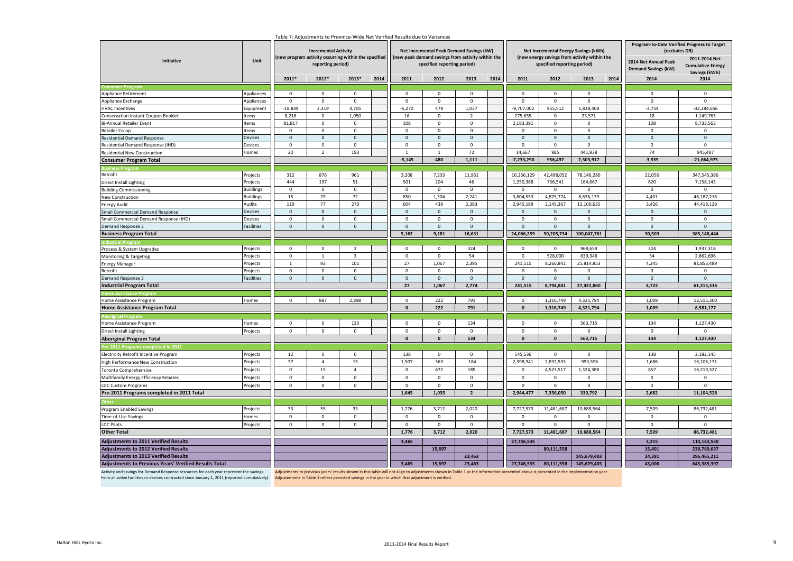| Table 7: Adjustments to Province-Wide Net Verified Results due to Variances                                                                                                                                                                                                     |                      |                          |                                                                                                    |                                                      |      |                |                                                                                  |                |      |                      |                             |                                              |                                                              |                                                    |                                                            |
|---------------------------------------------------------------------------------------------------------------------------------------------------------------------------------------------------------------------------------------------------------------------------------|----------------------|--------------------------|----------------------------------------------------------------------------------------------------|------------------------------------------------------|------|----------------|----------------------------------------------------------------------------------|----------------|------|----------------------|-----------------------------|----------------------------------------------|--------------------------------------------------------------|----------------------------------------------------|------------------------------------------------------------|
|                                                                                                                                                                                                                                                                                 |                      |                          | <b>Incremental Activity</b>                                                                        |                                                      |      |                | Net Incremental Peak Demand Savings (kW)                                         |                |      |                      |                             | Net Incremental Energy Savings (kWh)         | Program-to-Date Verified Progress to Target<br>(excludes DR) |                                                    |                                                            |
| Initiative                                                                                                                                                                                                                                                                      | Unit                 |                          | reporting period)                                                                                  | (new program activity occurring within the specified |      |                | (new peak demand savings from activity within the<br>specified reporting period) |                |      |                      | specified reporting period) | (new energy savings from activity within the |                                                              | 2014 Net Annual Peak<br><b>Demand Savings (kW)</b> | 2011-2014 Net<br><b>Cumulative Energy</b><br>Savings (kWh) |
|                                                                                                                                                                                                                                                                                 |                      | 2011*                    | 2012*                                                                                              | 2013*                                                | 2014 | 2011           | 2012                                                                             | 2013           | 2014 | 2011                 | 2012                        | 2013                                         | 2014                                                         | 2014                                               | 2014                                                       |
|                                                                                                                                                                                                                                                                                 |                      | $\Omega$                 | $\overline{0}$                                                                                     | $\mathbf 0$                                          |      | $\mathbf 0$    | $\mathbf{0}$                                                                     | $\Omega$       |      | $\mathbf 0$          | $\mathbf{0}$                | $\mathbf 0$                                  |                                                              | $\mathbf 0$                                        | $\mathbf 0$                                                |
| Appliance Retirement                                                                                                                                                                                                                                                            | Appliances           |                          | $\mathbf{0}$                                                                                       | $\mathbf 0$                                          |      | $\mathbf{0}$   | $\mathbf{0}$                                                                     | $\mathbf{0}$   |      | $\mathbf 0$          | $\mathbf{0}$                | $\mathbf{0}$                                 |                                                              | $\mathbf{0}$                                       | $\mathbf{0}$                                               |
| Appliance Exchange                                                                                                                                                                                                                                                              | Appliances           | $\mathbf 0$<br>$-18,839$ | 2,319                                                                                              | 4,705                                                |      | $-5,270$       | 479                                                                              | 1,037          |      | $-9,707,002$         | 955,512                     | 1,838,408                                    |                                                              | $-3,754$                                           | $-32,284,656$                                              |
| <b>HVAC Incentives</b>                                                                                                                                                                                                                                                          | Equipment<br>tems    |                          | $\mathbf 0$                                                                                        | 1,050                                                |      | 16             | $\mathbf 0$                                                                      | $\overline{2}$ |      |                      | $\mathbf 0$                 | 23,571                                       |                                                              | 18                                                 | 1,149,763                                                  |
| Conservation Instant Coupon Booklet<br><b>Bi-Annual Retailer Event</b>                                                                                                                                                                                                          | Items                | 8,216<br>81,817          | $\mathbf 0$                                                                                        | $\mathbf 0$                                          |      | 108            | $\mathsf 0$                                                                      | $\mathbf 0$    |      | 275,655<br>2,183,391 | $\mathsf 0$                 | $\mathbf 0$                                  |                                                              | 108                                                | 8,733,563                                                  |
| Retailer Co-op                                                                                                                                                                                                                                                                  | tems                 | $\mathbf 0$              | $\mathbf 0$                                                                                        | $\mathbf 0$                                          |      | $\mathbf 0$    | $\mathsf 0$                                                                      | $\mathbf 0$    |      | $\mathbf 0$          | $\mathbf 0$                 | $\mathbf 0$                                  |                                                              | $\mathbf 0$                                        | $\Omega$                                                   |
| <b>Residential Demand Response</b>                                                                                                                                                                                                                                              | Devices              | $\mathbf 0$              | $\mathbf 0$                                                                                        | $\mathbf 0$                                          |      | $\mathbf 0$    | $\mathsf{O}\xspace$                                                              | $\mathbf 0$    |      | $\mathbf 0$          | $\mathsf{O}\xspace$         | $\mathbf 0$                                  |                                                              | $\mathbf 0$                                        | $\mathbf 0$                                                |
| Residential Demand Response (IHD)                                                                                                                                                                                                                                               | Devices              | $\mathbf 0$              | $\mathbf 0$                                                                                        | $\mathbf 0$                                          |      | $\mathbf 0$    | $\mathbf 0$                                                                      | $\mathbf 0$    |      | $\mathbf 0$          | $\mathbf 0$                 | $\Omega$                                     |                                                              | $\mathbf 0$                                        | $\mathbf 0$                                                |
| Residential New Construction                                                                                                                                                                                                                                                    | Homes                | 20                       | $\overline{2}$                                                                                     | 193                                                  |      | $\overline{1}$ | $\mathbf{1}$                                                                     | 72             |      | 14,667               | 985                         | 441,938                                      |                                                              | 74                                                 | 945,497                                                    |
| <b>Consumer Program Total</b>                                                                                                                                                                                                                                                   |                      |                          |                                                                                                    |                                                      |      | $-5,145$       | 480                                                                              | 1,111          |      | $-7,233,290$         | 956,497                     | 2,303,917                                    |                                                              | $-3,555$                                           | $-21,664,975$                                              |
|                                                                                                                                                                                                                                                                                 |                      |                          |                                                                                                    |                                                      |      |                |                                                                                  |                |      |                      |                             |                                              |                                                              |                                                    |                                                            |
| Retrofit                                                                                                                                                                                                                                                                        | Projects             | 312                      | 876                                                                                                | 961                                                  |      | 3,208          | 7,233                                                                            | 11,961         |      | 16,266,129           | 42,498,052                  | 78,146,280                                   |                                                              | 22,056                                             | 347,545,386                                                |
| Direct Install Lighting                                                                                                                                                                                                                                                         | Projects             | 444                      | 197                                                                                                | 51                                                   |      | 501            | 204                                                                              | 46             |      | 1,250,388            | 736,541                     | 164,667                                      |                                                              | 620                                                | 7,158,143                                                  |
|                                                                                                                                                                                                                                                                                 | <b>Buildings</b>     | $\mathsf 0$              | $\,0\,$                                                                                            | $\mathbf 0$                                          |      | $\mathbf 0$    | $\mathbf 0$                                                                      | $\mathbf 0$    |      | $\mathbf 0$          | $\mathsf 0$                 | $\mathbf 0$                                  |                                                              | $\mathbf 0$                                        | $\mathbf{0}$                                               |
| <b>Building Commissioning</b><br>New Construction                                                                                                                                                                                                                               | <b>Buildings</b>     | 15                       | 29                                                                                                 | 72                                                   |      | 850            | 1,304                                                                            | 2,241          |      | 3,604,553            | 4,825,774                   | 8,636,179                                    |                                                              | 4,401                                              | 46,187,216                                                 |
| <b>Energy Audit</b>                                                                                                                                                                                                                                                             | Audits               | 119                      | 77                                                                                                 | 270                                                  |      | 604            | 439                                                                              | 2,383          |      | 2,945,189            | 2,145,367                   | 13,100,635                                   |                                                              | 3,426                                              | 44,418,129                                                 |
| Small Commercial Demand Response                                                                                                                                                                                                                                                | Devices              | $\mathbf{0}$             | $\mathbf 0$                                                                                        | $\mathbf 0$                                          |      | $\mathbf 0$    | $\mathbf 0$                                                                      | $\mathbf 0$    |      | $\mathbf 0$          | $\mathbf 0$                 | $\mathbf 0$                                  |                                                              | $\mathbf 0$                                        | $\mathbf{0}$                                               |
| Small Commercial Demand Response (IHD)                                                                                                                                                                                                                                          | Devices              | $\mathbf 0$              | $\mathbf 0$                                                                                        | $\mathbf 0$                                          |      | $\mathbf 0$    | $\mathbf 0$                                                                      | $\mathbf 0$    |      | $\mathbf 0$          | $\mathbf 0$                 | $\mathbf 0$                                  |                                                              | $\mathbf 0$                                        | $\mathsf 0$                                                |
| Demand Response 3                                                                                                                                                                                                                                                               | Facilities           | $\mathbf{0}$             | $\mathbf{0}$                                                                                       | $\mathbf 0$                                          |      | $\mathbf 0$    | $\mathsf{O}\xspace$                                                              | $\mathbf{0}$   |      | $\Omega$             | $\mathbf{0}$                | $\mathbf 0$                                  |                                                              | $\mathbf 0$                                        | $\mathbf 0$                                                |
| <b>Business Program Total</b>                                                                                                                                                                                                                                                   |                      |                          |                                                                                                    |                                                      |      | 5,162          | 9,181                                                                            | 16,631         |      | 24,066,259           | 50,205,734                  | 100,047,761                                  |                                                              | 30,503                                             | 385,148,444                                                |
| dustrial Pr                                                                                                                                                                                                                                                                     |                      |                          |                                                                                                    |                                                      |      |                |                                                                                  |                |      |                      |                             |                                              |                                                              |                                                    |                                                            |
| Process & System Upgrades                                                                                                                                                                                                                                                       | Projects             | 0                        | $\mathbf 0$                                                                                        | $\overline{2}$                                       |      | $\mathbf 0$    | $\mathbf 0$                                                                      | 324            |      | 0                    | $\mathbf 0$                 | 968,659                                      |                                                              | 324                                                | 1,937,318                                                  |
| Monitoring & Targeting                                                                                                                                                                                                                                                          | Projects             | $\mathbf 0$              | $\mathbf{1}$                                                                                       | $\overline{\mathbf{3}}$                              |      | $\mathsf 0$    | $\mathsf 0$                                                                      | 54             |      | $\mathbf 0$          | 528,000                     | 639,348                                      |                                                              | 54                                                 | 2,862,696                                                  |
| <b>Energy Manager</b>                                                                                                                                                                                                                                                           | Projects             | $\mathbf{1}$             | 93                                                                                                 | 101                                                  |      | 27             | 1,067                                                                            | 2,395          |      | 241,515              | 8,266,841                   | 25,814,853                                   |                                                              | 4,345                                              | 81,853,489                                                 |
| Retrofit                                                                                                                                                                                                                                                                        | Projects             | $\mathbf 0$              | $\mathbf 0$                                                                                        | $\mathbf{0}$                                         |      | $\mathbf 0$    | $\mathsf 0$                                                                      | $\mathbf 0$    |      | $\mathbf 0$          | $\mathbf 0$                 | $\mathbf 0$                                  |                                                              | $\mathbf 0$                                        | $\mathbf 0$                                                |
| Demand Response 3                                                                                                                                                                                                                                                               | Facilities           | $\mathbf{0}$             | $\mathsf{O}\xspace$                                                                                | $\mathbf{0}$                                         |      | $\mathbf 0$    | $\mathbf{0}$                                                                     | $\mathbf{0}$   |      | $\Omega$             | $\mathbf{0}$                | $\mathbf{0}$                                 |                                                              | $\mathbf{0}$                                       | $\mathbf{0}$                                               |
| <b>Industrial Program Total</b>                                                                                                                                                                                                                                                 |                      |                          |                                                                                                    |                                                      |      | 27             | 1,067                                                                            | 2,774          |      | 241,515              | 8,794,841                   | 27,422,860                                   |                                                              | 4,723                                              | 61,215,516                                                 |
|                                                                                                                                                                                                                                                                                 |                      |                          |                                                                                                    |                                                      |      |                |                                                                                  |                |      |                      |                             |                                              |                                                              |                                                    |                                                            |
| Home Assistance Program                                                                                                                                                                                                                                                         | Homes                | $\mathbf 0$              | 887                                                                                                | 2,898                                                |      | $\mathbf 0$    | 222                                                                              | 791            |      | $\overline{0}$       | 1,316,749                   | 4,321,794                                    |                                                              | 1,009                                              | 12,515,300                                                 |
| <b>Home Assistance Program Total</b>                                                                                                                                                                                                                                            |                      |                          |                                                                                                    |                                                      |      | $\mathbf{0}$   | 222                                                                              | 791            |      | $\mathbf 0$          | 1,316,749                   | 4,321,794                                    |                                                              | 1,009                                              | 8,581,177                                                  |
|                                                                                                                                                                                                                                                                                 |                      |                          |                                                                                                    |                                                      |      |                |                                                                                  |                |      |                      |                             |                                              |                                                              |                                                    |                                                            |
| Home Assistance Program                                                                                                                                                                                                                                                         | Homes                | $\mathbf 0$              | $\mathbf 0$                                                                                        | 133                                                  |      | $\mathbf 0$    | $\mathsf 0$                                                                      | 134            |      | $\mathsf 0$          | $\mathbf 0$                 | 563,715                                      |                                                              | 134                                                | 1,127,430                                                  |
| <b>Direct Install Lighting</b>                                                                                                                                                                                                                                                  | Projects             | $\mathbf 0$              | $\mathbf 0$                                                                                        | $\mathbf 0$                                          |      | $\mathbf 0$    | $\mathbf 0$                                                                      | $\mathbf 0$    |      | $\mathbf 0$          | $\mathbf 0$                 | $\Omega$                                     |                                                              | $\mathbf 0$                                        | $\Omega$                                                   |
| <b>Aboriginal Program Total</b>                                                                                                                                                                                                                                                 |                      |                          |                                                                                                    |                                                      |      | $\mathbf{0}$   | $\mathbf{0}$                                                                     | 134            |      | $\Omega$             | $\pmb{\mathsf{0}}$          | 563,715                                      |                                                              | 134                                                | 1,127,430                                                  |
|                                                                                                                                                                                                                                                                                 |                      |                          |                                                                                                    |                                                      |      |                |                                                                                  |                |      |                      |                             |                                              |                                                              |                                                    |                                                            |
| e-2011 Programs completed in 201                                                                                                                                                                                                                                                |                      | 12                       | $\mathbf 0$                                                                                        | $\mathbf 0$                                          |      | 138            | $\mathbf 0$                                                                      | $\mathsf 0$    |      | 545,536              | $\mathsf 0$                 | $\mathsf 0$                                  |                                                              | 138                                                | 2,182,145                                                  |
| Electricity Retrofit Incentive Program<br><b>High Performance New Construction</b>                                                                                                                                                                                              | Projects<br>Projects | 37                       | $\overline{4}$                                                                                     | 15                                                   |      | 1,507          | 363                                                                              | $-184$         |      | 2,398,941            | 2,832,533                   | $-993,596$                                   |                                                              | 1,686                                              | 16,106,171                                                 |
|                                                                                                                                                                                                                                                                                 |                      | $\mathbf 0$              |                                                                                                    | $\overline{4}$                                       |      |                |                                                                                  |                |      | $\Omega$             |                             |                                              |                                                              |                                                    |                                                            |
| <b>Toronto Comprehensive</b>                                                                                                                                                                                                                                                    | Projects             |                          | 15                                                                                                 |                                                      |      | $\mathbf 0$    | 672                                                                              | 185            |      |                      | 4,523,517                   | 1,324,388                                    |                                                              | 857                                                | 16,219,327                                                 |
| Multifamily Energy Efficiency Rebates                                                                                                                                                                                                                                           | Projects             | $\mathsf 0$              | $\mathbf 0$                                                                                        | $\mathbf 0$                                          |      | $\pmb{0}$      | $\mathbf 0$                                                                      | $\mathbf 0$    |      | $\mathsf 0$          | $\mathbf 0$                 | 0                                            |                                                              | $\mathbf 0$                                        | 0                                                          |
| <b>LDC Custom Programs</b>                                                                                                                                                                                                                                                      | Projects             | $\mathbf 0$              | $\mathbf 0$                                                                                        | $\mathbf 0$                                          |      | $\mathbf 0$    | $\mathsf 0$                                                                      | $\mathbf 0$    |      | $\mathbf 0$          | $\mathbf 0$                 | $\mathbf 0$                                  |                                                              | $\mathbf 0$                                        | $\mathbf 0$                                                |
| Pre-2011 Programs completed in 2011 Total                                                                                                                                                                                                                                       |                      |                          |                                                                                                    |                                                      |      | 1,645          | 1,035                                                                            | $\overline{2}$ |      | 2,944,477            | 7,356,050                   | 330,792                                      |                                                              | 2,682                                              | 11,104,528                                                 |
|                                                                                                                                                                                                                                                                                 |                      |                          |                                                                                                    |                                                      |      |                |                                                                                  |                |      |                      |                             |                                              |                                                              |                                                    |                                                            |
| Program Enabled Savings                                                                                                                                                                                                                                                         | Projects             | 33                       | 55                                                                                                 | 33                                                   |      | 1,776          | 3,712                                                                            | 2,020          |      | 7,727,573            | 11,481,687                  | 10,688,564                                   |                                                              | 7,509                                              | 86,732,481                                                 |
| Time-of-Use Savings                                                                                                                                                                                                                                                             | Homes                | $\mathsf 0$              | $\mathsf 0$                                                                                        | 0                                                    |      | $\mathbf 0$    | $\mathbf 0$                                                                      | $\mathbf 0$    |      | $\mathbf 0$          | $\mathbf 0$                 | 0                                            |                                                              | $\mathbf 0$                                        | $\Omega$                                                   |
| <b>LDC Pilots</b>                                                                                                                                                                                                                                                               | Projects             | $\Omega$                 | $\mathbf 0$                                                                                        | $\mathbf 0$                                          |      | $\mathbf 0$    | $\mathbf{0}$                                                                     | $\mathbf 0$    |      | $\Omega$             | $\Omega$                    | $\Omega$                                     |                                                              | $\Omega$                                           | $\Omega$                                                   |
| <b>Other Total</b>                                                                                                                                                                                                                                                              |                      |                          |                                                                                                    |                                                      |      | 1,776          | 3,712                                                                            | 2,020          |      | 7,727,573            | 11,481,687                  | 10,688,564                                   |                                                              | 7,509                                              | 86,732,481                                                 |
| <b>Adjustments to 2011 Verified Results</b>                                                                                                                                                                                                                                     |                      |                          |                                                                                                    |                                                      |      | 3.465          |                                                                                  |                |      | 27,746,535           |                             |                                              |                                                              | 3,215                                              | 110,143,550                                                |
| <b>Adjustments to 2012 Verified Results</b>                                                                                                                                                                                                                                     |                      |                          |                                                                                                    |                                                      |      |                | 15,697                                                                           |                |      |                      | 80,111,558                  |                                              |                                                              | 15,401                                             | 238,780,637                                                |
| <b>Adjustments to 2013 Verified Results</b>                                                                                                                                                                                                                                     |                      |                          |                                                                                                    |                                                      |      |                |                                                                                  | 23,463         |      |                      |                             | 145,679,403                                  |                                                              | 24,391                                             | 296,465,211                                                |
| <b>Adjustments to Previous Years' Verified Results Total</b>                                                                                                                                                                                                                    |                      |                          |                                                                                                    |                                                      |      | 3,465          | 15,697                                                                           | 23,463         |      | 27,746,535           | 80,111,558                  | 145,679,403                                  |                                                              | 43,006                                             | 645,389,397                                                |
| Activity and savings for Demand Response resources for each year represent the savings<br>Adjustments to previous years' results shown in this table will not align to adjustments shown in Table 1 as the information presented above is presented in the implementation year. |                      |                          |                                                                                                    |                                                      |      |                |                                                                                  |                |      |                      |                             |                                              |                                                              |                                                    |                                                            |
| from all active facilities or devices contracted since January 1, 2011 (reported cumulatively).                                                                                                                                                                                 |                      |                          | Adjustements in Table 1 reflect persisted savings in the year in which that adjustment is verified |                                                      |      |                |                                                                                  |                |      |                      |                             |                                              |                                                              |                                                    |                                                            |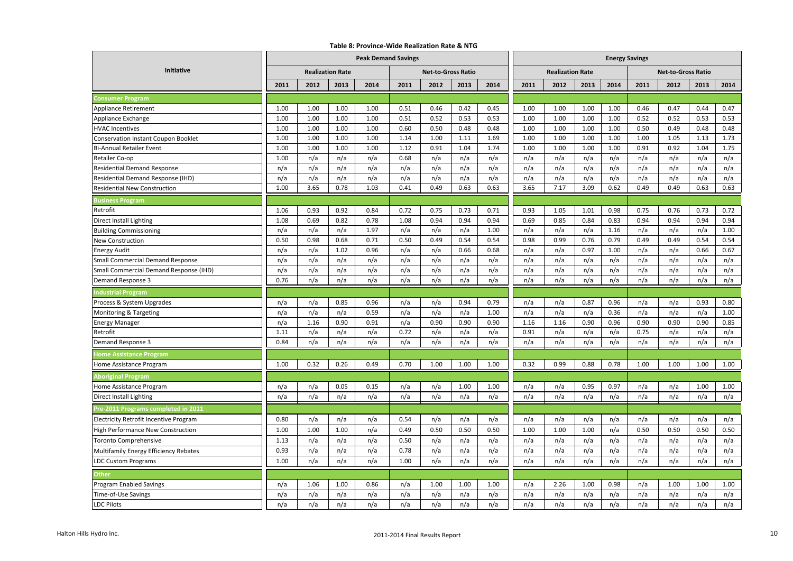#### **Table 8: Province-Wide Realization Rate & NTG**

|                                            |      |                         |      | <b>Peak Demand Savings</b> |      |                           |      | <b>Energy Savings</b> |      |                         |      |      |      |                           |      |      |
|--------------------------------------------|------|-------------------------|------|----------------------------|------|---------------------------|------|-----------------------|------|-------------------------|------|------|------|---------------------------|------|------|
| Initiative                                 |      | <b>Realization Rate</b> |      |                            |      | <b>Net-to-Gross Ratio</b> |      |                       |      | <b>Realization Rate</b> |      |      |      | <b>Net-to-Gross Ratio</b> |      |      |
|                                            | 2011 | 2012                    | 2013 | 2014                       | 2011 | 2012                      | 2013 | 2014                  | 2011 | 2012                    | 2013 | 2014 | 2011 | 2012                      | 2013 | 2014 |
| <b>Consumer Program</b>                    |      |                         |      |                            |      |                           |      |                       |      |                         |      |      |      |                           |      |      |
| <b>Appliance Retirement</b>                | 1.00 | 1.00                    | 1.00 | 1.00                       | 0.51 | 0.46                      | 0.42 | 0.45                  | 1.00 | 1.00                    | 1.00 | 1.00 | 0.46 | 0.47                      | 0.44 | 0.47 |
| Appliance Exchange                         | 1.00 | 1.00                    | 1.00 | 1.00                       | 0.51 | 0.52                      | 0.53 | 0.53                  | 1.00 | 1.00                    | 1.00 | 1.00 | 0.52 | 0.52                      | 0.53 | 0.53 |
| <b>HVAC Incentives</b>                     | 1.00 | 1.00                    | 1.00 | 1.00                       | 0.60 | 0.50                      | 0.48 | 0.48                  | 1.00 | 1.00                    | 1.00 | 1.00 | 0.50 | 0.49                      | 0.48 | 0.48 |
| <b>Conservation Instant Coupon Booklet</b> | 1.00 | 1.00                    | 1.00 | 1.00                       | 1.14 | 1.00                      | 1.11 | 1.69                  | 1.00 | 1.00                    | 1.00 | 1.00 | 1.00 | 1.05                      | 1.13 | 1.73 |
| <b>Bi-Annual Retailer Event</b>            | 1.00 | 1.00                    | 1.00 | 1.00                       | 1.12 | 0.91                      | 1.04 | 1.74                  | 1.00 | 1.00                    | 1.00 | 1.00 | 0.91 | 0.92                      | 1.04 | 1.75 |
| Retailer Co-op                             | 1.00 | n/a                     | n/a  | n/a                        | 0.68 | n/a                       | n/a  | n/a                   | n/a  | n/a                     | n/a  | n/a  | n/a  | n/a                       | n/a  | n/a  |
| <b>Residential Demand Response</b>         | n/a  | n/a                     | n/a  | n/a                        | n/a  | n/a                       | n/a  | n/a                   | n/a  | n/a                     | n/a  | n/a  | n/a  | n/a                       | n/a  | n/a  |
| Residential Demand Response (IHD)          | n/a  | n/a                     | n/a  | n/a                        | n/a  | n/a                       | n/a  | n/a                   | n/a  | n/a                     | n/a  | n/a  | n/a  | n/a                       | n/a  | n/a  |
| <b>Residential New Construction</b>        | 1.00 | 3.65                    | 0.78 | 1.03                       | 0.41 | 0.49                      | 0.63 | 0.63                  | 3.65 | 7.17                    | 3.09 | 0.62 | 0.49 | 0.49                      | 0.63 | 0.63 |
| <b>Business Program</b>                    |      |                         |      |                            |      |                           |      |                       |      |                         |      |      |      |                           |      |      |
| Retrofit                                   | 1.06 | 0.93                    | 0.92 | 0.84                       | 0.72 | 0.75                      | 0.73 | 0.71                  | 0.93 | 1.05                    | 1.01 | 0.98 | 0.75 | 0.76                      | 0.73 | 0.72 |
| Direct Install Lighting                    | 1.08 | 0.69                    | 0.82 | 0.78                       | 1.08 | 0.94                      | 0.94 | 0.94                  | 0.69 | 0.85                    | 0.84 | 0.83 | 0.94 | 0.94                      | 0.94 | 0.94 |
| <b>Building Commissioning</b>              | n/a  | n/a                     | n/a  | 1.97                       | n/a  | n/a                       | n/a  | 1.00                  | n/a  | n/a                     | n/a  | 1.16 | n/a  | n/a                       | n/a  | 1.00 |
| New Construction                           | 0.50 | 0.98                    | 0.68 | 0.71                       | 0.50 | 0.49                      | 0.54 | 0.54                  | 0.98 | 0.99                    | 0.76 | 0.79 | 0.49 | 0.49                      | 0.54 | 0.54 |
| <b>Energy Audit</b>                        | n/a  | n/a                     | 1.02 | 0.96                       | n/a  | n/a                       | 0.66 | 0.68                  | n/a  | n/a                     | 0.97 | 1.00 | n/a  | n/a                       | 0.66 | 0.67 |
| <b>Small Commercial Demand Response</b>    | n/a  | n/a                     | n/a  | n/a                        | n/a  | n/a                       | n/a  | n/a                   | n/a  | n/a                     | n/a  | n/a  | n/a  | n/a                       | n/a  | n/a  |
| Small Commercial Demand Response (IHD)     | n/a  | n/a                     | n/a  | n/a                        | n/a  | n/a                       | n/a  | n/a                   | n/a  | n/a                     | n/a  | n/a  | n/a  | n/a                       | n/a  | n/a  |
| Demand Response 3                          | 0.76 | n/a                     | n/a  | n/a                        | n/a  | n/a                       | n/a  | n/a                   | n/a  | n/a                     | n/a  | n/a  | n/a  | n/a                       | n/a  | n/a  |
| ndustrial Program                          |      |                         |      |                            |      |                           |      |                       |      |                         |      |      |      |                           |      |      |
| Process & System Upgrades                  | n/a  | n/a                     | 0.85 | 0.96                       | n/a  | n/a                       | 0.94 | 0.79                  | n/a  | n/a                     | 0.87 | 0.96 | n/a  | n/a                       | 0.93 | 0.80 |
| Monitoring & Targeting                     | n/a  | n/a                     | n/a  | 0.59                       | n/a  | n/a                       | n/a  | 1.00                  | n/a  | n/a                     | n/a  | 0.36 | n/a  | n/a                       | n/a  | 1.00 |
| <b>Energy Manager</b>                      | n/a  | 1.16                    | 0.90 | 0.91                       | n/a  | 0.90                      | 0.90 | 0.90                  | 1.16 | 1.16                    | 0.90 | 0.96 | 0.90 | 0.90                      | 0.90 | 0.85 |
| Retrofit                                   | 1.11 | n/a                     | n/a  | n/a                        | 0.72 | n/a                       | n/a  | n/a                   | 0.91 | n/a                     | n/a  | n/a  | 0.75 | n/a                       | n/a  | n/a  |
| Demand Response 3                          | 0.84 | n/a                     | n/a  | n/a                        | n/a  | n/a                       | n/a  | n/a                   | n/a  | n/a                     | n/a  | n/a  | n/a  | n/a                       | n/a  | n/a  |
| <b>Iome Assistance Program</b>             |      |                         |      |                            |      |                           |      |                       |      |                         |      |      |      |                           |      |      |
| Home Assistance Program                    | 1.00 | 0.32                    | 0.26 | 0.49                       | 0.70 | 1.00                      | 1.00 | 1.00                  | 0.32 | 0.99                    | 0.88 | 0.78 | 1.00 | 1.00                      | 1.00 | 1.00 |
| <b>Aboriginal Program</b>                  |      |                         |      |                            |      |                           |      |                       |      |                         |      |      |      |                           |      |      |
| Home Assistance Program                    | n/a  | n/a                     | 0.05 | 0.15                       | n/a  | n/a                       | 1.00 | 1.00                  | n/a  | n/a                     | 0.95 | 0.97 | n/a  | n/a                       | 1.00 | 1.00 |
| <b>Direct Install Lighting</b>             | n/a  | n/a                     | n/a  | n/a                        | n/a  | n/a                       | n/a  | n/a                   | n/a  | n/a                     | n/a  | n/a  | n/a  | n/a                       | n/a  | n/a  |
| Pre-2011 Programs completed in 2011        |      |                         |      |                            |      |                           |      |                       |      |                         |      |      |      |                           |      |      |
| Electricity Retrofit Incentive Program     | 0.80 | n/a                     | n/a  | n/a                        | 0.54 | n/a                       | n/a  | n/a                   | n/a  | n/a                     | n/a  | n/a  | n/a  | n/a                       | n/a  | n/a  |
| High Performance New Construction          | 1.00 | 1.00                    | 1.00 | n/a                        | 0.49 | 0.50                      | 0.50 | 0.50                  | 1.00 | 1.00                    | 1.00 | n/a  | 0.50 | 0.50                      | 0.50 | 0.50 |
| <b>Toronto Comprehensive</b>               | 1.13 | n/a                     | n/a  | n/a                        | 0.50 | n/a                       | n/a  | n/a                   | n/a  | n/a                     | n/a  | n/a  | n/a  | n/a                       | n/a  | n/a  |
| Multifamily Energy Efficiency Rebates      | 0.93 | n/a                     | n/a  | n/a                        | 0.78 | n/a                       | n/a  | n/a                   | n/a  | n/a                     | n/a  | n/a  | n/a  | n/a                       | n/a  | n/a  |
| <b>LDC Custom Programs</b>                 | 1.00 | n/a                     | n/a  | n/a                        | 1.00 | n/a                       | n/a  | n/a                   | n/a  | n/a                     | n/a  | n/a  | n/a  | n/a                       | n/a  | n/a  |
| Other                                      |      |                         |      |                            |      |                           |      |                       |      |                         |      |      |      |                           |      |      |
| <b>Program Enabled Savings</b>             | n/a  | 1.06                    | 1.00 | 0.86                       | n/a  | 1.00                      | 1.00 | 1.00                  | n/a  | 2.26                    | 1.00 | 0.98 | n/a  | 1.00                      | 1.00 | 1.00 |
| Time-of-Use Savings                        | n/a  | n/a                     | n/a  | n/a                        | n/a  | n/a                       | n/a  | n/a                   | n/a  | n/a                     | n/a  | n/a  | n/a  | n/a                       | n/a  | n/a  |
| <b>LDC Pilots</b>                          | n/a  | n/a                     | n/a  | n/a                        | n/a  | n/a                       | n/a  | n/a                   | n/a  | n/a                     | n/a  | n/a  | n/a  | n/a                       | n/a  | n/a  |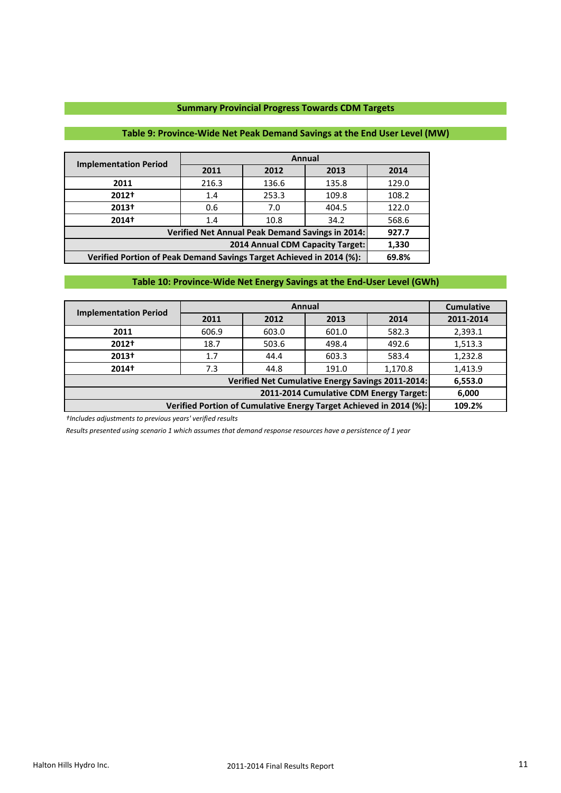## **Summary Provincial Progress Towards CDM Targets**

# **Table 9: Province-Wide Net Peak Demand Savings at the End User Level (MW)**

| <b>Implementation Period</b>                                                  |                                           |                                                  | Annual |       |  |  |  |  |  |  |
|-------------------------------------------------------------------------------|-------------------------------------------|--------------------------------------------------|--------|-------|--|--|--|--|--|--|
|                                                                               | 2011                                      | 2012                                             | 2013   | 2014  |  |  |  |  |  |  |
| 2011                                                                          | 216.3                                     | 136.6                                            | 135.8  | 129.0 |  |  |  |  |  |  |
| 2012+                                                                         | 1.4                                       | 253.3                                            | 109.8  | 108.2 |  |  |  |  |  |  |
| 2013+                                                                         | 0.6                                       | 7.0                                              | 404.5  | 122.0 |  |  |  |  |  |  |
| 2014†                                                                         | 1.4                                       | 10.8                                             | 34.2   | 568.6 |  |  |  |  |  |  |
|                                                                               |                                           | Verified Net Annual Peak Demand Savings in 2014: |        | 927.7 |  |  |  |  |  |  |
|                                                                               | 2014 Annual CDM Capacity Target:<br>1,330 |                                                  |        |       |  |  |  |  |  |  |
| Verified Portion of Peak Demand Savings Target Achieved in 2014 (%):<br>69.8% |                                           |                                                  |        |       |  |  |  |  |  |  |

## **Table 10: Province-Wide Net Energy Savings at the End-User Level (GWh)**

| <b>Implementation Period</b>                                       |        |                         | Annual                                            |         | <b>Cumulative</b> |  |  |  |  |  |
|--------------------------------------------------------------------|--------|-------------------------|---------------------------------------------------|---------|-------------------|--|--|--|--|--|
|                                                                    | 2011   | 2012                    | 2013                                              | 2014    | 2011-2014         |  |  |  |  |  |
| 2011                                                               | 606.9  | 582.3<br>603.0<br>601.0 |                                                   |         |                   |  |  |  |  |  |
| 2012+                                                              | 18.7   | 503.6                   | 498.4                                             | 492.6   | 1,513.3           |  |  |  |  |  |
| 2013†                                                              | 1.7    | 44.4                    | 603.3                                             | 583.4   | 1,232.8           |  |  |  |  |  |
| $2014+$                                                            | 7.3    | 44.8                    | 191.0                                             | 1,170.8 | 1,413.9           |  |  |  |  |  |
|                                                                    |        |                         | Verified Net Cumulative Energy Savings 2011-2014: |         | 6,553.0           |  |  |  |  |  |
| 2011-2014 Cumulative CDM Energy Target:<br>6,000                   |        |                         |                                                   |         |                   |  |  |  |  |  |
| Verified Portion of Cumulative Energy Target Achieved in 2014 (%): | 109.2% |                         |                                                   |         |                   |  |  |  |  |  |

*†Includes adjustments to previous years' verified results*

*Results presented using scenario 1 which assumes that demand response resources have a persistence of 1 year*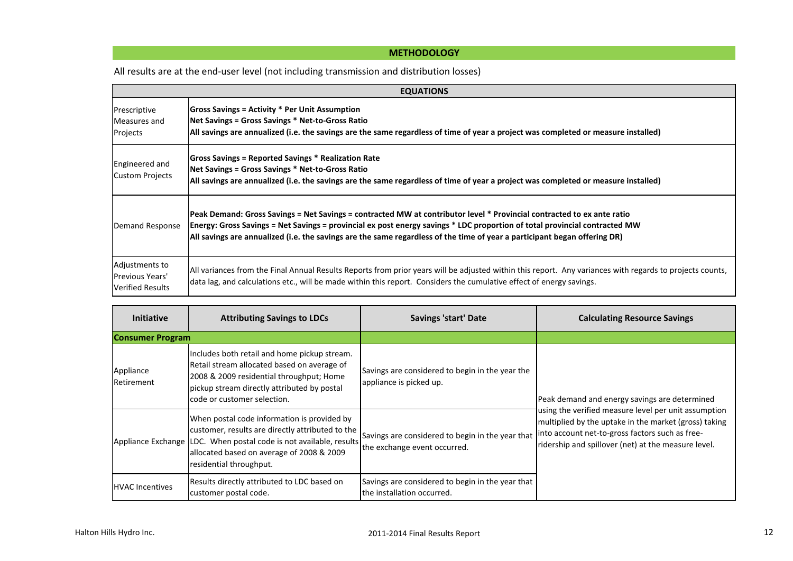# **METHODOLOGY**

All results are at the end-user level (not including transmission and distribution losses)

|                                                                     | <b>EQUATIONS</b>                                                                                                                                                                                                                                                                                                                                                                  |  |  |  |  |  |  |  |  |  |
|---------------------------------------------------------------------|-----------------------------------------------------------------------------------------------------------------------------------------------------------------------------------------------------------------------------------------------------------------------------------------------------------------------------------------------------------------------------------|--|--|--|--|--|--|--|--|--|
| Prescriptive<br>Measures and<br>Projects                            | Gross Savings = Activity * Per Unit Assumption<br>Net Savings = Gross Savings * Net-to-Gross Ratio<br>All savings are annualized (i.e. the savings are the same regardless of time of year a project was completed or measure installed)                                                                                                                                          |  |  |  |  |  |  |  |  |  |
| Engineered and<br><b>Custom Projects</b>                            | Gross Savings = Reported Savings * Realization Rate<br>Net Savings = Gross Savings * Net-to-Gross Ratio<br>All savings are annualized (i.e. the savings are the same regardless of time of year a project was completed or measure installed)                                                                                                                                     |  |  |  |  |  |  |  |  |  |
| Demand Response                                                     | Peak Demand: Gross Savings = Net Savings = contracted MW at contributor level * Provincial contracted to ex ante ratio<br>Energy: Gross Savings = Net Savings = provincial ex post energy savings * LDC proportion of total provincial contracted MW<br>All savings are annualized (i.e. the savings are the same regardless of the time of year a participant began offering DR) |  |  |  |  |  |  |  |  |  |
| Adjustments to<br><b>Previous Years'</b><br><b>Verified Results</b> | All variances from the Final Annual Results Reports from prior years will be adjusted within this report. Any variances with regards to projects counts,<br>data lag, and calculations etc., will be made within this report. Considers the cumulative effect of energy savings.                                                                                                  |  |  |  |  |  |  |  |  |  |

| <b>Initiative</b>       | <b>Attributing Savings to LDCs</b>                                                                                                                                                                                                            | <b>Savings 'start' Date</b>                                                      | <b>Calculating Resource Savings</b>                                                                                                                                                                                     |
|-------------------------|-----------------------------------------------------------------------------------------------------------------------------------------------------------------------------------------------------------------------------------------------|----------------------------------------------------------------------------------|-------------------------------------------------------------------------------------------------------------------------------------------------------------------------------------------------------------------------|
| <b>Consumer Program</b> |                                                                                                                                                                                                                                               |                                                                                  |                                                                                                                                                                                                                         |
| Appliance<br>Retirement | Includes both retail and home pickup stream.<br>Retail stream allocated based on average of<br>2008 & 2009 residential throughput; Home<br>pickup stream directly attributed by postal<br>code or customer selection.                         | Savings are considered to begin in the year the<br>appliance is picked up.       | Peak demand and energy savings are determined                                                                                                                                                                           |
|                         | When postal code information is provided by<br>customer, results are directly attributed to the<br>Appliance Exchange LDC. When postal code is not available, results<br>allocated based on average of 2008 & 2009<br>residential throughput. | Savings are considered to begin in the year that<br>the exchange event occurred. | using the verified measure level per unit assumption<br>multiplied by the uptake in the market (gross) taking<br>into account net-to-gross factors such as free-<br>ridership and spillover (net) at the measure level. |
| <b>HVAC Incentives</b>  | Results directly attributed to LDC based on<br>customer postal code.                                                                                                                                                                          | Savings are considered to begin in the year that<br>the installation occurred.   |                                                                                                                                                                                                                         |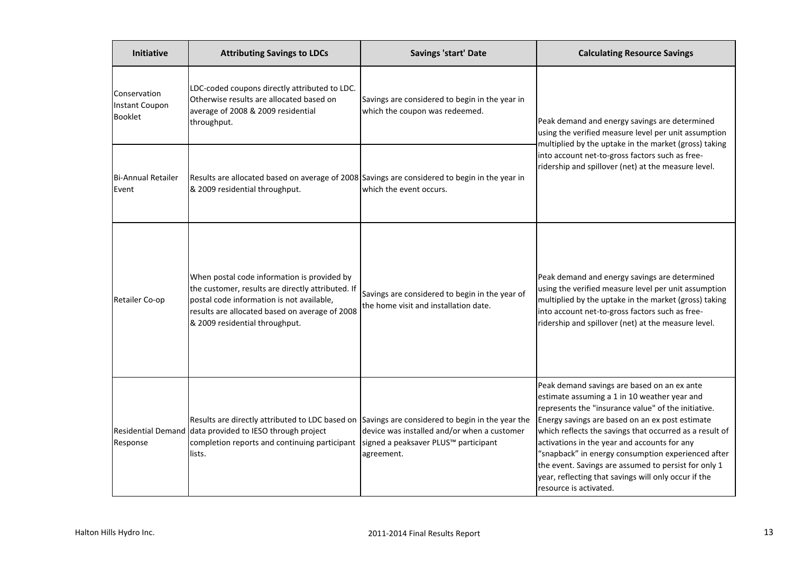| Initiative                                       | <b>Attributing Savings to LDCs</b>                                                                                                                                                                                                                          | <b>Savings 'start' Date</b>                                                             | <b>Calculating Resource Savings</b>                                                                                                                                                                                                                                                                                                                                                                                                                                                                              |
|--------------------------------------------------|-------------------------------------------------------------------------------------------------------------------------------------------------------------------------------------------------------------------------------------------------------------|-----------------------------------------------------------------------------------------|------------------------------------------------------------------------------------------------------------------------------------------------------------------------------------------------------------------------------------------------------------------------------------------------------------------------------------------------------------------------------------------------------------------------------------------------------------------------------------------------------------------|
| Conservation<br>Instant Coupon<br><b>Booklet</b> | LDC-coded coupons directly attributed to LDC.<br>Otherwise results are allocated based on<br>average of 2008 & 2009 residential<br>throughput.                                                                                                              | Savings are considered to begin in the year in<br>which the coupon was redeemed.        | Peak demand and energy savings are determined<br>using the verified measure level per unit assumption<br>multiplied by the uptake in the market (gross) taking                                                                                                                                                                                                                                                                                                                                                   |
| <b>Bi-Annual Retailer</b><br>Event               | Results are allocated based on average of 2008 Savings are considered to begin in the year in<br>& 2009 residential throughput.                                                                                                                             | which the event occurs.                                                                 | into account net-to-gross factors such as free-<br>ridership and spillover (net) at the measure level.                                                                                                                                                                                                                                                                                                                                                                                                           |
| Retailer Co-op                                   | When postal code information is provided by<br>the customer, results are directly attributed. If<br>postal code information is not available,<br>results are allocated based on average of 2008<br>& 2009 residential throughput.                           | Savings are considered to begin in the year of<br>the home visit and installation date. | Peak demand and energy savings are determined<br>using the verified measure level per unit assumption<br>multiplied by the uptake in the market (gross) taking<br>into account net-to-gross factors such as free-<br>ridership and spillover (net) at the measure level.                                                                                                                                                                                                                                         |
| Response                                         | Results are directly attributed to LDC based on Savings are considered to begin in the year the<br>Residential Demand data provided to IESO through project<br>completion reports and continuing participant signed a peaksaver PLUS™ participant<br>lists. | device was installed and/or when a customer<br>agreement.                               | Peak demand savings are based on an ex ante<br>estimate assuming a 1 in 10 weather year and<br>represents the "insurance value" of the initiative.<br>Energy savings are based on an ex post estimate<br>which reflects the savings that occurred as a result of<br>activations in the year and accounts for any<br>"snapback" in energy consumption experienced after<br>the event. Savings are assumed to persist for only 1<br>year, reflecting that savings will only occur if the<br>resource is activated. |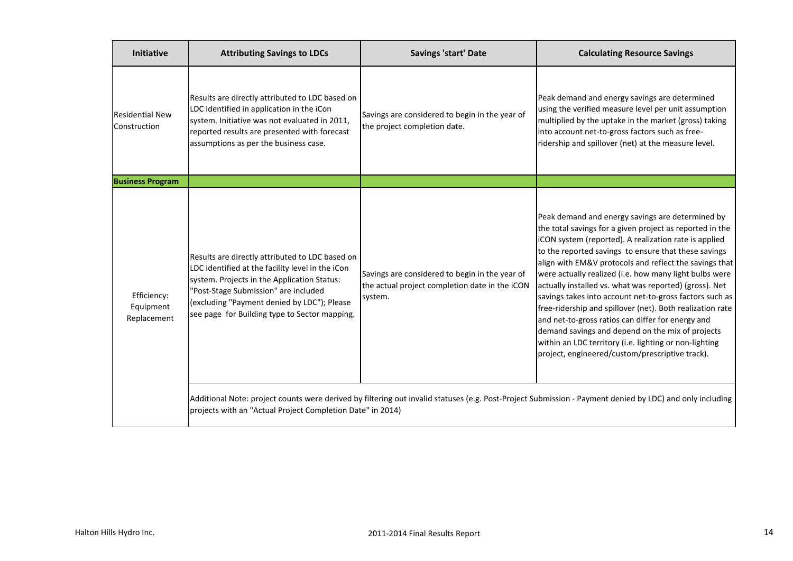| Initiative                              | <b>Attributing Savings to LDCs</b>                                                                                                                                                                                                                                                         | <b>Savings 'start' Date</b>                                                                                 | <b>Calculating Resource Savings</b>                                                                                                                                                                                                                                                                                                                                                                                                                                                                                                                                                                                                                                                                                                                       |
|-----------------------------------------|--------------------------------------------------------------------------------------------------------------------------------------------------------------------------------------------------------------------------------------------------------------------------------------------|-------------------------------------------------------------------------------------------------------------|-----------------------------------------------------------------------------------------------------------------------------------------------------------------------------------------------------------------------------------------------------------------------------------------------------------------------------------------------------------------------------------------------------------------------------------------------------------------------------------------------------------------------------------------------------------------------------------------------------------------------------------------------------------------------------------------------------------------------------------------------------------|
| <b>Residential New</b><br>Construction  | Results are directly attributed to LDC based on<br>LDC identified in application in the iCon<br>system. Initiative was not evaluated in 2011,<br>reported results are presented with forecast<br>assumptions as per the business case.                                                     | Savings are considered to begin in the year of<br>the project completion date.                              | Peak demand and energy savings are determined<br>using the verified measure level per unit assumption<br>multiplied by the uptake in the market (gross) taking<br>into account net-to-gross factors such as free-<br>ridership and spillover (net) at the measure level.                                                                                                                                                                                                                                                                                                                                                                                                                                                                                  |
| <b>Business Program</b>                 |                                                                                                                                                                                                                                                                                            |                                                                                                             |                                                                                                                                                                                                                                                                                                                                                                                                                                                                                                                                                                                                                                                                                                                                                           |
| Efficiency:<br>Equipment<br>Replacement | Results are directly attributed to LDC based on<br>LDC identified at the facility level in the iCon<br>system. Projects in the Application Status:<br>"Post-Stage Submission" are included<br>(excluding "Payment denied by LDC"); Please<br>see page for Building type to Sector mapping. | Savings are considered to begin in the year of<br>the actual project completion date in the iCON<br>system. | Peak demand and energy savings are determined by<br>the total savings for a given project as reported in the<br>iCON system (reported). A realization rate is applied<br>to the reported savings to ensure that these savings<br>align with EM&V protocols and reflect the savings that<br>were actually realized (i.e. how many light bulbs were<br>actually installed vs. what was reported) (gross). Net<br>savings takes into account net-to-gross factors such as<br>free-ridership and spillover (net). Both realization rate<br>and net-to-gross ratios can differ for energy and<br>demand savings and depend on the mix of projects<br>within an LDC territory (i.e. lighting or non-lighting<br>project, engineered/custom/prescriptive track). |
|                                         | projects with an "Actual Project Completion Date" in 2014)                                                                                                                                                                                                                                 |                                                                                                             | Additional Note: project counts were derived by filtering out invalid statuses (e.g. Post-Project Submission - Payment denied by LDC) and only including                                                                                                                                                                                                                                                                                                                                                                                                                                                                                                                                                                                                  |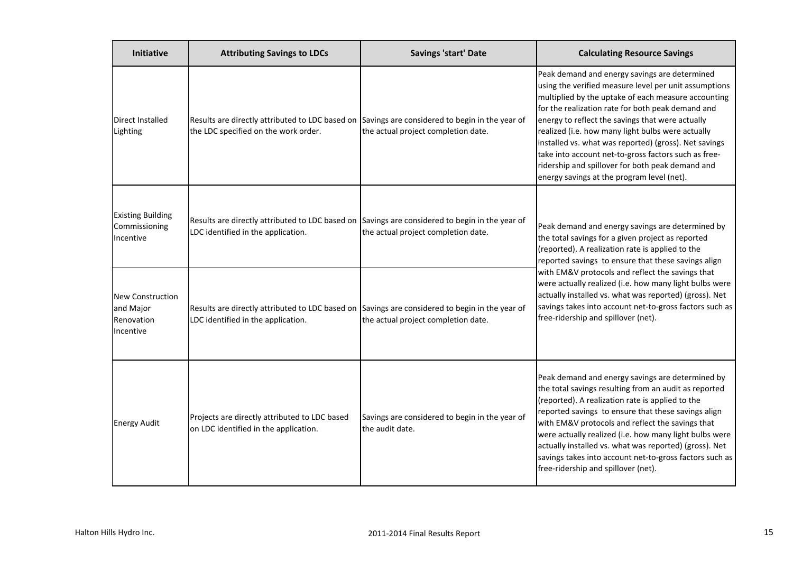| Initiative                                               | <b>Attributing Savings to LDCs</b>                                                                                                     | Savings 'start' Date                                              | <b>Calculating Resource Savings</b>                                                                                                                                                                                                                                                                                                                                                                                                                                                                                                            |  |
|----------------------------------------------------------|----------------------------------------------------------------------------------------------------------------------------------------|-------------------------------------------------------------------|------------------------------------------------------------------------------------------------------------------------------------------------------------------------------------------------------------------------------------------------------------------------------------------------------------------------------------------------------------------------------------------------------------------------------------------------------------------------------------------------------------------------------------------------|--|
| Direct Installed<br>Lighting                             | Results are directly attributed to LDC based on Savings are considered to begin in the year of<br>the LDC specified on the work order. | the actual project completion date.                               | Peak demand and energy savings are determined<br>using the verified measure level per unit assumptions<br>multiplied by the uptake of each measure accounting<br>for the realization rate for both peak demand and<br>energy to reflect the savings that were actually<br>realized (i.e. how many light bulbs were actually<br>installed vs. what was reported) (gross). Net savings<br>take into account net-to-gross factors such as free-<br>ridership and spillover for both peak demand and<br>energy savings at the program level (net). |  |
| <b>Existing Building</b><br>Commissioning<br>Incentive   | Results are directly attributed to LDC based on Savings are considered to begin in the year of<br>LDC identified in the application.   | the actual project completion date.                               | Peak demand and energy savings are determined by<br>the total savings for a given project as reported<br>(reported). A realization rate is applied to the<br>reported savings to ensure that these savings align                                                                                                                                                                                                                                                                                                                               |  |
| New Construction<br>and Major<br>Renovation<br>Incentive | Results are directly attributed to LDC based on Savings are considered to begin in the year of<br>LDC identified in the application.   | the actual project completion date.                               | with EM&V protocols and reflect the savings that<br>were actually realized (i.e. how many light bulbs were<br>actually installed vs. what was reported) (gross). Net<br>savings takes into account net-to-gross factors such as<br>free-ridership and spillover (net).                                                                                                                                                                                                                                                                         |  |
| <b>Energy Audit</b>                                      | Projects are directly attributed to LDC based<br>on LDC identified in the application.                                                 | Savings are considered to begin in the year of<br>the audit date. | Peak demand and energy savings are determined by<br>the total savings resulting from an audit as reported<br>(reported). A realization rate is applied to the<br>reported savings to ensure that these savings align<br>with EM&V protocols and reflect the savings that<br>were actually realized (i.e. how many light bulbs were<br>actually installed vs. what was reported) (gross). Net<br>savings takes into account net-to-gross factors such as<br>free-ridership and spillover (net).                                                 |  |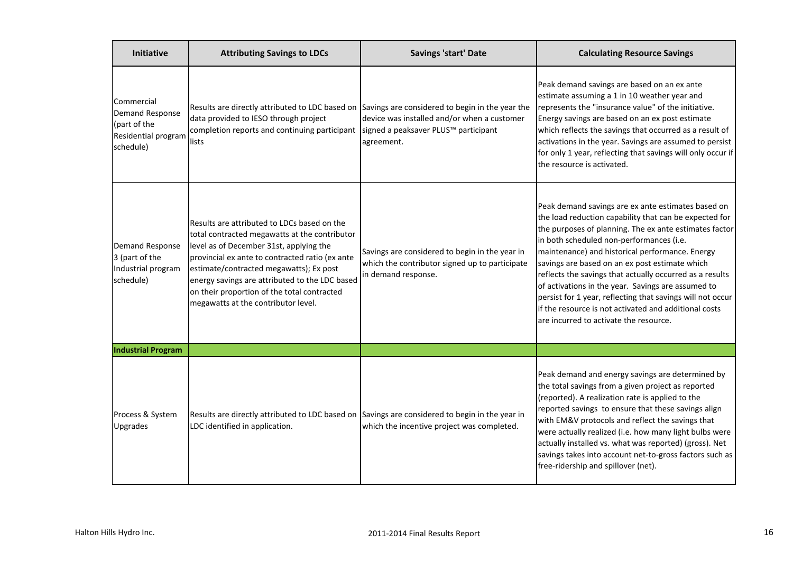| <b>Initiative</b>                                                                        | <b>Attributing Savings to LDCs</b>                                                                                                                                                                                                                                                                                                                                            | Savings 'start' Date                                                                                                    | <b>Calculating Resource Savings</b>                                                                                                                                                                                                                                                                                                                                                                                                                                                                                                                                                                        |
|------------------------------------------------------------------------------------------|-------------------------------------------------------------------------------------------------------------------------------------------------------------------------------------------------------------------------------------------------------------------------------------------------------------------------------------------------------------------------------|-------------------------------------------------------------------------------------------------------------------------|------------------------------------------------------------------------------------------------------------------------------------------------------------------------------------------------------------------------------------------------------------------------------------------------------------------------------------------------------------------------------------------------------------------------------------------------------------------------------------------------------------------------------------------------------------------------------------------------------------|
| Commercial<br><b>Demand Response</b><br>(part of the<br>Residential program<br>schedule) | Results are directly attributed to LDC based on Savings are considered to begin in the year the<br>data provided to IESO through project<br>completion reports and continuing participant<br>lists                                                                                                                                                                            | device was installed and/or when a customer<br>signed a peaksaver PLUS™ participant<br>agreement.                       | Peak demand savings are based on an ex ante<br>estimate assuming a 1 in 10 weather year and<br>represents the "insurance value" of the initiative.<br>Energy savings are based on an ex post estimate<br>which reflects the savings that occurred as a result of<br>activations in the year. Savings are assumed to persist<br>for only 1 year, reflecting that savings will only occur if<br>the resource is activated.                                                                                                                                                                                   |
| Demand Response<br>3 (part of the<br>Industrial program<br>schedule)                     | Results are attributed to LDCs based on the<br>total contracted megawatts at the contributor<br>level as of December 31st, applying the<br>provincial ex ante to contracted ratio (ex ante<br>estimate/contracted megawatts); Ex post<br>energy savings are attributed to the LDC based<br>on their proportion of the total contracted<br>megawatts at the contributor level. | Savings are considered to begin in the year in<br>which the contributor signed up to participate<br>in demand response. | Peak demand savings are ex ante estimates based on<br>the load reduction capability that can be expected for<br>the purposes of planning. The ex ante estimates factor<br>in both scheduled non-performances (i.e.<br>maintenance) and historical performance. Energy<br>savings are based on an ex post estimate which<br>reflects the savings that actually occurred as a results<br>of activations in the year. Savings are assumed to<br>persist for 1 year, reflecting that savings will not occur<br>if the resource is not activated and additional costs<br>are incurred to activate the resource. |
| <b>Industrial Program</b>                                                                |                                                                                                                                                                                                                                                                                                                                                                               |                                                                                                                         |                                                                                                                                                                                                                                                                                                                                                                                                                                                                                                                                                                                                            |
| Process & System<br>Upgrades                                                             | Results are directly attributed to LDC based on Savings are considered to begin in the year in<br>LDC identified in application.                                                                                                                                                                                                                                              | which the incentive project was completed.                                                                              | Peak demand and energy savings are determined by<br>the total savings from a given project as reported<br>(reported). A realization rate is applied to the<br>reported savings to ensure that these savings align<br>with EM&V protocols and reflect the savings that<br>were actually realized (i.e. how many light bulbs were<br>actually installed vs. what was reported) (gross). Net<br>savings takes into account net-to-gross factors such as<br>free-ridership and spillover (net).                                                                                                                |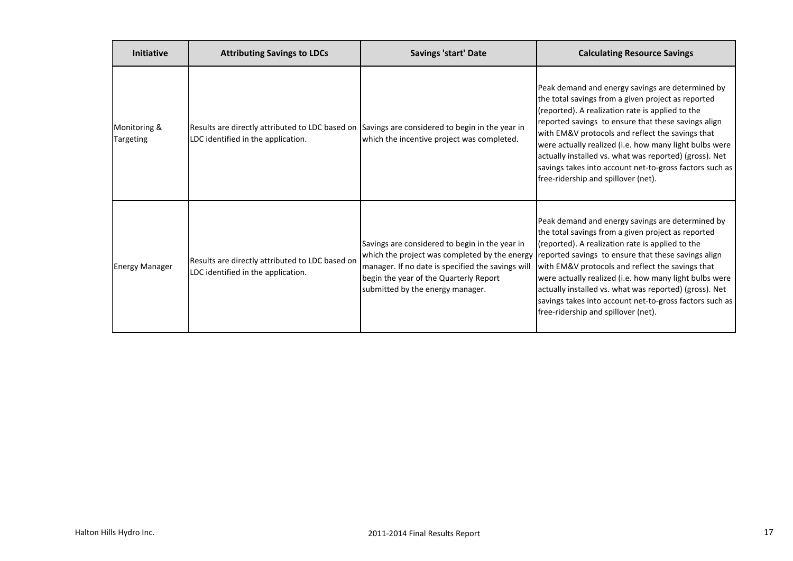| <b>Initiative</b>         | <b>Attributing Savings to LDCs</b>                                                                                                   | <b>Savings 'start' Date</b>                                                                                                                                                       | <b>Calculating Resource Savings</b>                                                                                                                                                                                                                                                                                                                                                                                                                                                                                                       |
|---------------------------|--------------------------------------------------------------------------------------------------------------------------------------|-----------------------------------------------------------------------------------------------------------------------------------------------------------------------------------|-------------------------------------------------------------------------------------------------------------------------------------------------------------------------------------------------------------------------------------------------------------------------------------------------------------------------------------------------------------------------------------------------------------------------------------------------------------------------------------------------------------------------------------------|
| Monitoring &<br>Targeting | Results are directly attributed to LDC based on Savings are considered to begin in the year in<br>LDC identified in the application. | which the incentive project was completed.                                                                                                                                        | Peak demand and energy savings are determined by<br>the total savings from a given project as reported<br>(reported). A realization rate is applied to the<br>reported savings to ensure that these savings align<br>with EM&V protocols and reflect the savings that<br>were actually realized (i.e. how many light bulbs were<br>actually installed vs. what was reported) (gross). Net<br>savings takes into account net-to-gross factors such as<br>free-ridership and spillover (net).                                               |
| <b>Energy Manager</b>     | Results are directly attributed to LDC based on<br>LDC identified in the application.                                                | Savings are considered to begin in the year in<br>manager. If no date is specified the savings will<br>begin the year of the Quarterly Report<br>submitted by the energy manager. | Peak demand and energy savings are determined by<br>the total savings from a given project as reported<br>(reported). A realization rate is applied to the<br>which the project was completed by the energy reported savings to ensure that these savings align<br>with EM&V protocols and reflect the savings that<br>were actually realized (i.e. how many light bulbs were<br>actually installed vs. what was reported) (gross). Net<br>savings takes into account net-to-gross factors such as<br>free-ridership and spillover (net). |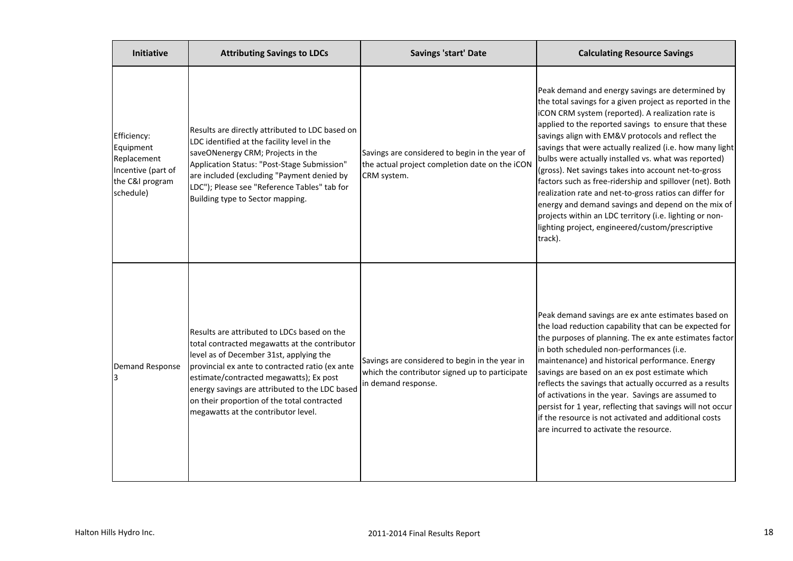| <b>Initiative</b>                                                                             | <b>Attributing Savings to LDCs</b>                                                                                                                                                                                                                                                                                                                                            | Savings 'start' Date                                                                                                    | <b>Calculating Resource Savings</b>                                                                                                                                                                                                                                                                                                                                                                                                                                                                                                                                                                                                                                                                                                                               |
|-----------------------------------------------------------------------------------------------|-------------------------------------------------------------------------------------------------------------------------------------------------------------------------------------------------------------------------------------------------------------------------------------------------------------------------------------------------------------------------------|-------------------------------------------------------------------------------------------------------------------------|-------------------------------------------------------------------------------------------------------------------------------------------------------------------------------------------------------------------------------------------------------------------------------------------------------------------------------------------------------------------------------------------------------------------------------------------------------------------------------------------------------------------------------------------------------------------------------------------------------------------------------------------------------------------------------------------------------------------------------------------------------------------|
| Efficiency:<br>Equipment<br>Replacement<br>Incentive (part of<br>the C&I program<br>schedule) | Results are directly attributed to LDC based on<br>LDC identified at the facility level in the<br>saveONenergy CRM; Projects in the<br>Application Status: "Post-Stage Submission"<br>are included (excluding "Payment denied by<br>LDC"); Please see "Reference Tables" tab for<br>Building type to Sector mapping.                                                          | Savings are considered to begin in the year of<br>the actual project completion date on the iCON<br>CRM system.         | Peak demand and energy savings are determined by<br>the total savings for a given project as reported in the<br>iCON CRM system (reported). A realization rate is<br>applied to the reported savings to ensure that these<br>savings align with EM&V protocols and reflect the<br>savings that were actually realized (i.e. how many light<br>bulbs were actually installed vs. what was reported)<br>(gross). Net savings takes into account net-to-gross<br>factors such as free-ridership and spillover (net). Both<br>realization rate and net-to-gross ratios can differ for<br>energy and demand savings and depend on the mix of<br>projects within an LDC territory (i.e. lighting or non-<br>lighting project, engineered/custom/prescriptive<br>track). |
| Demand Response                                                                               | Results are attributed to LDCs based on the<br>total contracted megawatts at the contributor<br>level as of December 31st, applying the<br>provincial ex ante to contracted ratio (ex ante<br>estimate/contracted megawatts); Ex post<br>energy savings are attributed to the LDC based<br>on their proportion of the total contracted<br>megawatts at the contributor level. | Savings are considered to begin in the year in<br>which the contributor signed up to participate<br>in demand response. | Peak demand savings are ex ante estimates based on<br>the load reduction capability that can be expected for<br>the purposes of planning. The ex ante estimates factor<br>in both scheduled non-performances (i.e.<br>maintenance) and historical performance. Energy<br>savings are based on an ex post estimate which<br>reflects the savings that actually occurred as a results<br>of activations in the year. Savings are assumed to<br>persist for 1 year, reflecting that savings will not occur<br>if the resource is not activated and additional costs<br>are incurred to activate the resource.                                                                                                                                                        |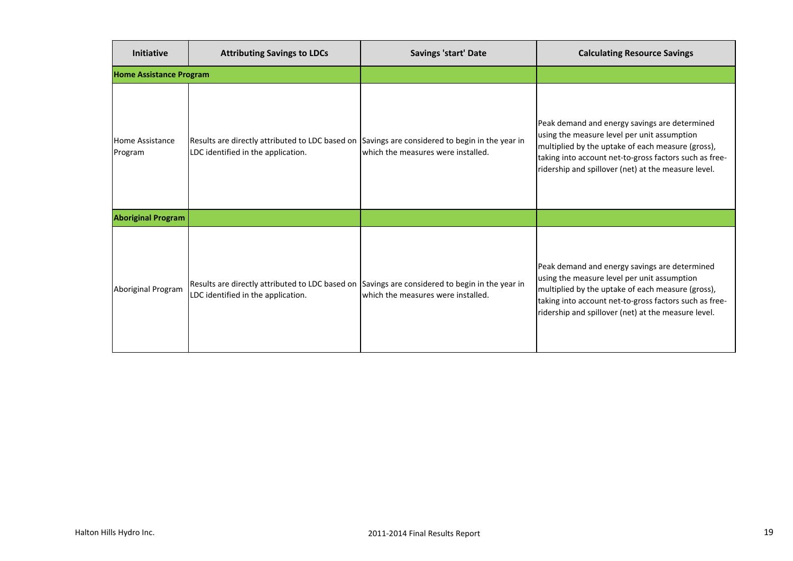| <b>Initiative</b>                 | <b>Attributing Savings to LDCs</b>                                                                                                   | <b>Savings 'start' Date</b>        | <b>Calculating Resource Savings</b>                                                                                                                                                                                                                                |
|-----------------------------------|--------------------------------------------------------------------------------------------------------------------------------------|------------------------------------|--------------------------------------------------------------------------------------------------------------------------------------------------------------------------------------------------------------------------------------------------------------------|
| <b>Home Assistance Program</b>    |                                                                                                                                      |                                    |                                                                                                                                                                                                                                                                    |
| <b>Home Assistance</b><br>Program | Results are directly attributed to LDC based on Savings are considered to begin in the year in<br>LDC identified in the application. | which the measures were installed. | Peak demand and energy savings are determined<br>using the measure level per unit assumption<br>multiplied by the uptake of each measure (gross),<br>taking into account net-to-gross factors such as free-<br>ridership and spillover (net) at the measure level. |
| <b>Aboriginal Program</b>         |                                                                                                                                      |                                    |                                                                                                                                                                                                                                                                    |
| Aboriginal Program                | Results are directly attributed to LDC based on Savings are considered to begin in the year in<br>LDC identified in the application. | which the measures were installed. | Peak demand and energy savings are determined<br>using the measure level per unit assumption<br>multiplied by the uptake of each measure (gross),<br>taking into account net-to-gross factors such as free-<br>ridership and spillover (net) at the measure level. |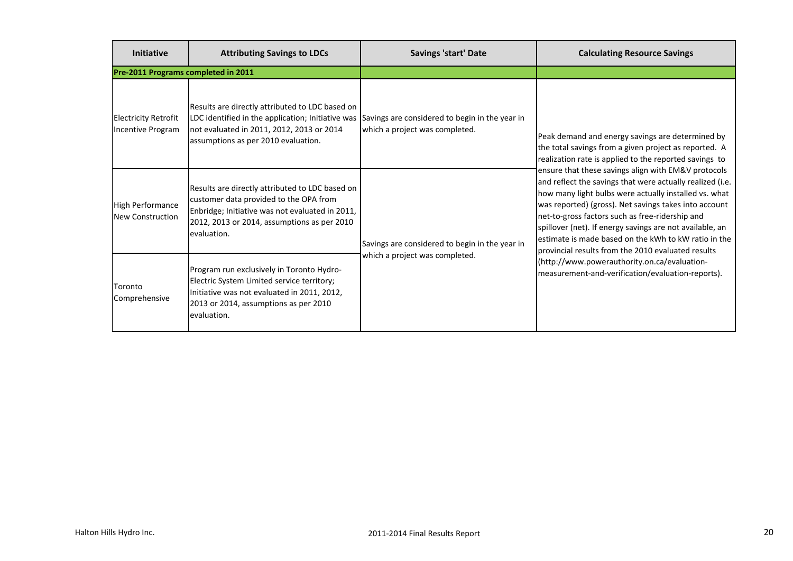| <b>Initiative</b>                                | <b>Attributing Savings to LDCs</b>                                                                                                                                                                                                      | <b>Savings 'start' Date</b>                    | <b>Calculating Resource Savings</b>                                                                                                                                                                                                                                                                                                                                                                                                                             |
|--------------------------------------------------|-----------------------------------------------------------------------------------------------------------------------------------------------------------------------------------------------------------------------------------------|------------------------------------------------|-----------------------------------------------------------------------------------------------------------------------------------------------------------------------------------------------------------------------------------------------------------------------------------------------------------------------------------------------------------------------------------------------------------------------------------------------------------------|
| Pre-2011 Programs completed in 2011              |                                                                                                                                                                                                                                         |                                                |                                                                                                                                                                                                                                                                                                                                                                                                                                                                 |
| <b>Electricity Retrofit</b><br>Incentive Program | Results are directly attributed to LDC based on<br>LDC identified in the application; Initiative was Savings are considered to begin in the year in<br>not evaluated in 2011, 2012, 2013 or 2014<br>assumptions as per 2010 evaluation. | which a project was completed.                 | Peak demand and energy savings are determined by<br>the total savings from a given project as reported. A<br>realization rate is applied to the reported savings to                                                                                                                                                                                                                                                                                             |
| High Performance<br><b>New Construction</b>      | Results are directly attributed to LDC based on<br>customer data provided to the OPA from<br>Enbridge; Initiative was not evaluated in 2011,<br>2012, 2013 or 2014, assumptions as per 2010<br>evaluation.                              | Savings are considered to begin in the year in | ensure that these savings align with EM&V protocols<br>and reflect the savings that were actually realized (i.e.<br>how many light bulbs were actually installed vs. what<br>was reported) (gross). Net savings takes into account<br>net-to-gross factors such as free-ridership and<br>spillover (net). If energy savings are not available, an<br>estimate is made based on the kWh to kW ratio in the<br>provincial results from the 2010 evaluated results |
| Toronto<br>Comprehensive                         | Program run exclusively in Toronto Hydro-<br>Electric System Limited service territory;<br>Initiative was not evaluated in 2011, 2012,<br>2013 or 2014, assumptions as per 2010<br>evaluation.                                          | which a project was completed.                 | (http://www.powerauthority.on.ca/evaluation-<br>measurement-and-verification/evaluation-reports).                                                                                                                                                                                                                                                                                                                                                               |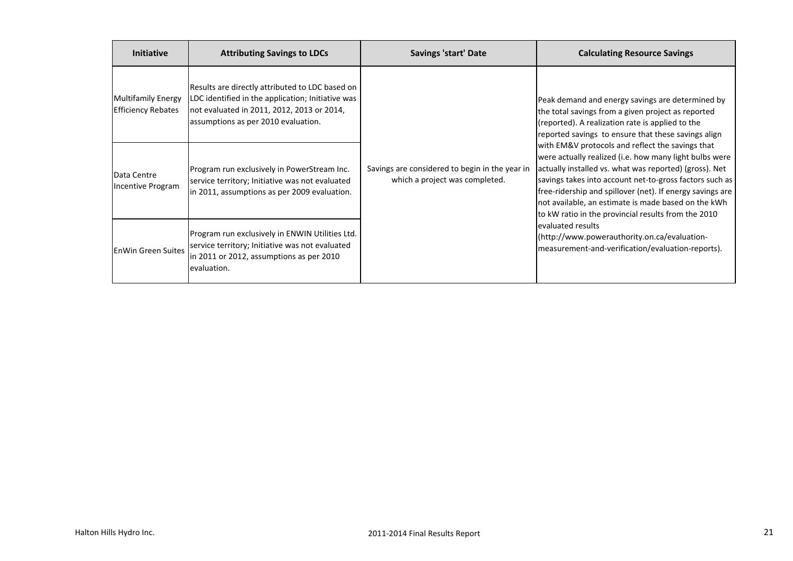| <b>Initiative</b>                                      | <b>Attributing Savings to LDCs</b>                                                                                                                                                        | <b>Savings 'start' Date</b>                                                      | <b>Calculating Resource Savings</b>                                                                                                                                                                                                                                                                                                                                                                        |
|--------------------------------------------------------|-------------------------------------------------------------------------------------------------------------------------------------------------------------------------------------------|----------------------------------------------------------------------------------|------------------------------------------------------------------------------------------------------------------------------------------------------------------------------------------------------------------------------------------------------------------------------------------------------------------------------------------------------------------------------------------------------------|
| <b>Multifamily Energy</b><br><b>Efficiency Rebates</b> | Results are directly attributed to LDC based on<br>LDC identified in the application; Initiative was<br>not evaluated in 2011, 2012, 2013 or 2014,<br>assumptions as per 2010 evaluation. |                                                                                  | Peak demand and energy savings are determined by<br>the total savings from a given project as reported<br>(reported). A realization rate is applied to the<br>reported savings to ensure that these savings align                                                                                                                                                                                          |
| Data Centre<br>Incentive Program                       | Program run exclusively in PowerStream Inc.<br>service territory; Initiative was not evaluated<br>in 2011, assumptions as per 2009 evaluation.                                            | Savings are considered to begin in the year in<br>which a project was completed. | with EM&V protocols and reflect the savings that<br>were actually realized (i.e. how many light bulbs were<br>actually installed vs. what was reported) (gross). Net<br>savings takes into account net-to-gross factors such as<br>free-ridership and spillover (net). If energy savings are<br>not available, an estimate is made based on the kWh<br>to kW ratio in the provincial results from the 2010 |
| <b>EnWin Green Suites</b>                              | Program run exclusively in ENWIN Utilities Ltd.<br>service territory; Initiative was not evaluated<br>in 2011 or 2012, assumptions as per 2010<br>evaluation.                             |                                                                                  | evaluated results<br>(http://www.powerauthority.on.ca/evaluation-<br>measurement-and-verification/evaluation-reports).                                                                                                                                                                                                                                                                                     |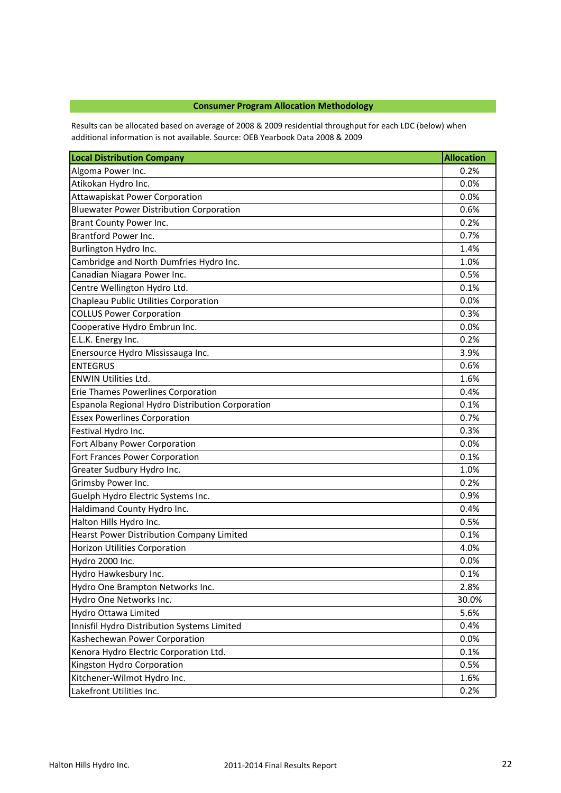# **Consumer Program Allocation Methodology**

Results can be allocated based on average of 2008 & 2009 residential throughput for each LDC (below) when additional information is not available. Source: OEB Yearbook Data 2008 & 2009

| <b>Local Distribution Company</b>                | <b>Allocation</b> |
|--------------------------------------------------|-------------------|
| Algoma Power Inc.                                | 0.2%              |
| Atikokan Hydro Inc.                              | 0.0%              |
| Attawapiskat Power Corporation                   | 0.0%              |
| <b>Bluewater Power Distribution Corporation</b>  | 0.6%              |
| Brant County Power Inc.                          | 0.2%              |
| Brantford Power Inc.                             | 0.7%              |
| Burlington Hydro Inc.                            | 1.4%              |
| Cambridge and North Dumfries Hydro Inc.          | 1.0%              |
| Canadian Niagara Power Inc.                      | 0.5%              |
| Centre Wellington Hydro Ltd.                     | 0.1%              |
| Chapleau Public Utilities Corporation            | 0.0%              |
| <b>COLLUS Power Corporation</b>                  | 0.3%              |
| Cooperative Hydro Embrun Inc.                    | 0.0%              |
| E.L.K. Energy Inc.                               | 0.2%              |
| Enersource Hydro Mississauga Inc.                | 3.9%              |
| <b>ENTEGRUS</b>                                  | 0.6%              |
| <b>ENWIN Utilities Ltd.</b>                      | 1.6%              |
| Erie Thames Powerlines Corporation               | 0.4%              |
| Espanola Regional Hydro Distribution Corporation | 0.1%              |
| <b>Essex Powerlines Corporation</b>              | 0.7%              |
| Festival Hydro Inc.                              | 0.3%              |
| Fort Albany Power Corporation                    | 0.0%              |
| Fort Frances Power Corporation                   | 0.1%              |
| Greater Sudbury Hydro Inc.                       | 1.0%              |
| Grimsby Power Inc.                               | 0.2%              |
| Guelph Hydro Electric Systems Inc.               | 0.9%              |
| Haldimand County Hydro Inc.                      | 0.4%              |
| Halton Hills Hydro Inc.                          | 0.5%              |
| Hearst Power Distribution Company Limited        | 0.1%              |
| <b>Horizon Utilities Corporation</b>             | 4.0%              |
| Hydro 2000 Inc.                                  | 0.0%              |
| Hydro Hawkesbury Inc.                            | 0.1%              |
| Hydro One Brampton Networks Inc.                 | 2.8%              |
| Hydro One Networks Inc.                          | 30.0%             |
| Hydro Ottawa Limited                             | 5.6%              |
| Innisfil Hydro Distribution Systems Limited      | 0.4%              |
| Kashechewan Power Corporation                    | 0.0%              |
| Kenora Hydro Electric Corporation Ltd.           | 0.1%              |
| Kingston Hydro Corporation                       | 0.5%              |
| Kitchener-Wilmot Hydro Inc.                      | 1.6%              |
| Lakefront Utilities Inc.                         | 0.2%              |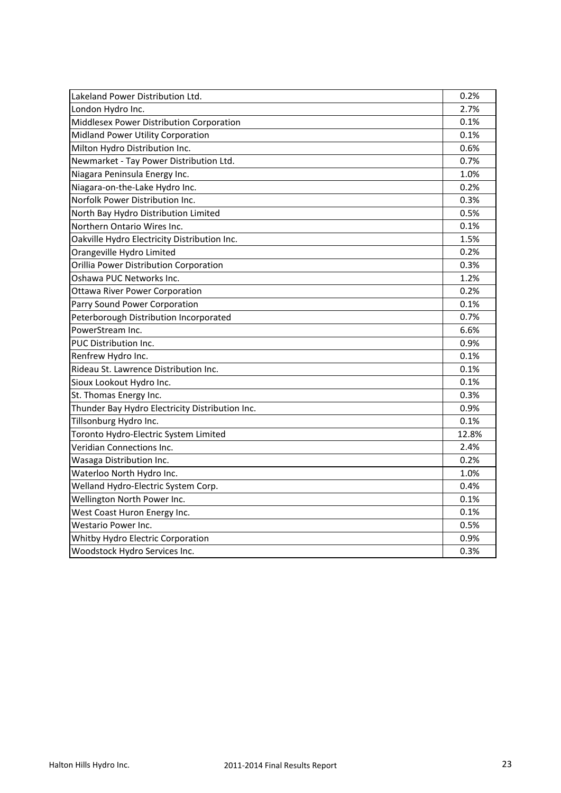| Lakeland Power Distribution Ltd.                | 0.2%  |
|-------------------------------------------------|-------|
| London Hydro Inc.                               | 2.7%  |
| Middlesex Power Distribution Corporation        | 0.1%  |
| Midland Power Utility Corporation               | 0.1%  |
| Milton Hydro Distribution Inc.                  | 0.6%  |
| Newmarket - Tay Power Distribution Ltd.         | 0.7%  |
| Niagara Peninsula Energy Inc.                   | 1.0%  |
| Niagara-on-the-Lake Hydro Inc.                  | 0.2%  |
| Norfolk Power Distribution Inc.                 | 0.3%  |
| North Bay Hydro Distribution Limited            | 0.5%  |
| Northern Ontario Wires Inc.                     | 0.1%  |
| Oakville Hydro Electricity Distribution Inc.    | 1.5%  |
| Orangeville Hydro Limited                       | 0.2%  |
| Orillia Power Distribution Corporation          | 0.3%  |
| Oshawa PUC Networks Inc.                        | 1.2%  |
| <b>Ottawa River Power Corporation</b>           | 0.2%  |
| Parry Sound Power Corporation                   | 0.1%  |
| Peterborough Distribution Incorporated          | 0.7%  |
| PowerStream Inc.                                | 6.6%  |
| PUC Distribution Inc.                           | 0.9%  |
| Renfrew Hydro Inc.                              | 0.1%  |
| Rideau St. Lawrence Distribution Inc.           | 0.1%  |
| Sioux Lookout Hydro Inc.                        | 0.1%  |
| St. Thomas Energy Inc.                          | 0.3%  |
| Thunder Bay Hydro Electricity Distribution Inc. | 0.9%  |
| Tillsonburg Hydro Inc.                          | 0.1%  |
| Toronto Hydro-Electric System Limited           | 12.8% |
| Veridian Connections Inc.                       | 2.4%  |
| Wasaga Distribution Inc.                        | 0.2%  |
| Waterloo North Hydro Inc.                       | 1.0%  |
| Welland Hydro-Electric System Corp.             | 0.4%  |
| Wellington North Power Inc.                     | 0.1%  |
| West Coast Huron Energy Inc.                    | 0.1%  |
| Westario Power Inc.                             | 0.5%  |
| Whitby Hydro Electric Corporation               | 0.9%  |
| Woodstock Hydro Services Inc.                   | 0.3%  |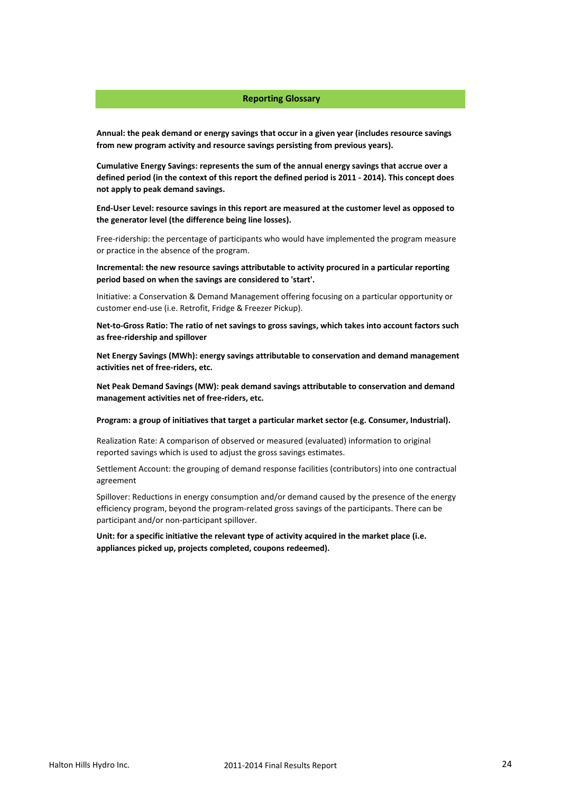### **Reporting Glossary**

**Annual: the peak demand or energy savings that occur in a given year (includes resource savings from new program activity and resource savings persisting from previous years).**

**Cumulative Energy Savings: represents the sum of the annual energy savings that accrue over a defined period (in the context of this report the defined period is 2011 - 2014). This concept does not apply to peak demand savings.**

**End-User Level: resource savings in this report are measured at the customer level as opposed to the generator level (the difference being line losses).** 

Free-ridership: the percentage of participants who would have implemented the program measure or practice in the absence of the program.

**Incremental: the new resource savings attributable to activity procured in a particular reporting period based on when the savings are considered to 'start'.**

Initiative: a Conservation & Demand Management offering focusing on a particular opportunity or customer end-use (i.e. Retrofit, Fridge & Freezer Pickup).

**Net-to-Gross Ratio: The ratio of net savings to gross savings, which takes into account factors such as free-ridership and spillover**

**Net Energy Savings (MWh): energy savings attributable to conservation and demand management activities net of free-riders, etc.**

**Net Peak Demand Savings (MW): peak demand savings attributable to conservation and demand management activities net of free-riders, etc.**

**Program: a group of initiatives that target a particular market sector (e.g. Consumer, Industrial).** 

Realization Rate: A comparison of observed or measured (evaluated) information to original reported savings which is used to adjust the gross savings estimates.

Settlement Account: the grouping of demand response facilities (contributors) into one contractual agreement

Spillover: Reductions in energy consumption and/or demand caused by the presence of the energy efficiency program, beyond the program-related gross savings of the participants. There can be participant and/or non-participant spillover.

**Unit: for a specific initiative the relevant type of activity acquired in the market place (i.e. appliances picked up, projects completed, coupons redeemed).**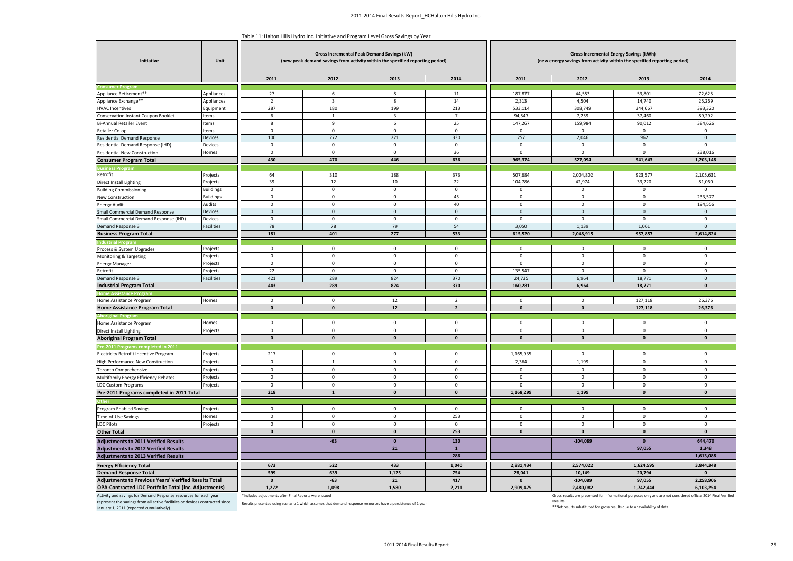$\overline{\phantom{iiiiiiiiiiiiiii}}$ 

| Table 11: Halton Hills Hydro Inc. Initiative and Program Level Gross Savings by Year |
|--------------------------------------------------------------------------------------|
|--------------------------------------------------------------------------------------|

| Initiative                                                       | Unit                                 | <b>Gross Incremental Peak Demand Savings (kW)</b><br>Gross Incremental Energy Savings (kWh)<br>(new peak demand savings from activity within the specified reporting period)<br>(new energy savings from activity within the specified reporting period) |                    |                         |                     |                    |                     |                                                                                                                 |                     |
|------------------------------------------------------------------|--------------------------------------|----------------------------------------------------------------------------------------------------------------------------------------------------------------------------------------------------------------------------------------------------------|--------------------|-------------------------|---------------------|--------------------|---------------------|-----------------------------------------------------------------------------------------------------------------|---------------------|
|                                                                  |                                      | 2011                                                                                                                                                                                                                                                     | 2012               | 2013                    | 2014                | 2011               | 2012                | 2013                                                                                                            | 2014                |
|                                                                  |                                      |                                                                                                                                                                                                                                                          |                    |                         |                     |                    |                     |                                                                                                                 |                     |
| Appliance Retirement**                                           | Appliances                           | 27                                                                                                                                                                                                                                                       | 6                  | 8                       | 11                  | 187,877            | 44,553              | 53,801                                                                                                          | 72,625              |
| Appliance Exchange**                                             | Appliances                           | $\overline{2}$                                                                                                                                                                                                                                           | 3                  | 8                       | 14                  | 2,313              | 4,504               | 14,740                                                                                                          | 25,269              |
| <b>HVAC Incentives</b>                                           | Equipment                            | 287                                                                                                                                                                                                                                                      | 180                | 199                     | 213                 | 533,114            | 308,749             | 344,667                                                                                                         | 393,320             |
| Conservation Instant Coupon Booklet                              | Items                                | 6                                                                                                                                                                                                                                                        | $\overline{1}$     | $\overline{\mathbf{3}}$ | $\overline{7}$      | 94,547             | 7,259               | 37,460                                                                                                          | 89,292              |
| Bi-Annual Retailer Event                                         | Items                                | 8                                                                                                                                                                                                                                                        | 9                  | 6                       | 25                  | 147,267            | 159,984             | 90,012                                                                                                          | 384,626             |
| Retailer Co-op                                                   | Items                                | $\mathbf 0$                                                                                                                                                                                                                                              | $\overline{0}$     | $\mathbf{0}$            | $\mathbf{0}$        | $\mathbf 0$        | $\mathbf{0}$        | $\mathbf 0$                                                                                                     | $\mathbf 0$         |
| <b>Residential Demand Response</b>                               | Devices                              | 100                                                                                                                                                                                                                                                      | 272                | 221                     | 330                 | 257                | 2,046               | 962                                                                                                             | $\mathsf 0$         |
| Residential Demand Response (IHD)                                | Devices                              | $\mathsf 0$                                                                                                                                                                                                                                              | $\mathbf 0$        | $\mathbf 0$             | $\mathsf 0$         | $\mathsf 0$        | $\mathbf 0$         | $\mathbf 0$                                                                                                     | $\mathsf 0$         |
| Residential New Construction                                     | Homes                                | $\mathbf 0$                                                                                                                                                                                                                                              | $\mathbf 0$        | $\mathsf 0$             | 36                  | $\Omega$           | $\mathbf 0$         | $\mathbf{0}$                                                                                                    | 238,016             |
| <b>Consumer Program Total</b>                                    |                                      | 430                                                                                                                                                                                                                                                      | 470                | 446                     | 636                 | 965,374            | 527,094             | 541,643                                                                                                         | 1,203,148           |
|                                                                  |                                      |                                                                                                                                                                                                                                                          |                    |                         |                     |                    |                     |                                                                                                                 |                     |
| Retrofit                                                         | Projects                             | 64<br>39                                                                                                                                                                                                                                                 | 310<br>$12\,$      | 188<br>10               | 373<br>22           | 507,684<br>104,786 | 2,004,802<br>42,974 | 923,577<br>33,220                                                                                               | 2,105,631<br>81,060 |
| <b>Direct Install Lighting</b>                                   | Projects                             | $\mathbf 0$                                                                                                                                                                                                                                              | $\mathsf 0$        | $\mathbf 0$             | $\mathsf 0$         | $\mathbf 0$        | $\mathbf 0$         | $\mathbf 0$                                                                                                     | $\mathbf 0$         |
| <b>Building Commissioning</b><br>New Construction                | <b>Buildings</b><br><b>Buildings</b> | $\mathsf 0$                                                                                                                                                                                                                                              | $\mathbf 0$        | $\mathsf 0$             | 45                  | $\mathsf 0$        | $\mathbf 0$         | $\mathbf 0$                                                                                                     | 233,577             |
| <b>Energy Audit</b>                                              | Audits                               | $\mathsf 0$                                                                                                                                                                                                                                              | $\mathbf 0$        | $\mathsf 0$             | 40                  | $\mathsf 0$        | $\mathbf 0$         | $\mathsf 0$                                                                                                     | 194,556             |
| <b>Small Commercial Demand Response</b>                          | Devices                              | $\mathbf 0$                                                                                                                                                                                                                                              | $\mathbf{0}$       | $\mathbf 0$             | $\mathsf{O}\xspace$ | $\mathbf 0$        | $\mathbf{0}$        | $\mathbf{0}$                                                                                                    | $\mathbf 0$         |
| imall Commercial Demand Response (IHD)                           | Devices                              | $\mathsf 0$                                                                                                                                                                                                                                              | $\mathbf 0$        | $\mathsf 0$             | $\mathsf 0$         | $\mathbf 0$        | $\mathbf 0$         | $\mathsf 0$                                                                                                     | $\mathbf 0$         |
| Demand Response 3                                                | Facilities                           | 78                                                                                                                                                                                                                                                       | 78                 | 79                      | 54                  | 3,050              | 1,139               | 1,061                                                                                                           | $\mathbf{0}$        |
| <b>Business Program Total</b>                                    |                                      | 181                                                                                                                                                                                                                                                      | 401                | 277                     | 533                 | 615,520            | 2,048,915           | 957,857                                                                                                         | 2,614,824           |
| <b>ndustrial Progra</b>                                          |                                      |                                                                                                                                                                                                                                                          |                    |                         |                     |                    |                     |                                                                                                                 |                     |
| Process & System Upgrades                                        | Projects                             | $\mathsf 0$                                                                                                                                                                                                                                              | $\mathbf 0$        | $\mathbf 0$             | $\mathsf 0$         | $\mathbf 0$        | $\mathbf 0$         | $\mathbf 0$                                                                                                     | $\mathbf 0$         |
| Monitoring & Targeting                                           | Projects                             | $\mathbf 0$                                                                                                                                                                                                                                              | $\mathbf 0$        | $\mathbf{0}$            | $\mathbf{0}$        | $\mathbf 0$        | $\mathbf{0}$        | $\mathbf{0}$                                                                                                    | $\mathbf 0$         |
| <b>Energy Manager</b>                                            | Projects                             | $\mathbf 0$                                                                                                                                                                                                                                              | $\overline{0}$     | $\mathbf 0$             | $\mathbf{0}$        | $\mathbf{0}$       | $\mathbf{0}$        | $\mathbf{0}$                                                                                                    | $\mathbf{0}$        |
| Retrofit                                                         | Projects                             | 22                                                                                                                                                                                                                                                       | $\mathsf 0$        | $\mathsf 0$             | $\mathsf 0$         | 135,547            | $\mathbf 0$         | $\mathbf 0$                                                                                                     | $\mathsf 0$         |
| Demand Response 3                                                | <b>Facilities</b>                    | 421                                                                                                                                                                                                                                                      | 289                | 824                     | 370                 | 24,735             | 6,964               | 18,771                                                                                                          | $\mathbf 0$         |
| <b>Industrial Program Total</b>                                  |                                      | 443                                                                                                                                                                                                                                                      | 289                | 824                     | 370                 | 160,281            | 6,964               | 18,771                                                                                                          | $\mathbf 0$         |
|                                                                  |                                      |                                                                                                                                                                                                                                                          |                    |                         |                     |                    |                     |                                                                                                                 |                     |
| Home Assistance Program                                          | Homes                                | $\Omega$                                                                                                                                                                                                                                                 | $\overline{0}$     | 12                      | $\overline{2}$      | $\Omega$           | $\mathbf{0}$        | 127,118                                                                                                         | 26,376              |
| Home Assistance Program Total                                    |                                      | $\mathbf 0$                                                                                                                                                                                                                                              | $\pmb{\mathsf{o}}$ | $12\,$                  | $\overline{2}$      | $\pmb{\mathsf{o}}$ | $\mathbf{0}$        | 127,118                                                                                                         | 26,376              |
|                                                                  |                                      |                                                                                                                                                                                                                                                          |                    |                         |                     |                    |                     |                                                                                                                 |                     |
| Home Assistance Program                                          | Homes                                | $\mathbf 0$                                                                                                                                                                                                                                              | $\mathbf 0$        | $\mathbf 0$             | $\mathsf 0$         | $\mathsf 0$        | $\mathbf 0$         | $\mathbf 0$                                                                                                     | $\mathbf 0$         |
| Direct Install Lighting                                          | Projects                             | $\mathbf 0$                                                                                                                                                                                                                                              | $\mathbf 0$        | $\mathsf 0$             | $\mathsf{O}\xspace$ | $\mathbf 0$        | $\mathbf 0$         | $\mathbf 0$                                                                                                     | $\mathbf 0$         |
| <b>Aboriginal Program Total</b>                                  |                                      | $\pmb{\mathsf{o}}$                                                                                                                                                                                                                                       | $\mathbf{0}$       | $\mathbf{0}$            | $\pmb{0}$           | $\pmb{\mathsf{o}}$ | $\pmb{0}$           | $\mathbf 0$                                                                                                     | $\mathbf 0$         |
| re-2011 Programs completed in 2011                               |                                      |                                                                                                                                                                                                                                                          |                    |                         |                     |                    |                     |                                                                                                                 |                     |
| Electricity Retrofit Incentive Program                           | Projects                             | 217                                                                                                                                                                                                                                                      | $\overline{0}$     | $\mathsf 0$             | $\pmb{0}$           | 1,165,935          | $\mathbf 0$         | $\mathsf 0$                                                                                                     | $\mathbf 0$         |
| High Performance New Construction                                | Projects                             | $\mathsf 0$                                                                                                                                                                                                                                              | $\overline{1}$     | $\mathsf 0$             | $\mathsf 0$         | 2,364              | 1,199               | $\mathsf 0$                                                                                                     | $\mathsf 0$         |
| <b>Toronto Comprehensive</b>                                     | Projects                             | $\mathsf 0$                                                                                                                                                                                                                                              | $\mathbf 0$        | $\mathbf 0$             | $\mathbf 0$         | $\mathbf 0$        | $\mathbf 0$         | $\mathbf 0$                                                                                                     | $\mathsf 0$         |
| Multifamily Energy Efficiency Rebates                            | Projects                             | $\mathsf 0$                                                                                                                                                                                                                                              | $\overline{0}$     | $\mathbf 0$             | $\mathbf{0}$        | $\mathbf{0}$       | $\mathbf{0}$        | $\mathbf{0}$                                                                                                    | $\mathbf 0$         |
| <b>LDC Custom Programs</b>                                       | Projects                             | $\mathsf 0$                                                                                                                                                                                                                                              | $\mathbf 0$        | $\mathbf 0$             | $\mathsf 0$         | $\mathbf 0$        | $\mathbf 0$         | $\mathbf 0$                                                                                                     | $\Omega$            |
| Pre-2011 Programs completed in 2011 Total                        |                                      | 218                                                                                                                                                                                                                                                      | $\mathbf{1}$       | $\mathbf{0}$            | $\pmb{\mathsf{o}}$  | 1,168,299          | 1,199               | $\mathbf 0$                                                                                                     | $\mathbf{0}$        |
|                                                                  |                                      |                                                                                                                                                                                                                                                          |                    |                         |                     |                    |                     |                                                                                                                 |                     |
| Program Enabled Savings                                          | Projects                             | $\mathsf 0$                                                                                                                                                                                                                                              | $\mathbf 0$        | $\mathsf 0$             | $\mathsf 0$         | $\mathbf 0$        | $\mathbf 0$         | $\mathbf 0$                                                                                                     | $\mathbf 0$         |
| Time-of-Use Savings                                              | Homes                                | $\mathbf 0$                                                                                                                                                                                                                                              | $\mathbf{0}$       | $\mathbf{0}$            | 253                 | $\mathbf{0}$       | $\mathbf{0}$        | $\mathbf{0}$                                                                                                    | $\mathbf{0}$        |
| <b>LDC Pilots</b>                                                | Projects                             | $\mathbf 0$                                                                                                                                                                                                                                              | $\overline{0}$     | $\mathbf{0}$            | $\mathbf 0$         | $\mathbf 0$        | $\mathbf{0}$        | $\mathbf 0$                                                                                                     | $\mathbf 0$         |
| <b>Other Total</b>                                               |                                      | $\mathbf{0}$                                                                                                                                                                                                                                             | $\mathbf{0}$       | $\mathbf{0}$            | 253                 | $\mathbf{0}$       | $\mathbf{0}$        | $\mathbf{0}$                                                                                                    | $\mathbf{0}$        |
| <b>Adjustments to 2011 Verified Results</b>                      |                                      |                                                                                                                                                                                                                                                          | $-63$              | $\mathbf{0}$            | 130                 |                    | $-104,089$          | $\Omega$                                                                                                        | 644,470             |
| <b>Adjustments to 2012 Verified Results</b>                      |                                      |                                                                                                                                                                                                                                                          |                    | 21                      | $\mathbf{1}$        |                    |                     | 97,055                                                                                                          | 1,348               |
| <b>Adjustments to 2013 Verified Results</b>                      |                                      |                                                                                                                                                                                                                                                          |                    |                         | 286                 |                    |                     |                                                                                                                 | 1,613,088           |
| <b>Energy Efficiency Total</b>                                   |                                      | 673                                                                                                                                                                                                                                                      | 522                | 433                     | 1,040               | 2,881,434          | 2,574,022           | 1,624,595                                                                                                       | 3,844,348           |
| <b>Demand Response Total</b>                                     |                                      | 599                                                                                                                                                                                                                                                      | 639                | 1,125                   | 754                 | 28,041             | 10,149              | 20,794                                                                                                          | $\mathbf{0}$        |
| <b>Adjustments to Previous Years' Verified Results Total</b>     |                                      | $\mathbf{0}$                                                                                                                                                                                                                                             | $-63$              | 21                      | 417                 | $\mathbf{0}$       | $-104.089$          | 97,055                                                                                                          | 2.258.906           |
| OPA-Contracted LDC Portfolio Total (inc. Adjustments)            |                                      | 1,272                                                                                                                                                                                                                                                    | 1,098              | 1,580                   | 2,211               | 2,909,475          | 2,480,082           | 1,742,444                                                                                                       | 6,103,254           |
| Activity and savings for Demand Response resources for each year |                                      | *Includes adjustments after Final Reports were issued                                                                                                                                                                                                    |                    |                         |                     |                    |                     | Gross results are presented for informational purposes only and are not considered official 2014 Final Verified |                     |

\*Includes adjustments after Final Reports were issued

represent the savings from all active facilities or devices contracted since results presented using scenario 1 which assumes that demand response resources have a persistence of 1 year<br>January 1, 2011 (reported cumulative

Gross results are presented for informational purposes only and are not considered official 2014 Final Verified

Results \*\*Net results substituted for gross results due to unavailability of data

╼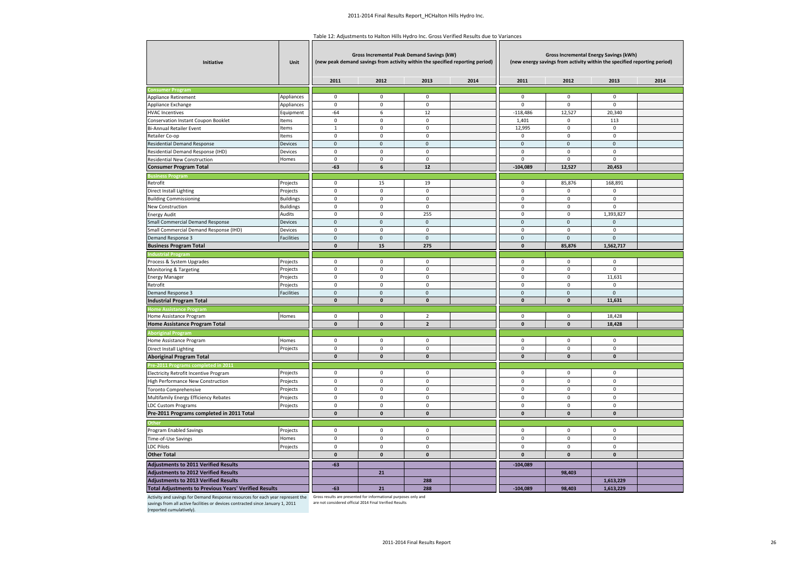Table 12: Adjustments to Halton Hills Hydro Inc. Gross Verified Results due to Variances

| 2011<br>2012<br>2013<br>2014<br>2011<br>2012<br>2013<br>2014<br><b>Consumer Progran</b><br>$\mathsf 0$<br>$\pmb{0}$<br>$\mathsf 0$<br>$\mathsf 0$<br>$\mathbf 0$<br>$\mathbf 0$<br>Appliance Retirement<br>Appliances<br>$\mathbf 0$<br>$\mathbf 0$<br>$\mathbf 0$<br>$\mathbf 0$<br>$\mathbf 0$<br>$\mathsf 0$<br>Appliance Exchange<br>Appliances<br>12,527<br>20,340<br><b>HVAC Incentives</b><br>$-64$<br>6<br>12<br>$-118,486$<br>Equipment<br>$\mathsf 0$<br>$\mathbf 0$<br>Conservation Instant Coupon Booklet<br>Items<br>$\mathbf 0$<br>1,401<br>$\pmb{0}$<br>113<br>$\mathbf 0$<br>$\mathbf 0$<br>12,995<br>$\mathbf 0$<br>$\mathbf 0$<br><b>Bi-Annual Retailer Event</b><br>Items<br>$\mathbf{1}$<br>$\mathbf 0$<br>$\mathbf 0$<br>$\mathbf 0$<br>$\mathbf 0$<br>$\mathbf 0$<br>$\mathsf 0$<br>Items<br>Retailer Co-op<br>Devices<br>$\mathbf 0$<br>$\pmb{0}$<br>$\pmb{0}$<br>$\pmb{0}$<br><b>Residential Demand Response</b><br>$\mathbf 0$<br>$\mathbf 0$<br>$\mathbf 0$<br>$\pmb{0}$<br>$\mathbf 0$<br>$\mathbf 0$<br>$\mathbf 0$<br>Residential Demand Response (IHD)<br>Devices<br>$\pmb{0}$<br>$\mathbf 0$<br>$\mathbf 0$<br>$\mathbf 0$<br>$\mathbf 0$<br>$\mathbf 0$<br>$\mathbf 0$<br><b>Residential New Construction</b><br>Homes<br>$-63$<br>12<br>$-104,089$<br>12,527<br>20,453<br><b>Consumer Program Total</b><br>6<br><b>Business Program</b><br>Retrofit<br>Projects<br>$\mathbf 0$<br>15<br>19<br>$\mathbf 0$<br>85,876<br>168,891<br>$\mathsf 0$<br>$\mathsf 0$<br>$\mathsf 0$<br><b>Direct Install Lighting</b><br>Projects<br>$\mathbf 0$<br>$\mathbf 0$<br>$\mathsf 0$<br><b>Building Commissioning</b><br>$\mathbf 0$<br>$\mathbf 0$<br>0<br>$\mathbf 0$<br>$\mathsf 0$<br>$\mathsf 0$<br><b>Buildings</b><br>0<br>$\pmb{0}$<br>$\mathbf 0$<br>0<br>$\pmb{0}$<br>$\mathbf 0$<br><b>Buildings</b><br>New Construction<br>$\mathsf 0$<br>$\mathsf 0$<br>$\pmb{0}$<br>255<br>$\pmb{0}$<br>1,393,827<br>Audits<br><b>Energy Audit</b><br>Devices<br>$\mathbf{0}$<br>$\mathbf{0}$<br>$\mathbf 0$<br>$\mathbf{0}$<br>$\mathbf{0}$<br>$\mathbf 0$<br><b>Small Commercial Demand Response</b><br>Small Commercial Demand Response (IHD)<br>$\mathbf 0$<br>$\mathbf 0$<br>$\mathbf 0$<br>$\mathbf 0$<br>$\mathbf 0$<br>$\mathbf 0$<br>Devices<br>$\pmb{0}$<br>$\pmb{0}$<br>$\pmb{0}$<br>$\pmb{0}$<br>$\pmb{0}$<br>Facilities<br>$\mathbf 0$<br>Demand Response 3<br>$\pmb{0}$<br>15<br>275<br>$\pmb{0}$<br>85,876<br>1,562,717<br><b>Business Program Total</b><br><b>Industrial Progran</b><br>Process & System Upgrades<br>$\mathbf 0$<br>$\mathbf 0$<br>$\mathbf 0$<br>$\mathbf 0$<br>$\mathbf{0}$<br>$\mathsf 0$<br>Projects<br>$\pmb{0}$<br>$\mathbf 0$<br>0<br>$\pmb{0}$<br>0<br>$\mathbf 0$<br>Monitoring & Targeting<br>Projects<br>$\mathbf 0$<br>$\mathbf 0$<br>$\mathbf 0$<br>$\pmb{0}$<br>$\pmb{0}$<br>11,631<br><b>Energy Manager</b><br>Projects<br>$\mathsf 0$<br>$\pmb{0}$<br>$\mathbf 0$<br>Retrofit<br>Projects<br>$\mathbf 0$<br>$\mathsf 0$<br>$\mathsf 0$<br><b>Facilities</b><br>Demand Response 3<br>$\mathbf{0}$<br>$\Omega$<br>$\mathbf{0}$<br>$\mathbf{0}$<br>$\mathbf{0}$<br>$\mathbf{0}$<br>$\mathbf{0}$<br>$\mathbf{0}$<br>$\mathbf{0}$<br>$\mathbf{0}$<br>$\mathbf{0}$<br>11,631<br><b>Industrial Program Total</b><br>ome Assistance Pr<br>$\overline{2}$<br>$\mathbf 0$<br>18,428<br>Home Assistance Program<br>Homes<br>0<br>0<br>0<br><b>Home Assistance Program Total</b><br>$\mathbf{0}$<br>$\mathbf{0}$<br>$\overline{2}$<br>$\mathbf{0}$<br>$\mathbf{0}$<br>18,428<br><b>Aboriginal Program</b><br>$\mathbf 0$<br>$\mathbf 0$<br>$\mathbf 0$<br>$\pmb{0}$<br>$\pmb{0}$<br>$\mathsf 0$<br>Home Assistance Program<br>Homes<br>$\mathsf 0$<br>$\mathbf 0$<br>$\mathbf 0$<br>$\mathbf 0$<br>$\mathbf 0$<br>$\mathbf 0$<br>Projects<br><b>Direct Install Lighting</b><br>$\pmb{0}$<br>$\pmb{\mathsf{o}}$<br>$\pmb{\mathsf{o}}$<br>$\pmb{0}$<br>$\mathbf{0}$<br>$\pmb{\mathsf{o}}$<br><b>Aboriginal Program Total</b><br>Pre-2011 Programs completed in 2011<br>$\mathbf 0$<br>$\mathbf 0$<br>$\mathbf 0$<br>$\pmb{0}$<br>$\mathbf 0$<br>$\mathbf 0$<br>Electricity Retrofit Incentive Program<br>Projects<br>$\mathbf 0$<br>$\mathbf 0$<br>$\mathbf 0$<br>$\mathbf 0$<br>$\mathbf 0$<br>$\mathbf 0$<br>Projects<br>High Performance New Construction<br>$\mathbf 0$<br>$\mathbf 0$<br>$\mathbf 0$<br>$\mathbf 0$<br>$\mathsf 0$<br>$\pmb{0}$<br>Projects<br><b>Toronto Comprehensive</b><br>$\mathbf 0$<br>Projects<br>$\mathbf 0$<br>$\mathbf 0$<br>$\pmb{0}$<br>$\pmb{0}$<br>$\mathbf 0$<br>Multifamily Energy Efficiency Rebates<br>$\mathsf 0$<br>$\mathbf 0$<br>$\mathbf 0$<br>$\mathbf 0$<br>$\mathbf 0$<br>$\mathbf 0$<br><b>LDC Custom Programs</b><br>Projects<br>$\pmb{0}$<br>$\mathbf{0}$<br>$\pmb{0}$<br>$\pmb{0}$<br>$\mathbf{0}$<br>$\pmb{0}$<br>Pre-2011 Programs completed in 2011 Total<br>$\mathbf 0$<br>Projects<br>$\mathbf 0$<br>$\mathbf 0$<br>$\mathbf 0$<br>$\mathbf 0$<br>$\mathbf 0$<br>Program Enabled Savings<br>$\pmb{0}$<br>$\mathbf 0$<br>$\mathbf 0$<br>$\mathbf 0$<br>$\mathbf 0$<br>$\mathsf 0$<br>Homes<br>Time-of-Use Savings<br>$\mathbf 0$<br>$\mathbf 0$<br>$\mathbf 0$<br>$\pmb{0}$<br>$\pmb{0}$<br>$\mathbf 0$<br><b>LDC Pilots</b><br>Projects<br><b>Other Total</b><br>$\mathbf 0$<br>$\pmb{0}$<br>$\mathbf 0$<br>0<br>$\mathbf 0$<br>$\mathbf 0$<br><b>Adjustments to 2011 Verified Results</b><br>$-63$<br>$-104,089$<br><b>Adjustments to 2012 Verified Results</b><br>21<br>98,403<br><b>Adjustments to 2013 Verified Results</b><br>288<br>1,613,229<br><b>Total Adjustments to Previous Years' Verified Results</b><br>1,613,229<br>$-63$<br>21<br>288<br>$-104,089$<br>98,403 | Initiative | Unit | Gross Incremental Peak Demand Savings (kW) | <b>Gross Incremental Energy Savings (kWh)</b><br>(new peak demand savings from activity within the specified reporting period)<br>(new energy savings from activity within the specified reporting period) |  |  |  |  |
|--------------------------------------------------------------------------------------------------------------------------------------------------------------------------------------------------------------------------------------------------------------------------------------------------------------------------------------------------------------------------------------------------------------------------------------------------------------------------------------------------------------------------------------------------------------------------------------------------------------------------------------------------------------------------------------------------------------------------------------------------------------------------------------------------------------------------------------------------------------------------------------------------------------------------------------------------------------------------------------------------------------------------------------------------------------------------------------------------------------------------------------------------------------------------------------------------------------------------------------------------------------------------------------------------------------------------------------------------------------------------------------------------------------------------------------------------------------------------------------------------------------------------------------------------------------------------------------------------------------------------------------------------------------------------------------------------------------------------------------------------------------------------------------------------------------------------------------------------------------------------------------------------------------------------------------------------------------------------------------------------------------------------------------------------------------------------------------------------------------------------------------------------------------------------------------------------------------------------------------------------------------------------------------------------------------------------------------------------------------------------------------------------------------------------------------------------------------------------------------------------------------------------------------------------------------------------------------------------------------------------------------------------------------------------------------------------------------------------------------------------------------------------------------------------------------------------------------------------------------------------------------------------------------------------------------------------------------------------------------------------------------------------------------------------------------------------------------------------------------------------------------------------------------------------------------------------------------------------------------------------------------------------------------------------------------------------------------------------------------------------------------------------------------------------------------------------------------------------------------------------------------------------------------------------------------------------------------------------------------------------------------------------------------------------------------------------------------------------------------------------------------------------------------------------------------------------------------------------------------------------------------------------------------------------------------------------------------------------------------------------------------------------------------------------------------------------------------------------------------------------------------------------------------------------------------------------------------------------------------------------------------------------------------------------------------------------------------------------------------------------------------------------------------------------------------------------------------------------------------------------------------------------------------------------------------------------------------------------------------------------------------------------------------------------------------------------------------------------------------------------------------------------------------------------------------------------------------------------------------------------------------------------------------------------------------------------------------------------------------------------------------------------------------------------------------------------------------------------------------------------------------------------------------------------------------------------------------------------------------------------------------------------------------------------------------------------------------------------------------------------------------------------------------------------------------------------------------------------------------------------------------------------------------------------------------------------------------------------------------------------------------------------------------------------------------------|------------|------|--------------------------------------------|------------------------------------------------------------------------------------------------------------------------------------------------------------------------------------------------------------|--|--|--|--|
|                                                                                                                                                                                                                                                                                                                                                                                                                                                                                                                                                                                                                                                                                                                                                                                                                                                                                                                                                                                                                                                                                                                                                                                                                                                                                                                                                                                                                                                                                                                                                                                                                                                                                                                                                                                                                                                                                                                                                                                                                                                                                                                                                                                                                                                                                                                                                                                                                                                                                                                                                                                                                                                                                                                                                                                                                                                                                                                                                                                                                                                                                                                                                                                                                                                                                                                                                                                                                                                                                                                                                                                                                                                                                                                                                                                                                                                                                                                                                                                                                                                                                                                                                                                                                                                                                                                                                                                                                                                                                                                                                                                                                                                                                                                                                                                                                                                                                                                                                                                                                                                                                                                                                                                                                                                                                                                                                                                                                                                                                                                                                                                                                                                                                            |            |      |                                            |                                                                                                                                                                                                            |  |  |  |  |
|                                                                                                                                                                                                                                                                                                                                                                                                                                                                                                                                                                                                                                                                                                                                                                                                                                                                                                                                                                                                                                                                                                                                                                                                                                                                                                                                                                                                                                                                                                                                                                                                                                                                                                                                                                                                                                                                                                                                                                                                                                                                                                                                                                                                                                                                                                                                                                                                                                                                                                                                                                                                                                                                                                                                                                                                                                                                                                                                                                                                                                                                                                                                                                                                                                                                                                                                                                                                                                                                                                                                                                                                                                                                                                                                                                                                                                                                                                                                                                                                                                                                                                                                                                                                                                                                                                                                                                                                                                                                                                                                                                                                                                                                                                                                                                                                                                                                                                                                                                                                                                                                                                                                                                                                                                                                                                                                                                                                                                                                                                                                                                                                                                                                                            |            |      |                                            |                                                                                                                                                                                                            |  |  |  |  |
|                                                                                                                                                                                                                                                                                                                                                                                                                                                                                                                                                                                                                                                                                                                                                                                                                                                                                                                                                                                                                                                                                                                                                                                                                                                                                                                                                                                                                                                                                                                                                                                                                                                                                                                                                                                                                                                                                                                                                                                                                                                                                                                                                                                                                                                                                                                                                                                                                                                                                                                                                                                                                                                                                                                                                                                                                                                                                                                                                                                                                                                                                                                                                                                                                                                                                                                                                                                                                                                                                                                                                                                                                                                                                                                                                                                                                                                                                                                                                                                                                                                                                                                                                                                                                                                                                                                                                                                                                                                                                                                                                                                                                                                                                                                                                                                                                                                                                                                                                                                                                                                                                                                                                                                                                                                                                                                                                                                                                                                                                                                                                                                                                                                                                            |            |      |                                            |                                                                                                                                                                                                            |  |  |  |  |
|                                                                                                                                                                                                                                                                                                                                                                                                                                                                                                                                                                                                                                                                                                                                                                                                                                                                                                                                                                                                                                                                                                                                                                                                                                                                                                                                                                                                                                                                                                                                                                                                                                                                                                                                                                                                                                                                                                                                                                                                                                                                                                                                                                                                                                                                                                                                                                                                                                                                                                                                                                                                                                                                                                                                                                                                                                                                                                                                                                                                                                                                                                                                                                                                                                                                                                                                                                                                                                                                                                                                                                                                                                                                                                                                                                                                                                                                                                                                                                                                                                                                                                                                                                                                                                                                                                                                                                                                                                                                                                                                                                                                                                                                                                                                                                                                                                                                                                                                                                                                                                                                                                                                                                                                                                                                                                                                                                                                                                                                                                                                                                                                                                                                                            |            |      |                                            |                                                                                                                                                                                                            |  |  |  |  |
|                                                                                                                                                                                                                                                                                                                                                                                                                                                                                                                                                                                                                                                                                                                                                                                                                                                                                                                                                                                                                                                                                                                                                                                                                                                                                                                                                                                                                                                                                                                                                                                                                                                                                                                                                                                                                                                                                                                                                                                                                                                                                                                                                                                                                                                                                                                                                                                                                                                                                                                                                                                                                                                                                                                                                                                                                                                                                                                                                                                                                                                                                                                                                                                                                                                                                                                                                                                                                                                                                                                                                                                                                                                                                                                                                                                                                                                                                                                                                                                                                                                                                                                                                                                                                                                                                                                                                                                                                                                                                                                                                                                                                                                                                                                                                                                                                                                                                                                                                                                                                                                                                                                                                                                                                                                                                                                                                                                                                                                                                                                                                                                                                                                                                            |            |      |                                            |                                                                                                                                                                                                            |  |  |  |  |
|                                                                                                                                                                                                                                                                                                                                                                                                                                                                                                                                                                                                                                                                                                                                                                                                                                                                                                                                                                                                                                                                                                                                                                                                                                                                                                                                                                                                                                                                                                                                                                                                                                                                                                                                                                                                                                                                                                                                                                                                                                                                                                                                                                                                                                                                                                                                                                                                                                                                                                                                                                                                                                                                                                                                                                                                                                                                                                                                                                                                                                                                                                                                                                                                                                                                                                                                                                                                                                                                                                                                                                                                                                                                                                                                                                                                                                                                                                                                                                                                                                                                                                                                                                                                                                                                                                                                                                                                                                                                                                                                                                                                                                                                                                                                                                                                                                                                                                                                                                                                                                                                                                                                                                                                                                                                                                                                                                                                                                                                                                                                                                                                                                                                                            |            |      |                                            |                                                                                                                                                                                                            |  |  |  |  |
|                                                                                                                                                                                                                                                                                                                                                                                                                                                                                                                                                                                                                                                                                                                                                                                                                                                                                                                                                                                                                                                                                                                                                                                                                                                                                                                                                                                                                                                                                                                                                                                                                                                                                                                                                                                                                                                                                                                                                                                                                                                                                                                                                                                                                                                                                                                                                                                                                                                                                                                                                                                                                                                                                                                                                                                                                                                                                                                                                                                                                                                                                                                                                                                                                                                                                                                                                                                                                                                                                                                                                                                                                                                                                                                                                                                                                                                                                                                                                                                                                                                                                                                                                                                                                                                                                                                                                                                                                                                                                                                                                                                                                                                                                                                                                                                                                                                                                                                                                                                                                                                                                                                                                                                                                                                                                                                                                                                                                                                                                                                                                                                                                                                                                            |            |      |                                            |                                                                                                                                                                                                            |  |  |  |  |
|                                                                                                                                                                                                                                                                                                                                                                                                                                                                                                                                                                                                                                                                                                                                                                                                                                                                                                                                                                                                                                                                                                                                                                                                                                                                                                                                                                                                                                                                                                                                                                                                                                                                                                                                                                                                                                                                                                                                                                                                                                                                                                                                                                                                                                                                                                                                                                                                                                                                                                                                                                                                                                                                                                                                                                                                                                                                                                                                                                                                                                                                                                                                                                                                                                                                                                                                                                                                                                                                                                                                                                                                                                                                                                                                                                                                                                                                                                                                                                                                                                                                                                                                                                                                                                                                                                                                                                                                                                                                                                                                                                                                                                                                                                                                                                                                                                                                                                                                                                                                                                                                                                                                                                                                                                                                                                                                                                                                                                                                                                                                                                                                                                                                                            |            |      |                                            |                                                                                                                                                                                                            |  |  |  |  |
|                                                                                                                                                                                                                                                                                                                                                                                                                                                                                                                                                                                                                                                                                                                                                                                                                                                                                                                                                                                                                                                                                                                                                                                                                                                                                                                                                                                                                                                                                                                                                                                                                                                                                                                                                                                                                                                                                                                                                                                                                                                                                                                                                                                                                                                                                                                                                                                                                                                                                                                                                                                                                                                                                                                                                                                                                                                                                                                                                                                                                                                                                                                                                                                                                                                                                                                                                                                                                                                                                                                                                                                                                                                                                                                                                                                                                                                                                                                                                                                                                                                                                                                                                                                                                                                                                                                                                                                                                                                                                                                                                                                                                                                                                                                                                                                                                                                                                                                                                                                                                                                                                                                                                                                                                                                                                                                                                                                                                                                                                                                                                                                                                                                                                            |            |      |                                            |                                                                                                                                                                                                            |  |  |  |  |
|                                                                                                                                                                                                                                                                                                                                                                                                                                                                                                                                                                                                                                                                                                                                                                                                                                                                                                                                                                                                                                                                                                                                                                                                                                                                                                                                                                                                                                                                                                                                                                                                                                                                                                                                                                                                                                                                                                                                                                                                                                                                                                                                                                                                                                                                                                                                                                                                                                                                                                                                                                                                                                                                                                                                                                                                                                                                                                                                                                                                                                                                                                                                                                                                                                                                                                                                                                                                                                                                                                                                                                                                                                                                                                                                                                                                                                                                                                                                                                                                                                                                                                                                                                                                                                                                                                                                                                                                                                                                                                                                                                                                                                                                                                                                                                                                                                                                                                                                                                                                                                                                                                                                                                                                                                                                                                                                                                                                                                                                                                                                                                                                                                                                                            |            |      |                                            |                                                                                                                                                                                                            |  |  |  |  |
|                                                                                                                                                                                                                                                                                                                                                                                                                                                                                                                                                                                                                                                                                                                                                                                                                                                                                                                                                                                                                                                                                                                                                                                                                                                                                                                                                                                                                                                                                                                                                                                                                                                                                                                                                                                                                                                                                                                                                                                                                                                                                                                                                                                                                                                                                                                                                                                                                                                                                                                                                                                                                                                                                                                                                                                                                                                                                                                                                                                                                                                                                                                                                                                                                                                                                                                                                                                                                                                                                                                                                                                                                                                                                                                                                                                                                                                                                                                                                                                                                                                                                                                                                                                                                                                                                                                                                                                                                                                                                                                                                                                                                                                                                                                                                                                                                                                                                                                                                                                                                                                                                                                                                                                                                                                                                                                                                                                                                                                                                                                                                                                                                                                                                            |            |      |                                            |                                                                                                                                                                                                            |  |  |  |  |
|                                                                                                                                                                                                                                                                                                                                                                                                                                                                                                                                                                                                                                                                                                                                                                                                                                                                                                                                                                                                                                                                                                                                                                                                                                                                                                                                                                                                                                                                                                                                                                                                                                                                                                                                                                                                                                                                                                                                                                                                                                                                                                                                                                                                                                                                                                                                                                                                                                                                                                                                                                                                                                                                                                                                                                                                                                                                                                                                                                                                                                                                                                                                                                                                                                                                                                                                                                                                                                                                                                                                                                                                                                                                                                                                                                                                                                                                                                                                                                                                                                                                                                                                                                                                                                                                                                                                                                                                                                                                                                                                                                                                                                                                                                                                                                                                                                                                                                                                                                                                                                                                                                                                                                                                                                                                                                                                                                                                                                                                                                                                                                                                                                                                                            |            |      |                                            |                                                                                                                                                                                                            |  |  |  |  |
|                                                                                                                                                                                                                                                                                                                                                                                                                                                                                                                                                                                                                                                                                                                                                                                                                                                                                                                                                                                                                                                                                                                                                                                                                                                                                                                                                                                                                                                                                                                                                                                                                                                                                                                                                                                                                                                                                                                                                                                                                                                                                                                                                                                                                                                                                                                                                                                                                                                                                                                                                                                                                                                                                                                                                                                                                                                                                                                                                                                                                                                                                                                                                                                                                                                                                                                                                                                                                                                                                                                                                                                                                                                                                                                                                                                                                                                                                                                                                                                                                                                                                                                                                                                                                                                                                                                                                                                                                                                                                                                                                                                                                                                                                                                                                                                                                                                                                                                                                                                                                                                                                                                                                                                                                                                                                                                                                                                                                                                                                                                                                                                                                                                                                            |            |      |                                            |                                                                                                                                                                                                            |  |  |  |  |
|                                                                                                                                                                                                                                                                                                                                                                                                                                                                                                                                                                                                                                                                                                                                                                                                                                                                                                                                                                                                                                                                                                                                                                                                                                                                                                                                                                                                                                                                                                                                                                                                                                                                                                                                                                                                                                                                                                                                                                                                                                                                                                                                                                                                                                                                                                                                                                                                                                                                                                                                                                                                                                                                                                                                                                                                                                                                                                                                                                                                                                                                                                                                                                                                                                                                                                                                                                                                                                                                                                                                                                                                                                                                                                                                                                                                                                                                                                                                                                                                                                                                                                                                                                                                                                                                                                                                                                                                                                                                                                                                                                                                                                                                                                                                                                                                                                                                                                                                                                                                                                                                                                                                                                                                                                                                                                                                                                                                                                                                                                                                                                                                                                                                                            |            |      |                                            |                                                                                                                                                                                                            |  |  |  |  |
|                                                                                                                                                                                                                                                                                                                                                                                                                                                                                                                                                                                                                                                                                                                                                                                                                                                                                                                                                                                                                                                                                                                                                                                                                                                                                                                                                                                                                                                                                                                                                                                                                                                                                                                                                                                                                                                                                                                                                                                                                                                                                                                                                                                                                                                                                                                                                                                                                                                                                                                                                                                                                                                                                                                                                                                                                                                                                                                                                                                                                                                                                                                                                                                                                                                                                                                                                                                                                                                                                                                                                                                                                                                                                                                                                                                                                                                                                                                                                                                                                                                                                                                                                                                                                                                                                                                                                                                                                                                                                                                                                                                                                                                                                                                                                                                                                                                                                                                                                                                                                                                                                                                                                                                                                                                                                                                                                                                                                                                                                                                                                                                                                                                                                            |            |      |                                            |                                                                                                                                                                                                            |  |  |  |  |
|                                                                                                                                                                                                                                                                                                                                                                                                                                                                                                                                                                                                                                                                                                                                                                                                                                                                                                                                                                                                                                                                                                                                                                                                                                                                                                                                                                                                                                                                                                                                                                                                                                                                                                                                                                                                                                                                                                                                                                                                                                                                                                                                                                                                                                                                                                                                                                                                                                                                                                                                                                                                                                                                                                                                                                                                                                                                                                                                                                                                                                                                                                                                                                                                                                                                                                                                                                                                                                                                                                                                                                                                                                                                                                                                                                                                                                                                                                                                                                                                                                                                                                                                                                                                                                                                                                                                                                                                                                                                                                                                                                                                                                                                                                                                                                                                                                                                                                                                                                                                                                                                                                                                                                                                                                                                                                                                                                                                                                                                                                                                                                                                                                                                                            |            |      |                                            |                                                                                                                                                                                                            |  |  |  |  |
|                                                                                                                                                                                                                                                                                                                                                                                                                                                                                                                                                                                                                                                                                                                                                                                                                                                                                                                                                                                                                                                                                                                                                                                                                                                                                                                                                                                                                                                                                                                                                                                                                                                                                                                                                                                                                                                                                                                                                                                                                                                                                                                                                                                                                                                                                                                                                                                                                                                                                                                                                                                                                                                                                                                                                                                                                                                                                                                                                                                                                                                                                                                                                                                                                                                                                                                                                                                                                                                                                                                                                                                                                                                                                                                                                                                                                                                                                                                                                                                                                                                                                                                                                                                                                                                                                                                                                                                                                                                                                                                                                                                                                                                                                                                                                                                                                                                                                                                                                                                                                                                                                                                                                                                                                                                                                                                                                                                                                                                                                                                                                                                                                                                                                            |            |      |                                            |                                                                                                                                                                                                            |  |  |  |  |
|                                                                                                                                                                                                                                                                                                                                                                                                                                                                                                                                                                                                                                                                                                                                                                                                                                                                                                                                                                                                                                                                                                                                                                                                                                                                                                                                                                                                                                                                                                                                                                                                                                                                                                                                                                                                                                                                                                                                                                                                                                                                                                                                                                                                                                                                                                                                                                                                                                                                                                                                                                                                                                                                                                                                                                                                                                                                                                                                                                                                                                                                                                                                                                                                                                                                                                                                                                                                                                                                                                                                                                                                                                                                                                                                                                                                                                                                                                                                                                                                                                                                                                                                                                                                                                                                                                                                                                                                                                                                                                                                                                                                                                                                                                                                                                                                                                                                                                                                                                                                                                                                                                                                                                                                                                                                                                                                                                                                                                                                                                                                                                                                                                                                                            |            |      |                                            |                                                                                                                                                                                                            |  |  |  |  |
|                                                                                                                                                                                                                                                                                                                                                                                                                                                                                                                                                                                                                                                                                                                                                                                                                                                                                                                                                                                                                                                                                                                                                                                                                                                                                                                                                                                                                                                                                                                                                                                                                                                                                                                                                                                                                                                                                                                                                                                                                                                                                                                                                                                                                                                                                                                                                                                                                                                                                                                                                                                                                                                                                                                                                                                                                                                                                                                                                                                                                                                                                                                                                                                                                                                                                                                                                                                                                                                                                                                                                                                                                                                                                                                                                                                                                                                                                                                                                                                                                                                                                                                                                                                                                                                                                                                                                                                                                                                                                                                                                                                                                                                                                                                                                                                                                                                                                                                                                                                                                                                                                                                                                                                                                                                                                                                                                                                                                                                                                                                                                                                                                                                                                            |            |      |                                            |                                                                                                                                                                                                            |  |  |  |  |
|                                                                                                                                                                                                                                                                                                                                                                                                                                                                                                                                                                                                                                                                                                                                                                                                                                                                                                                                                                                                                                                                                                                                                                                                                                                                                                                                                                                                                                                                                                                                                                                                                                                                                                                                                                                                                                                                                                                                                                                                                                                                                                                                                                                                                                                                                                                                                                                                                                                                                                                                                                                                                                                                                                                                                                                                                                                                                                                                                                                                                                                                                                                                                                                                                                                                                                                                                                                                                                                                                                                                                                                                                                                                                                                                                                                                                                                                                                                                                                                                                                                                                                                                                                                                                                                                                                                                                                                                                                                                                                                                                                                                                                                                                                                                                                                                                                                                                                                                                                                                                                                                                                                                                                                                                                                                                                                                                                                                                                                                                                                                                                                                                                                                                            |            |      |                                            |                                                                                                                                                                                                            |  |  |  |  |
|                                                                                                                                                                                                                                                                                                                                                                                                                                                                                                                                                                                                                                                                                                                                                                                                                                                                                                                                                                                                                                                                                                                                                                                                                                                                                                                                                                                                                                                                                                                                                                                                                                                                                                                                                                                                                                                                                                                                                                                                                                                                                                                                                                                                                                                                                                                                                                                                                                                                                                                                                                                                                                                                                                                                                                                                                                                                                                                                                                                                                                                                                                                                                                                                                                                                                                                                                                                                                                                                                                                                                                                                                                                                                                                                                                                                                                                                                                                                                                                                                                                                                                                                                                                                                                                                                                                                                                                                                                                                                                                                                                                                                                                                                                                                                                                                                                                                                                                                                                                                                                                                                                                                                                                                                                                                                                                                                                                                                                                                                                                                                                                                                                                                                            |            |      |                                            |                                                                                                                                                                                                            |  |  |  |  |
|                                                                                                                                                                                                                                                                                                                                                                                                                                                                                                                                                                                                                                                                                                                                                                                                                                                                                                                                                                                                                                                                                                                                                                                                                                                                                                                                                                                                                                                                                                                                                                                                                                                                                                                                                                                                                                                                                                                                                                                                                                                                                                                                                                                                                                                                                                                                                                                                                                                                                                                                                                                                                                                                                                                                                                                                                                                                                                                                                                                                                                                                                                                                                                                                                                                                                                                                                                                                                                                                                                                                                                                                                                                                                                                                                                                                                                                                                                                                                                                                                                                                                                                                                                                                                                                                                                                                                                                                                                                                                                                                                                                                                                                                                                                                                                                                                                                                                                                                                                                                                                                                                                                                                                                                                                                                                                                                                                                                                                                                                                                                                                                                                                                                                            |            |      |                                            |                                                                                                                                                                                                            |  |  |  |  |
|                                                                                                                                                                                                                                                                                                                                                                                                                                                                                                                                                                                                                                                                                                                                                                                                                                                                                                                                                                                                                                                                                                                                                                                                                                                                                                                                                                                                                                                                                                                                                                                                                                                                                                                                                                                                                                                                                                                                                                                                                                                                                                                                                                                                                                                                                                                                                                                                                                                                                                                                                                                                                                                                                                                                                                                                                                                                                                                                                                                                                                                                                                                                                                                                                                                                                                                                                                                                                                                                                                                                                                                                                                                                                                                                                                                                                                                                                                                                                                                                                                                                                                                                                                                                                                                                                                                                                                                                                                                                                                                                                                                                                                                                                                                                                                                                                                                                                                                                                                                                                                                                                                                                                                                                                                                                                                                                                                                                                                                                                                                                                                                                                                                                                            |            |      |                                            |                                                                                                                                                                                                            |  |  |  |  |
|                                                                                                                                                                                                                                                                                                                                                                                                                                                                                                                                                                                                                                                                                                                                                                                                                                                                                                                                                                                                                                                                                                                                                                                                                                                                                                                                                                                                                                                                                                                                                                                                                                                                                                                                                                                                                                                                                                                                                                                                                                                                                                                                                                                                                                                                                                                                                                                                                                                                                                                                                                                                                                                                                                                                                                                                                                                                                                                                                                                                                                                                                                                                                                                                                                                                                                                                                                                                                                                                                                                                                                                                                                                                                                                                                                                                                                                                                                                                                                                                                                                                                                                                                                                                                                                                                                                                                                                                                                                                                                                                                                                                                                                                                                                                                                                                                                                                                                                                                                                                                                                                                                                                                                                                                                                                                                                                                                                                                                                                                                                                                                                                                                                                                            |            |      |                                            |                                                                                                                                                                                                            |  |  |  |  |
|                                                                                                                                                                                                                                                                                                                                                                                                                                                                                                                                                                                                                                                                                                                                                                                                                                                                                                                                                                                                                                                                                                                                                                                                                                                                                                                                                                                                                                                                                                                                                                                                                                                                                                                                                                                                                                                                                                                                                                                                                                                                                                                                                                                                                                                                                                                                                                                                                                                                                                                                                                                                                                                                                                                                                                                                                                                                                                                                                                                                                                                                                                                                                                                                                                                                                                                                                                                                                                                                                                                                                                                                                                                                                                                                                                                                                                                                                                                                                                                                                                                                                                                                                                                                                                                                                                                                                                                                                                                                                                                                                                                                                                                                                                                                                                                                                                                                                                                                                                                                                                                                                                                                                                                                                                                                                                                                                                                                                                                                                                                                                                                                                                                                                            |            |      |                                            |                                                                                                                                                                                                            |  |  |  |  |
|                                                                                                                                                                                                                                                                                                                                                                                                                                                                                                                                                                                                                                                                                                                                                                                                                                                                                                                                                                                                                                                                                                                                                                                                                                                                                                                                                                                                                                                                                                                                                                                                                                                                                                                                                                                                                                                                                                                                                                                                                                                                                                                                                                                                                                                                                                                                                                                                                                                                                                                                                                                                                                                                                                                                                                                                                                                                                                                                                                                                                                                                                                                                                                                                                                                                                                                                                                                                                                                                                                                                                                                                                                                                                                                                                                                                                                                                                                                                                                                                                                                                                                                                                                                                                                                                                                                                                                                                                                                                                                                                                                                                                                                                                                                                                                                                                                                                                                                                                                                                                                                                                                                                                                                                                                                                                                                                                                                                                                                                                                                                                                                                                                                                                            |            |      |                                            |                                                                                                                                                                                                            |  |  |  |  |
|                                                                                                                                                                                                                                                                                                                                                                                                                                                                                                                                                                                                                                                                                                                                                                                                                                                                                                                                                                                                                                                                                                                                                                                                                                                                                                                                                                                                                                                                                                                                                                                                                                                                                                                                                                                                                                                                                                                                                                                                                                                                                                                                                                                                                                                                                                                                                                                                                                                                                                                                                                                                                                                                                                                                                                                                                                                                                                                                                                                                                                                                                                                                                                                                                                                                                                                                                                                                                                                                                                                                                                                                                                                                                                                                                                                                                                                                                                                                                                                                                                                                                                                                                                                                                                                                                                                                                                                                                                                                                                                                                                                                                                                                                                                                                                                                                                                                                                                                                                                                                                                                                                                                                                                                                                                                                                                                                                                                                                                                                                                                                                                                                                                                                            |            |      |                                            |                                                                                                                                                                                                            |  |  |  |  |
|                                                                                                                                                                                                                                                                                                                                                                                                                                                                                                                                                                                                                                                                                                                                                                                                                                                                                                                                                                                                                                                                                                                                                                                                                                                                                                                                                                                                                                                                                                                                                                                                                                                                                                                                                                                                                                                                                                                                                                                                                                                                                                                                                                                                                                                                                                                                                                                                                                                                                                                                                                                                                                                                                                                                                                                                                                                                                                                                                                                                                                                                                                                                                                                                                                                                                                                                                                                                                                                                                                                                                                                                                                                                                                                                                                                                                                                                                                                                                                                                                                                                                                                                                                                                                                                                                                                                                                                                                                                                                                                                                                                                                                                                                                                                                                                                                                                                                                                                                                                                                                                                                                                                                                                                                                                                                                                                                                                                                                                                                                                                                                                                                                                                                            |            |      |                                            |                                                                                                                                                                                                            |  |  |  |  |
|                                                                                                                                                                                                                                                                                                                                                                                                                                                                                                                                                                                                                                                                                                                                                                                                                                                                                                                                                                                                                                                                                                                                                                                                                                                                                                                                                                                                                                                                                                                                                                                                                                                                                                                                                                                                                                                                                                                                                                                                                                                                                                                                                                                                                                                                                                                                                                                                                                                                                                                                                                                                                                                                                                                                                                                                                                                                                                                                                                                                                                                                                                                                                                                                                                                                                                                                                                                                                                                                                                                                                                                                                                                                                                                                                                                                                                                                                                                                                                                                                                                                                                                                                                                                                                                                                                                                                                                                                                                                                                                                                                                                                                                                                                                                                                                                                                                                                                                                                                                                                                                                                                                                                                                                                                                                                                                                                                                                                                                                                                                                                                                                                                                                                            |            |      |                                            |                                                                                                                                                                                                            |  |  |  |  |
|                                                                                                                                                                                                                                                                                                                                                                                                                                                                                                                                                                                                                                                                                                                                                                                                                                                                                                                                                                                                                                                                                                                                                                                                                                                                                                                                                                                                                                                                                                                                                                                                                                                                                                                                                                                                                                                                                                                                                                                                                                                                                                                                                                                                                                                                                                                                                                                                                                                                                                                                                                                                                                                                                                                                                                                                                                                                                                                                                                                                                                                                                                                                                                                                                                                                                                                                                                                                                                                                                                                                                                                                                                                                                                                                                                                                                                                                                                                                                                                                                                                                                                                                                                                                                                                                                                                                                                                                                                                                                                                                                                                                                                                                                                                                                                                                                                                                                                                                                                                                                                                                                                                                                                                                                                                                                                                                                                                                                                                                                                                                                                                                                                                                                            |            |      |                                            |                                                                                                                                                                                                            |  |  |  |  |
|                                                                                                                                                                                                                                                                                                                                                                                                                                                                                                                                                                                                                                                                                                                                                                                                                                                                                                                                                                                                                                                                                                                                                                                                                                                                                                                                                                                                                                                                                                                                                                                                                                                                                                                                                                                                                                                                                                                                                                                                                                                                                                                                                                                                                                                                                                                                                                                                                                                                                                                                                                                                                                                                                                                                                                                                                                                                                                                                                                                                                                                                                                                                                                                                                                                                                                                                                                                                                                                                                                                                                                                                                                                                                                                                                                                                                                                                                                                                                                                                                                                                                                                                                                                                                                                                                                                                                                                                                                                                                                                                                                                                                                                                                                                                                                                                                                                                                                                                                                                                                                                                                                                                                                                                                                                                                                                                                                                                                                                                                                                                                                                                                                                                                            |            |      |                                            |                                                                                                                                                                                                            |  |  |  |  |
|                                                                                                                                                                                                                                                                                                                                                                                                                                                                                                                                                                                                                                                                                                                                                                                                                                                                                                                                                                                                                                                                                                                                                                                                                                                                                                                                                                                                                                                                                                                                                                                                                                                                                                                                                                                                                                                                                                                                                                                                                                                                                                                                                                                                                                                                                                                                                                                                                                                                                                                                                                                                                                                                                                                                                                                                                                                                                                                                                                                                                                                                                                                                                                                                                                                                                                                                                                                                                                                                                                                                                                                                                                                                                                                                                                                                                                                                                                                                                                                                                                                                                                                                                                                                                                                                                                                                                                                                                                                                                                                                                                                                                                                                                                                                                                                                                                                                                                                                                                                                                                                                                                                                                                                                                                                                                                                                                                                                                                                                                                                                                                                                                                                                                            |            |      |                                            |                                                                                                                                                                                                            |  |  |  |  |
|                                                                                                                                                                                                                                                                                                                                                                                                                                                                                                                                                                                                                                                                                                                                                                                                                                                                                                                                                                                                                                                                                                                                                                                                                                                                                                                                                                                                                                                                                                                                                                                                                                                                                                                                                                                                                                                                                                                                                                                                                                                                                                                                                                                                                                                                                                                                                                                                                                                                                                                                                                                                                                                                                                                                                                                                                                                                                                                                                                                                                                                                                                                                                                                                                                                                                                                                                                                                                                                                                                                                                                                                                                                                                                                                                                                                                                                                                                                                                                                                                                                                                                                                                                                                                                                                                                                                                                                                                                                                                                                                                                                                                                                                                                                                                                                                                                                                                                                                                                                                                                                                                                                                                                                                                                                                                                                                                                                                                                                                                                                                                                                                                                                                                            |            |      |                                            |                                                                                                                                                                                                            |  |  |  |  |
|                                                                                                                                                                                                                                                                                                                                                                                                                                                                                                                                                                                                                                                                                                                                                                                                                                                                                                                                                                                                                                                                                                                                                                                                                                                                                                                                                                                                                                                                                                                                                                                                                                                                                                                                                                                                                                                                                                                                                                                                                                                                                                                                                                                                                                                                                                                                                                                                                                                                                                                                                                                                                                                                                                                                                                                                                                                                                                                                                                                                                                                                                                                                                                                                                                                                                                                                                                                                                                                                                                                                                                                                                                                                                                                                                                                                                                                                                                                                                                                                                                                                                                                                                                                                                                                                                                                                                                                                                                                                                                                                                                                                                                                                                                                                                                                                                                                                                                                                                                                                                                                                                                                                                                                                                                                                                                                                                                                                                                                                                                                                                                                                                                                                                            |            |      |                                            |                                                                                                                                                                                                            |  |  |  |  |
|                                                                                                                                                                                                                                                                                                                                                                                                                                                                                                                                                                                                                                                                                                                                                                                                                                                                                                                                                                                                                                                                                                                                                                                                                                                                                                                                                                                                                                                                                                                                                                                                                                                                                                                                                                                                                                                                                                                                                                                                                                                                                                                                                                                                                                                                                                                                                                                                                                                                                                                                                                                                                                                                                                                                                                                                                                                                                                                                                                                                                                                                                                                                                                                                                                                                                                                                                                                                                                                                                                                                                                                                                                                                                                                                                                                                                                                                                                                                                                                                                                                                                                                                                                                                                                                                                                                                                                                                                                                                                                                                                                                                                                                                                                                                                                                                                                                                                                                                                                                                                                                                                                                                                                                                                                                                                                                                                                                                                                                                                                                                                                                                                                                                                            |            |      |                                            |                                                                                                                                                                                                            |  |  |  |  |
|                                                                                                                                                                                                                                                                                                                                                                                                                                                                                                                                                                                                                                                                                                                                                                                                                                                                                                                                                                                                                                                                                                                                                                                                                                                                                                                                                                                                                                                                                                                                                                                                                                                                                                                                                                                                                                                                                                                                                                                                                                                                                                                                                                                                                                                                                                                                                                                                                                                                                                                                                                                                                                                                                                                                                                                                                                                                                                                                                                                                                                                                                                                                                                                                                                                                                                                                                                                                                                                                                                                                                                                                                                                                                                                                                                                                                                                                                                                                                                                                                                                                                                                                                                                                                                                                                                                                                                                                                                                                                                                                                                                                                                                                                                                                                                                                                                                                                                                                                                                                                                                                                                                                                                                                                                                                                                                                                                                                                                                                                                                                                                                                                                                                                            |            |      |                                            |                                                                                                                                                                                                            |  |  |  |  |
|                                                                                                                                                                                                                                                                                                                                                                                                                                                                                                                                                                                                                                                                                                                                                                                                                                                                                                                                                                                                                                                                                                                                                                                                                                                                                                                                                                                                                                                                                                                                                                                                                                                                                                                                                                                                                                                                                                                                                                                                                                                                                                                                                                                                                                                                                                                                                                                                                                                                                                                                                                                                                                                                                                                                                                                                                                                                                                                                                                                                                                                                                                                                                                                                                                                                                                                                                                                                                                                                                                                                                                                                                                                                                                                                                                                                                                                                                                                                                                                                                                                                                                                                                                                                                                                                                                                                                                                                                                                                                                                                                                                                                                                                                                                                                                                                                                                                                                                                                                                                                                                                                                                                                                                                                                                                                                                                                                                                                                                                                                                                                                                                                                                                                            |            |      |                                            |                                                                                                                                                                                                            |  |  |  |  |
|                                                                                                                                                                                                                                                                                                                                                                                                                                                                                                                                                                                                                                                                                                                                                                                                                                                                                                                                                                                                                                                                                                                                                                                                                                                                                                                                                                                                                                                                                                                                                                                                                                                                                                                                                                                                                                                                                                                                                                                                                                                                                                                                                                                                                                                                                                                                                                                                                                                                                                                                                                                                                                                                                                                                                                                                                                                                                                                                                                                                                                                                                                                                                                                                                                                                                                                                                                                                                                                                                                                                                                                                                                                                                                                                                                                                                                                                                                                                                                                                                                                                                                                                                                                                                                                                                                                                                                                                                                                                                                                                                                                                                                                                                                                                                                                                                                                                                                                                                                                                                                                                                                                                                                                                                                                                                                                                                                                                                                                                                                                                                                                                                                                                                            |            |      |                                            |                                                                                                                                                                                                            |  |  |  |  |
|                                                                                                                                                                                                                                                                                                                                                                                                                                                                                                                                                                                                                                                                                                                                                                                                                                                                                                                                                                                                                                                                                                                                                                                                                                                                                                                                                                                                                                                                                                                                                                                                                                                                                                                                                                                                                                                                                                                                                                                                                                                                                                                                                                                                                                                                                                                                                                                                                                                                                                                                                                                                                                                                                                                                                                                                                                                                                                                                                                                                                                                                                                                                                                                                                                                                                                                                                                                                                                                                                                                                                                                                                                                                                                                                                                                                                                                                                                                                                                                                                                                                                                                                                                                                                                                                                                                                                                                                                                                                                                                                                                                                                                                                                                                                                                                                                                                                                                                                                                                                                                                                                                                                                                                                                                                                                                                                                                                                                                                                                                                                                                                                                                                                                            |            |      |                                            |                                                                                                                                                                                                            |  |  |  |  |
|                                                                                                                                                                                                                                                                                                                                                                                                                                                                                                                                                                                                                                                                                                                                                                                                                                                                                                                                                                                                                                                                                                                                                                                                                                                                                                                                                                                                                                                                                                                                                                                                                                                                                                                                                                                                                                                                                                                                                                                                                                                                                                                                                                                                                                                                                                                                                                                                                                                                                                                                                                                                                                                                                                                                                                                                                                                                                                                                                                                                                                                                                                                                                                                                                                                                                                                                                                                                                                                                                                                                                                                                                                                                                                                                                                                                                                                                                                                                                                                                                                                                                                                                                                                                                                                                                                                                                                                                                                                                                                                                                                                                                                                                                                                                                                                                                                                                                                                                                                                                                                                                                                                                                                                                                                                                                                                                                                                                                                                                                                                                                                                                                                                                                            |            |      |                                            |                                                                                                                                                                                                            |  |  |  |  |
|                                                                                                                                                                                                                                                                                                                                                                                                                                                                                                                                                                                                                                                                                                                                                                                                                                                                                                                                                                                                                                                                                                                                                                                                                                                                                                                                                                                                                                                                                                                                                                                                                                                                                                                                                                                                                                                                                                                                                                                                                                                                                                                                                                                                                                                                                                                                                                                                                                                                                                                                                                                                                                                                                                                                                                                                                                                                                                                                                                                                                                                                                                                                                                                                                                                                                                                                                                                                                                                                                                                                                                                                                                                                                                                                                                                                                                                                                                                                                                                                                                                                                                                                                                                                                                                                                                                                                                                                                                                                                                                                                                                                                                                                                                                                                                                                                                                                                                                                                                                                                                                                                                                                                                                                                                                                                                                                                                                                                                                                                                                                                                                                                                                                                            |            |      |                                            |                                                                                                                                                                                                            |  |  |  |  |
|                                                                                                                                                                                                                                                                                                                                                                                                                                                                                                                                                                                                                                                                                                                                                                                                                                                                                                                                                                                                                                                                                                                                                                                                                                                                                                                                                                                                                                                                                                                                                                                                                                                                                                                                                                                                                                                                                                                                                                                                                                                                                                                                                                                                                                                                                                                                                                                                                                                                                                                                                                                                                                                                                                                                                                                                                                                                                                                                                                                                                                                                                                                                                                                                                                                                                                                                                                                                                                                                                                                                                                                                                                                                                                                                                                                                                                                                                                                                                                                                                                                                                                                                                                                                                                                                                                                                                                                                                                                                                                                                                                                                                                                                                                                                                                                                                                                                                                                                                                                                                                                                                                                                                                                                                                                                                                                                                                                                                                                                                                                                                                                                                                                                                            |            |      |                                            |                                                                                                                                                                                                            |  |  |  |  |
|                                                                                                                                                                                                                                                                                                                                                                                                                                                                                                                                                                                                                                                                                                                                                                                                                                                                                                                                                                                                                                                                                                                                                                                                                                                                                                                                                                                                                                                                                                                                                                                                                                                                                                                                                                                                                                                                                                                                                                                                                                                                                                                                                                                                                                                                                                                                                                                                                                                                                                                                                                                                                                                                                                                                                                                                                                                                                                                                                                                                                                                                                                                                                                                                                                                                                                                                                                                                                                                                                                                                                                                                                                                                                                                                                                                                                                                                                                                                                                                                                                                                                                                                                                                                                                                                                                                                                                                                                                                                                                                                                                                                                                                                                                                                                                                                                                                                                                                                                                                                                                                                                                                                                                                                                                                                                                                                                                                                                                                                                                                                                                                                                                                                                            |            |      |                                            |                                                                                                                                                                                                            |  |  |  |  |
|                                                                                                                                                                                                                                                                                                                                                                                                                                                                                                                                                                                                                                                                                                                                                                                                                                                                                                                                                                                                                                                                                                                                                                                                                                                                                                                                                                                                                                                                                                                                                                                                                                                                                                                                                                                                                                                                                                                                                                                                                                                                                                                                                                                                                                                                                                                                                                                                                                                                                                                                                                                                                                                                                                                                                                                                                                                                                                                                                                                                                                                                                                                                                                                                                                                                                                                                                                                                                                                                                                                                                                                                                                                                                                                                                                                                                                                                                                                                                                                                                                                                                                                                                                                                                                                                                                                                                                                                                                                                                                                                                                                                                                                                                                                                                                                                                                                                                                                                                                                                                                                                                                                                                                                                                                                                                                                                                                                                                                                                                                                                                                                                                                                                                            |            |      |                                            |                                                                                                                                                                                                            |  |  |  |  |
|                                                                                                                                                                                                                                                                                                                                                                                                                                                                                                                                                                                                                                                                                                                                                                                                                                                                                                                                                                                                                                                                                                                                                                                                                                                                                                                                                                                                                                                                                                                                                                                                                                                                                                                                                                                                                                                                                                                                                                                                                                                                                                                                                                                                                                                                                                                                                                                                                                                                                                                                                                                                                                                                                                                                                                                                                                                                                                                                                                                                                                                                                                                                                                                                                                                                                                                                                                                                                                                                                                                                                                                                                                                                                                                                                                                                                                                                                                                                                                                                                                                                                                                                                                                                                                                                                                                                                                                                                                                                                                                                                                                                                                                                                                                                                                                                                                                                                                                                                                                                                                                                                                                                                                                                                                                                                                                                                                                                                                                                                                                                                                                                                                                                                            |            |      |                                            |                                                                                                                                                                                                            |  |  |  |  |
|                                                                                                                                                                                                                                                                                                                                                                                                                                                                                                                                                                                                                                                                                                                                                                                                                                                                                                                                                                                                                                                                                                                                                                                                                                                                                                                                                                                                                                                                                                                                                                                                                                                                                                                                                                                                                                                                                                                                                                                                                                                                                                                                                                                                                                                                                                                                                                                                                                                                                                                                                                                                                                                                                                                                                                                                                                                                                                                                                                                                                                                                                                                                                                                                                                                                                                                                                                                                                                                                                                                                                                                                                                                                                                                                                                                                                                                                                                                                                                                                                                                                                                                                                                                                                                                                                                                                                                                                                                                                                                                                                                                                                                                                                                                                                                                                                                                                                                                                                                                                                                                                                                                                                                                                                                                                                                                                                                                                                                                                                                                                                                                                                                                                                            |            |      |                                            |                                                                                                                                                                                                            |  |  |  |  |
|                                                                                                                                                                                                                                                                                                                                                                                                                                                                                                                                                                                                                                                                                                                                                                                                                                                                                                                                                                                                                                                                                                                                                                                                                                                                                                                                                                                                                                                                                                                                                                                                                                                                                                                                                                                                                                                                                                                                                                                                                                                                                                                                                                                                                                                                                                                                                                                                                                                                                                                                                                                                                                                                                                                                                                                                                                                                                                                                                                                                                                                                                                                                                                                                                                                                                                                                                                                                                                                                                                                                                                                                                                                                                                                                                                                                                                                                                                                                                                                                                                                                                                                                                                                                                                                                                                                                                                                                                                                                                                                                                                                                                                                                                                                                                                                                                                                                                                                                                                                                                                                                                                                                                                                                                                                                                                                                                                                                                                                                                                                                                                                                                                                                                            |            |      |                                            |                                                                                                                                                                                                            |  |  |  |  |
|                                                                                                                                                                                                                                                                                                                                                                                                                                                                                                                                                                                                                                                                                                                                                                                                                                                                                                                                                                                                                                                                                                                                                                                                                                                                                                                                                                                                                                                                                                                                                                                                                                                                                                                                                                                                                                                                                                                                                                                                                                                                                                                                                                                                                                                                                                                                                                                                                                                                                                                                                                                                                                                                                                                                                                                                                                                                                                                                                                                                                                                                                                                                                                                                                                                                                                                                                                                                                                                                                                                                                                                                                                                                                                                                                                                                                                                                                                                                                                                                                                                                                                                                                                                                                                                                                                                                                                                                                                                                                                                                                                                                                                                                                                                                                                                                                                                                                                                                                                                                                                                                                                                                                                                                                                                                                                                                                                                                                                                                                                                                                                                                                                                                                            |            |      |                                            |                                                                                                                                                                                                            |  |  |  |  |
|                                                                                                                                                                                                                                                                                                                                                                                                                                                                                                                                                                                                                                                                                                                                                                                                                                                                                                                                                                                                                                                                                                                                                                                                                                                                                                                                                                                                                                                                                                                                                                                                                                                                                                                                                                                                                                                                                                                                                                                                                                                                                                                                                                                                                                                                                                                                                                                                                                                                                                                                                                                                                                                                                                                                                                                                                                                                                                                                                                                                                                                                                                                                                                                                                                                                                                                                                                                                                                                                                                                                                                                                                                                                                                                                                                                                                                                                                                                                                                                                                                                                                                                                                                                                                                                                                                                                                                                                                                                                                                                                                                                                                                                                                                                                                                                                                                                                                                                                                                                                                                                                                                                                                                                                                                                                                                                                                                                                                                                                                                                                                                                                                                                                                            |            |      |                                            |                                                                                                                                                                                                            |  |  |  |  |
|                                                                                                                                                                                                                                                                                                                                                                                                                                                                                                                                                                                                                                                                                                                                                                                                                                                                                                                                                                                                                                                                                                                                                                                                                                                                                                                                                                                                                                                                                                                                                                                                                                                                                                                                                                                                                                                                                                                                                                                                                                                                                                                                                                                                                                                                                                                                                                                                                                                                                                                                                                                                                                                                                                                                                                                                                                                                                                                                                                                                                                                                                                                                                                                                                                                                                                                                                                                                                                                                                                                                                                                                                                                                                                                                                                                                                                                                                                                                                                                                                                                                                                                                                                                                                                                                                                                                                                                                                                                                                                                                                                                                                                                                                                                                                                                                                                                                                                                                                                                                                                                                                                                                                                                                                                                                                                                                                                                                                                                                                                                                                                                                                                                                                            |            |      |                                            |                                                                                                                                                                                                            |  |  |  |  |
|                                                                                                                                                                                                                                                                                                                                                                                                                                                                                                                                                                                                                                                                                                                                                                                                                                                                                                                                                                                                                                                                                                                                                                                                                                                                                                                                                                                                                                                                                                                                                                                                                                                                                                                                                                                                                                                                                                                                                                                                                                                                                                                                                                                                                                                                                                                                                                                                                                                                                                                                                                                                                                                                                                                                                                                                                                                                                                                                                                                                                                                                                                                                                                                                                                                                                                                                                                                                                                                                                                                                                                                                                                                                                                                                                                                                                                                                                                                                                                                                                                                                                                                                                                                                                                                                                                                                                                                                                                                                                                                                                                                                                                                                                                                                                                                                                                                                                                                                                                                                                                                                                                                                                                                                                                                                                                                                                                                                                                                                                                                                                                                                                                                                                            |            |      |                                            |                                                                                                                                                                                                            |  |  |  |  |
|                                                                                                                                                                                                                                                                                                                                                                                                                                                                                                                                                                                                                                                                                                                                                                                                                                                                                                                                                                                                                                                                                                                                                                                                                                                                                                                                                                                                                                                                                                                                                                                                                                                                                                                                                                                                                                                                                                                                                                                                                                                                                                                                                                                                                                                                                                                                                                                                                                                                                                                                                                                                                                                                                                                                                                                                                                                                                                                                                                                                                                                                                                                                                                                                                                                                                                                                                                                                                                                                                                                                                                                                                                                                                                                                                                                                                                                                                                                                                                                                                                                                                                                                                                                                                                                                                                                                                                                                                                                                                                                                                                                                                                                                                                                                                                                                                                                                                                                                                                                                                                                                                                                                                                                                                                                                                                                                                                                                                                                                                                                                                                                                                                                                                            |            |      |                                            |                                                                                                                                                                                                            |  |  |  |  |
|                                                                                                                                                                                                                                                                                                                                                                                                                                                                                                                                                                                                                                                                                                                                                                                                                                                                                                                                                                                                                                                                                                                                                                                                                                                                                                                                                                                                                                                                                                                                                                                                                                                                                                                                                                                                                                                                                                                                                                                                                                                                                                                                                                                                                                                                                                                                                                                                                                                                                                                                                                                                                                                                                                                                                                                                                                                                                                                                                                                                                                                                                                                                                                                                                                                                                                                                                                                                                                                                                                                                                                                                                                                                                                                                                                                                                                                                                                                                                                                                                                                                                                                                                                                                                                                                                                                                                                                                                                                                                                                                                                                                                                                                                                                                                                                                                                                                                                                                                                                                                                                                                                                                                                                                                                                                                                                                                                                                                                                                                                                                                                                                                                                                                            |            |      |                                            |                                                                                                                                                                                                            |  |  |  |  |

Activity and savings for Demand Response resources for each year represent the Gross results are presented for informational purposes only and<br>savings from all active facilities or devices contracted since January 1, 2011

 $\blacksquare$ 

2011-2014 Final Results Report 26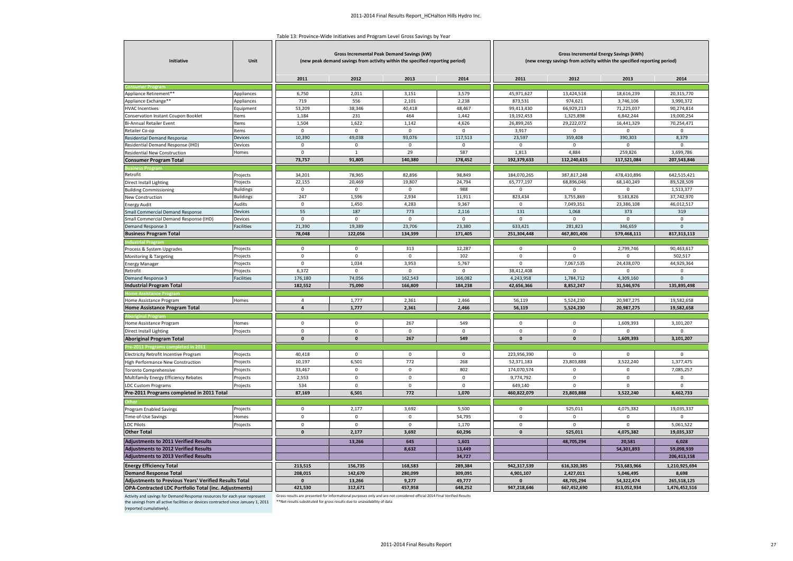Table 13: Province-Wide Initiatives and Program Level Gross Savings by Year

| Initiative                                            | Unit             |                      | Gross Incremental Peak Demand Savings (kW)<br>(new peak demand savings from activity within the specified reporting period) |                  |                   | Gross Incremental Energy Savings (kWh)<br>(new energy savings from activity within the specified reporting period) |                         |                         |                      |  |
|-------------------------------------------------------|------------------|----------------------|-----------------------------------------------------------------------------------------------------------------------------|------------------|-------------------|--------------------------------------------------------------------------------------------------------------------|-------------------------|-------------------------|----------------------|--|
|                                                       |                  | 2011                 | 2012                                                                                                                        | 2013             | 2014              | 2011                                                                                                               | 2012                    | 2013                    | 2014                 |  |
|                                                       |                  |                      |                                                                                                                             |                  |                   |                                                                                                                    |                         |                         |                      |  |
| Appliance Retirement**                                | Appliances       | 6,750                | 2,011                                                                                                                       | 3,151            | 3,579             | 45,971,627                                                                                                         | 13,424,518              | 18,616,239              | 20,315,770           |  |
| Appliance Exchange**                                  | Appliances       | 719                  | 556                                                                                                                         | 2,101            | 2,238             | 873,531                                                                                                            | 974,621                 | 3,746,106               | 3,990,372            |  |
| <b>HVAC Incentives</b>                                | Equipment        | 53,209               | 38,346                                                                                                                      | 40,418           | 48,467            | 99,413,430                                                                                                         | 66,929,213              | 71,225,037              | 90,274,814           |  |
| Conservation Instant Coupon Booklet                   | tems             | 1,184                | 231                                                                                                                         | 464              | 1,442             | 19,192,453                                                                                                         | 1,325,898               | 6,842,244               | 19,000,254           |  |
| Bi-Annual Retailer Event                              | <b>tems</b>      | 1,504                | 1,622                                                                                                                       | 1,142            | 4,626             | 26,899,265                                                                                                         | 29,222,072              | 16,441,329              | 70,254,471           |  |
| Retailer Co-op                                        | tems             | $\mathsf 0$          | $\,0\,$                                                                                                                     | $\mathsf 0$      | $\,0\,$           | 3,917                                                                                                              | $\mathbf 0$             | 0                       | $\Omega$             |  |
| Residential Demand Response                           | Devices          | 10,390               | 49,038                                                                                                                      | 93,076           | 117,513           | 23,597                                                                                                             | 359,408                 | 390,303                 | 8,379                |  |
| Residential Demand Response (IHD)                     | Devices          | $\mathbf 0$          | $\mathbf 0$                                                                                                                 | $\mathbf 0$      | $\mathsf 0$       | $\mathbf 0$                                                                                                        | $\mathbf 0$             | $\mathbf 0$             | $\mathbf 0$          |  |
| Residential New Construction                          | Homes            | $\mathbf 0$          | $\mathbf{1}$                                                                                                                | 29               | 587               | 1,813                                                                                                              | 4,884                   | 259,826                 | 3,699,786            |  |
| <b>Consumer Program Total</b>                         |                  | 73,757               | 91,805                                                                                                                      | 140,380          | 178,452           | 192,379,633                                                                                                        | 112,240,615             | 117,521,084             | 207,543,846          |  |
| usiness Program                                       |                  |                      |                                                                                                                             |                  |                   |                                                                                                                    |                         |                         |                      |  |
| Retrofit                                              | Projects         | 34,201               | 78,965                                                                                                                      | 82,896           | 98,849            | 184,070,265                                                                                                        | 387,817,248             | 478,410,896             | 642,515,421          |  |
| Direct Install Lighting                               | Projects         | 22,155               | 20,469                                                                                                                      | 19,807           | 24,794            | 65,777,197                                                                                                         | 68,896,046              | 68,140,249              | 89,528,509           |  |
| <b>Building Commissioning</b>                         | <b>Buildings</b> | $\mathsf 0$          | $\mathbf 0$                                                                                                                 | $\mathbf 0$      | 988               | $\mathbf 0$                                                                                                        | $\mathbf 0$             | $\Omega$                | 1,513,377            |  |
| New Construction                                      | <b>Buildings</b> | 247                  | 1,596                                                                                                                       | 2,934            | 11,911            | 823,434                                                                                                            | 3,755,869               | 9,183,826               | 37,742,970           |  |
| <b>Energy Audit</b>                                   | Audits           | $\mathsf 0$          | 1,450                                                                                                                       | 4,283            | 9,367             | $\mathbf 0$                                                                                                        | 7,049,351               | 23,386,108              | 46,012,517           |  |
| Small Commercial Demand Response                      | Devices          | 55                   | 187                                                                                                                         | 773              | 2,116             | 131                                                                                                                | 1,068                   | 373                     | 319                  |  |
| Small Commercial Demand Response (IHD)                | Devices          | $\mathbf{0}$         | $\mathbf{0}$                                                                                                                | $\mathbf{0}$     | $\mathbf 0$       | $\mathbf 0$                                                                                                        | $\mathbf 0$             | $\mathbf 0$             | $\mathbf 0$          |  |
| Demand Response 3                                     | Facilities       | 21,390               | 19,389                                                                                                                      | 23,706           | 23,380            | 633,421                                                                                                            | 281,823                 | 346,659                 | $\overline{0}$       |  |
| <b>Business Program Total</b>                         |                  | 78,048               | 122,056                                                                                                                     | 134,399          | 171,405           | 251,304,448                                                                                                        | 467,801,406             | 579,468,111             | 817,313,113          |  |
| ndustrial Progra                                      |                  |                      |                                                                                                                             |                  |                   |                                                                                                                    |                         |                         |                      |  |
| Process & System Upgrades                             | Projects         | $\mathbf 0$          | 0                                                                                                                           | 313              | 12,287            | 0                                                                                                                  | 0                       | 2,799,746               | 90,463,617           |  |
| Monitoring & Targeting                                | Projects         | $\mathsf 0$          | $\mathbf 0$                                                                                                                 | $\,0\,$          | 102               | $\pmb{0}$                                                                                                          | $\mathbf 0$             | $\Omega$                | 502,517              |  |
| <b>Energy Manager</b>                                 | Projects         | $\mathsf 0$          | 1,034                                                                                                                       | 3,953            | 5,767             | $\mathbf 0$                                                                                                        | 7,067,535               | 24,438,070              | 44,929,364           |  |
| Retrofit                                              | Projects         | 6,372                | $\mathbf 0$                                                                                                                 | $\mathbf 0$      | $\mathbf 0$       | 38,412,408                                                                                                         | $\Omega$                | $\Omega$                | $\mathbf 0$          |  |
| Demand Response 3                                     | Facilities       | 176,180              | 74,056                                                                                                                      | 162,543          | 166,082           | 4,243,958                                                                                                          | 1,784,712               | 4,309,160               | $\mathbf{0}$         |  |
| <b>Industrial Program Total</b>                       |                  | 182,552              | 75,090                                                                                                                      | 166,809          | 184,238           | 42,656,366                                                                                                         | 8,852,247               | 31,546,976              | 135,895,498          |  |
| <b>Iome Assistance Pro</b>                            |                  | $\overline{4}$       | 1,777                                                                                                                       | 2,361            | 2,466             |                                                                                                                    | 5,524,230               | 20,987,275              | 19,582,658           |  |
| Home Assistance Program                               | Homes            | $\overline{4}$       | 1,777                                                                                                                       | 2,361            | 2,466             | 56,119<br>56,119                                                                                                   | 5,524,230               | 20,987,275              | 19,582,658           |  |
| Home Assistance Program Total                         |                  |                      |                                                                                                                             |                  |                   |                                                                                                                    |                         |                         |                      |  |
|                                                       |                  | $\Omega$             |                                                                                                                             |                  |                   |                                                                                                                    |                         |                         |                      |  |
| Home Assistance Program                               | Homes            |                      | $\mathsf 0$                                                                                                                 | 267              | 549               | $\mathbf 0$                                                                                                        | $\mathbf 0$             | 1,609,393               | 3,101,207            |  |
| Direct Install Lighting                               | Projects         | $\mathbf 0$          | $\mathbf 0$                                                                                                                 | $\mathbf 0$      | $\mathbf 0$       | $\mathbf 0$                                                                                                        | $\mathbf 0$             | $\mathbf 0$             | $\mathbf 0$          |  |
| <b>Aboriginal Program Total</b>                       |                  | $\mathbf{0}$         | $\mathbf{0}$                                                                                                                | 267              | 549               | $\mathbf{0}$                                                                                                       | $\bf{0}$                | 1,609,393               | 3,101,207            |  |
| Pre-2011 Programs completed in 201                    |                  |                      |                                                                                                                             |                  |                   |                                                                                                                    |                         |                         |                      |  |
| Electricity Retrofit Incentive Program                | Projects         | 40,418               | $\mathbf 0$                                                                                                                 | $\mathbf 0$      | $\mathbf 0$       | 223,956,390                                                                                                        | $\mathbf{0}$            | $\mathbf 0$             | $\mathbf 0$          |  |
| High Performance New Construction                     | Projects         | 10,197               | 6,501                                                                                                                       | 772              | 268               | 52,371,183                                                                                                         | 23,803,888              | 3,522,240               | 1,377,475            |  |
| <b>Toronto Comprehensive</b>                          | Projects         | 33,467               | $\mathsf 0$                                                                                                                 | $\mathbf 0$      | 802               | 174,070,574                                                                                                        | $\Omega$                | $\mathbf 0$             | 7,085,257            |  |
| Multifamily Energy Efficiency Rebates                 | Projects         | 2,553                | $\mathsf 0$                                                                                                                 | $\mathsf 0$      | $\mathsf 0$       | 9,774,792                                                                                                          | $\mathbf 0$             | $\mathbf 0$             | $\mathsf 0$          |  |
| <b>LDC Custom Programs</b>                            | Projects         | 534                  | $\Omega$                                                                                                                    | $\mathsf 0$      | $\mathsf 0$       | 649,140                                                                                                            | $\Omega$                | 0                       | $\mathbf 0$          |  |
| Pre-2011 Programs completed in 2011 Total             |                  | 87,169               | 6,501                                                                                                                       | 772              | 1,070             | 460,822,079                                                                                                        | 23,803,888              | 3,522,240               | 8,462,733            |  |
|                                                       |                  |                      |                                                                                                                             |                  |                   |                                                                                                                    |                         |                         |                      |  |
| Program Enabled Savings                               | Projects         | $\mathbf 0$          | 2,177                                                                                                                       | 3,692            | 5,500             | $\mathbf 0$                                                                                                        | 525,011                 | 4,075,382               | 19,035,337           |  |
| Time-of-Use Savings                                   | Homes            | $\mathsf 0$          | $\mathbf 0$                                                                                                                 | $\mathsf 0$      | 54,795            | $\mathbf 0$                                                                                                        | $\mathbf 0$             | $\mathbf 0$             | $\,0\,$              |  |
| <b>LDC Pilots</b>                                     | Projects         | $\mathbf 0$          | $\mathsf 0$                                                                                                                 | $\mathbf 0$      | 1,170             | $\mathbf 0$                                                                                                        | $\Omega$                | $\Omega$                | 5,061,522            |  |
| <b>Other Total</b>                                    |                  | $\mathbf{0}$         | 2,177                                                                                                                       | 3,692            | 60,296            | $\mathbf{0}$                                                                                                       | 525,011                 | 4,075,382               | 19,035,337           |  |
| <b>Adjustments to 2011 Verified Results</b>           |                  |                      | 13,266                                                                                                                      | 645              | 1,601             |                                                                                                                    | 48,705,294              | 20,581                  | 6,028                |  |
| <b>Adjustments to 2012 Verified Results</b>           |                  |                      |                                                                                                                             | 8,632            | 13,449            |                                                                                                                    |                         | 54,301,893              | 59,098,939           |  |
| <b>Adjustments to 2013 Verified Results</b>           |                  |                      |                                                                                                                             |                  | 34,727            |                                                                                                                    |                         |                         | 206,413,158          |  |
|                                                       |                  |                      |                                                                                                                             |                  |                   |                                                                                                                    |                         |                         |                      |  |
| <b>Energy Efficiency Total</b>                        |                  | 213,515              | 156,735                                                                                                                     | 168,583          | 289,384           | 942,317,539                                                                                                        | 616,320,385             | 753,683,966             | 1,210,925,694        |  |
| <b>Demand Response Total</b>                          |                  | 208,015<br>$\pmb{0}$ | 142,670<br>13,266                                                                                                           | 280,099<br>9,277 | 309,091<br>49,777 | 4,901,107<br>$\pmb{\mathsf{o}}$                                                                                    | 2,427,011<br>48,705,294 | 5,046,495<br>54,322,474 | 8,698<br>265,518,125 |  |
| Adjustments to Previous Years' Verified Results Total |                  | 421,530              | 312,671                                                                                                                     | 457,958          | 648,252           | 947,218,646                                                                                                        | 667,452,690             | 813,052,934             | 1,476,452,516        |  |
| OPA-Contracted LDC Portfolio Total (inc. Adjustments) |                  |                      |                                                                                                                             |                  |                   |                                                                                                                    |                         |                         |                      |  |

Activity and savings for Demand Response resources for each year represent Gross results are presented for informational purposes only and are not considered official 2014 Final Verified Results<br>the savings from all acti

(reported cumulatively).